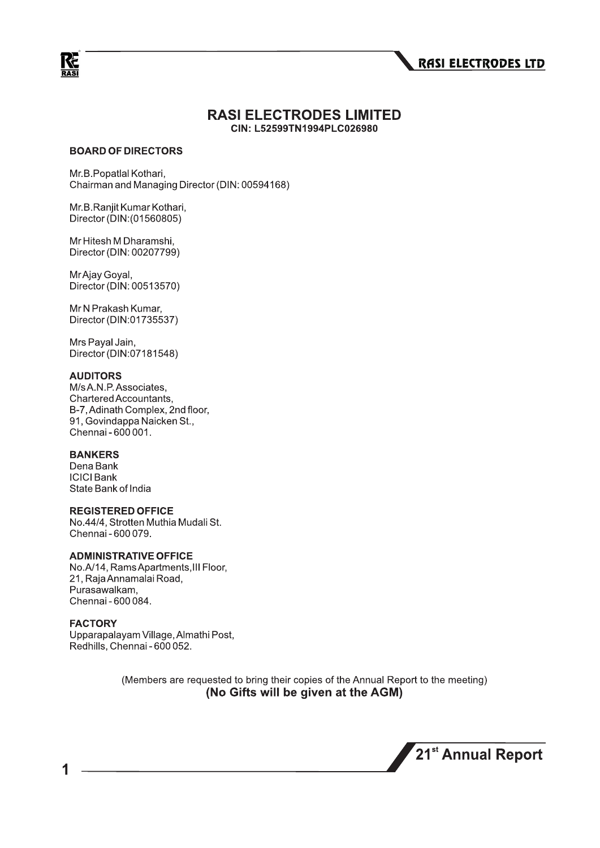

#### **RASI ELECTRODES LIMITED** CIN: L52599TN1994PLC026980

#### **BOARD OF DIRECTORS**

Mr.B.Popatlal Kothari, Chairman and Managing Director (DIN: 00594168)

Mr.B.Ranjit Kumar Kothari, Director (DIN: (01560805)

Mr Hitesh M Dharamshi, Director (DIN: 00207799)

Mr Ajay Goyal, Director (DIN: 00513570)

Mr N Prakash Kumar, Director (DIN:01735537)

Mrs Payal Jain, Director (DIN:07181548)

#### **AUDITORS**

M/s A.N.P. Associates, Chartered Accountants. B-7, Adinath Complex, 2nd floor, 91, Govindappa Naicken St., Chennai - 600 001.

#### **BANKERS**

Dena Bank **ICICI Bank** State Bank of India

#### **REGISTERED OFFICE**

No.44/4, Strotten Muthia Mudali St. Chennai - 600 079.

#### **ADMINISTRATIVE OFFICE**

No.A/14, Rams Apartments, III Floor, 21, Raja Annamalai Road, Purasawalkam, Chennai - 600 084.

#### **FACTORY**

Upparapalayam Village, Almathi Post, Redhills, Chennai - 600 052.

> (Members are requested to bring their copies of the Annual Report to the meeting) (No Gifts will be given at the AGM)

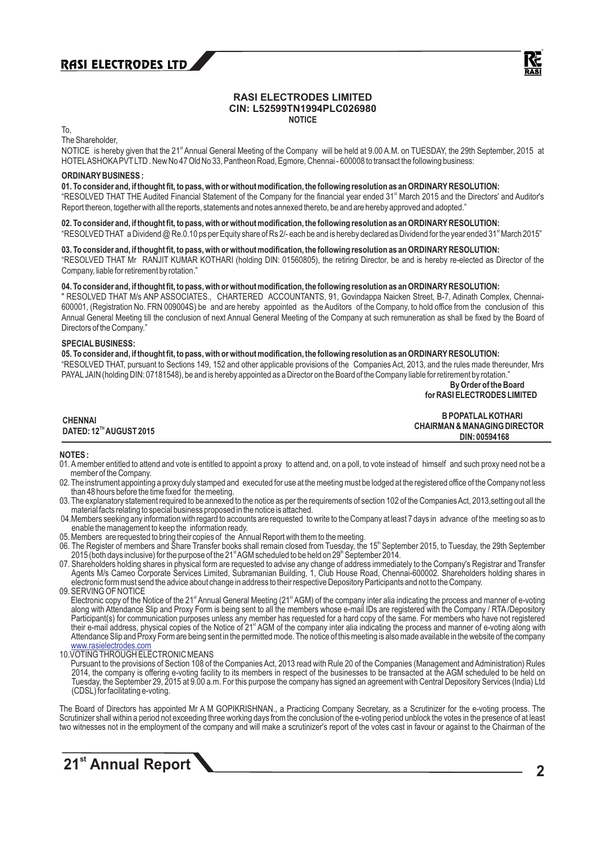

#### **RASI ELECTRODES LIMITED CIN: L52599TN1994PLC026980 NOTICE**

To,

The Shareholder,

NOTICE is hereby given that the 21<sup>\*</sup> Annual General Meeting of the Company will be held at 9.00 A.M. on TUESDAY, the 29th September, 2015 at HOTELASHOKAPVTLTD . New No 47 Old No 33, Pantheon Road, Egmore, Chennai - 600008 to transact the following business:

#### **ORDINARYBUSINESS :**

**01. To consider and, if thought fit, to pass, with or without modification, the following resolution as an ORDINARYRESOLUTION:**

"RESOLVED THAT THE Audited Financial Statement of the Company for the financial year ended 31<sup>st</sup> March 2015 and the Directors' and Auditor's Report thereon, together with all the reports, statements and notes annexed thereto, be and are hereby approved and adopted."

#### 02. To consider and, if thought fit, to pass, with or without modification, the following resolution as an ORDINARY RESOLUTION:

"RESOLVED THAT a Dividend @ Re.0.10 ps per Equity share of Rs 2/- each be and is hereby declared as Dividend for the year ended 31<sup>st</sup> March 2015"

#### **03. To consider and, if thought fit, to pass, with or without modification, the following resolution as an ORDINARYRESOLUTION:**

"RESOLVED THAT Mr RANJIT KUMAR KOTHARI (holding DIN: 01560805), the retiring Director, be and is hereby re-elected as Director of the Company, liable for retirement by rotation."

#### **04. To consider and, if thought fit, to pass, with or without modification, the following resolution as an ORDINARYRESOLUTION:**

" RESOLVED THAT M/s ANP ASSOCIATES., CHARTERED ACCOUNTANTS, 91, Govindappa Naicken Street, B-7, Adinath Complex, Chennai-600001, (Registration No. FRN 009004S) be and are hereby appointed as the Auditors of the Company, to hold office from the conclusion of this Annual General Meeting till the conclusion of next Annual General Meeting of the Company at such remuneration as shall be fixed by the Board of Directors of the Company."

#### **SPECIALBUSINESS:**

**05. To consider and, if thought fit, to pass, with or without modification, the following resolution as an ORDINARYRESOLUTION:** "RESOLVED THAT, pursuant to Sections 149, 152 and other applicable provisions of the Companies Act, 2013, and the rules made thereunder, Mrs PAYAL JAIN (holding DIN: 07181548), be and is hereby appointed as a Director on the Board of the Company liable for retirement by rotation." **By Order of the Board**

### **for RASI ELECTRODES LIMITED**

**CHENNAI TH DATED: 12 AUGUST 2015**

 **B POPATLALKOTHARI CHAIRMAN & MANAGING DIRECTOR DIN: 00594168**<br> **DIN: 00594168** 

#### **NOTES :**

- 01. Amember entitled to attend and vote is entitled to appoint a proxy to attend and, on a poll, to vote instead of himself and such proxy need not be a member of the Company.
- 02. The instrument appointing a proxy duly stamped and executed for use at the meeting must be lodged at the registered office of the Company not less than 48 hours before the time fixed for the meeting.
- 03. The explanatory statement required to be annexed to the notice as per the requirements of section 102 of the Companies Act, 2013, setting out all the material facts relating to special business proposed in the notice is attached.
- 04.Members seeking any information with regard to accounts are requested to write to the Company at least 7 days in advance of the meeting so as to enable the management to keep the information ready.
- 05. Members are requested to bring their copies of the Annual Report with them to the meeting.
- 06. The Register of members and Share Transfer books shall remain closed from Tuesday, the 15<sup>th</sup> September 2015, to Tuesday, the 29th September 2015 (both days inclusive) for the purpose of the 21<sup>st</sup> AGM scheduled to be held on 29<sup>th</sup> September 2014.
- 07. Shareholders holding shares in physical form are requested to advise any change of address immediately to the Company's Registrar and Transfer Agents M/s Cameo Corporate Services Limited, Subramanian Building, 1, Club House Road, Chennai-600002. Shareholders holding shares in electronic form must send the advice about change in address to their respective Depository Participants and not to the Company.
- 09. SERVING OF NOTICE Electronic copy of the Notice of the 21<sup>st</sup> Annual General Meeting (21<sup>st</sup> AGM) of the company inter alia indicating the process and manner of e-voting along with Attendance Slip and Proxy Form is being sent to all the members whose e-mail IDs are registered with the Company / RTA /Depository Participant(s) for communication purposes unless any member has requested for a hard copy of the same. For members who have not registered their e-mail address, physical copies of the Notice of 21<sup>\*</sup> AGM of the company inter alia indicating the process and manner of e-voting along with Attendance Slip and Proxy Form are being sent in the permitted mode. The notice of this meeting is also made available in the website of the company www.rasielectrodes.com
- 10.VOTING THROUGH ELECTRONIC MEANS

Pursuant to the provisions of Section 108 of the Companies Act, 2013 read with Rule 20 of the Companies (Management and Administration) Rules 2014, the company is offering e-voting facility to its members in respect of the businesses to be transacted at the AGM scheduled to be held on Tuesday, the September 29, 2015 at 9.00 a.m. For this purpose the company has signed an agreement with Central Depository Services (India) Ltd (CDSL) for facilitating e-voting.

The Board of Directors has appointed Mr A M GOPIKRISHNAN., a Practicing Company Secretary, as a Scrutinizer for the e-voting process. The Scrutinizer shall within a period not exceeding three working days from the conclusion of the e-voting period unblock the votes in the presence of at least two witnesses not in the employment of the company and will make a scrutinizer's report of the votes cast in favour or against to the Chairman of the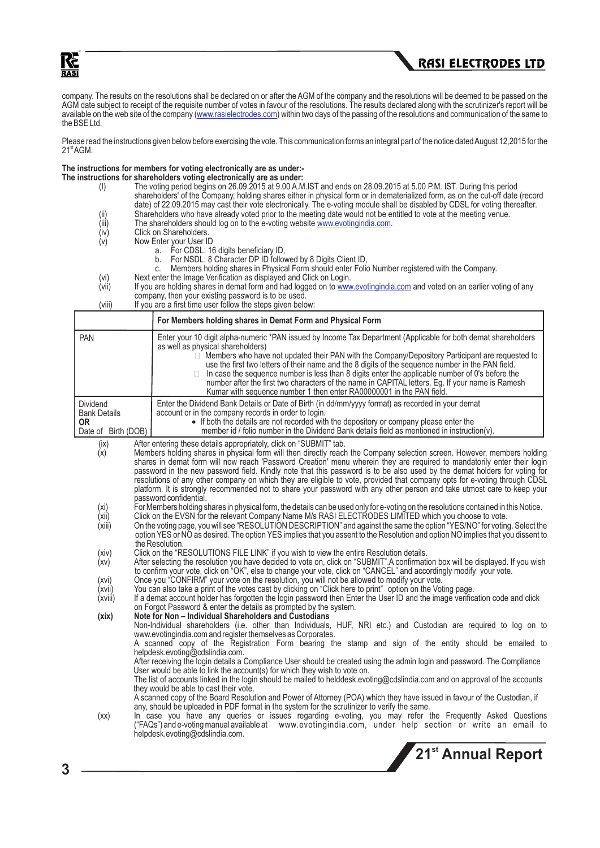



company. The results on the resolutions shall be declared on or after the AGM of the company and the resolutions will be deemed to be passed on the AGM date subject to receipt of the requisite number of votes in favour of the resolutions. The results declared along with the scrutinizer's report will be available on the web site of the company (www.rasielectrodes.com) within two days of the passing of the resolutions and communication of the same to the BSE Ltd.

Please read the instructions given below before exercising the vote. This communication forms an integral part of the notice dated August 12,2015 for the  $21<sup>st</sup> AGM$ .

#### **The instructions for members for voting electronically are as under:-**

**The instructions for shareholders voting electronically are as under:**

- (I) The voting period begins on 26.09.2015 at 9.00 A.M.IST and ends on 28.09.2015 at 5.00 P.M. IST. During this period shareholders' of the Company, holding shares either in physical form or in dematerialized form, as on the cut-off date (record date) of 22.09.2015 may cast their vote electronically. The e-voting module shall be disabled by CDSL for voting thereafter.
- (ii) Shareholders who have already voted prior to the meeting date would not be entitled to vote at the meeting venue.<br>(iii) The shareholders should log on to the e-voting website www.evotingindia.com.
- (iii) The shareholders should log on to the e-voting website www.evotingindia.com.
- (iv) Click on Shareholders.<br>(v) Now Enter your User II
	- Now Enter your User ID
	- a. For CDSL: 16 digits beneficiary ID,
	- b. For NSDL: 8 Character DP ID followed by 8 Digits Client ID,
	- c. Members holding shares in Physical Form should enter Folio Number registered with the Company.
	-
- (vi) Next enter the Image Verification as displayed and Click on Login.<br>(vii) If you are holding shares in demat form and had logged on to www. (vii) If you are holding shares in demat form and had logged on to www.evotingindia.com and voted on an earlier voting of any company, then your existing password is to be used.
- (viii) If you are a first time user follow the steps given below:

|                                                                            | For Members holding shares in Demat Form and Physical Form                                                                                                                                                                                                                                                                                                                                                                                                                                                                                                                                                                                                                                                                                                                                                                                                                                                                                                                                        |
|----------------------------------------------------------------------------|---------------------------------------------------------------------------------------------------------------------------------------------------------------------------------------------------------------------------------------------------------------------------------------------------------------------------------------------------------------------------------------------------------------------------------------------------------------------------------------------------------------------------------------------------------------------------------------------------------------------------------------------------------------------------------------------------------------------------------------------------------------------------------------------------------------------------------------------------------------------------------------------------------------------------------------------------------------------------------------------------|
| <b>PAN</b>                                                                 | Enter your 10 digit alpha-numeric *PAN issued by Income Tax Department (Applicable for both demat shareholders<br>as well as physical shareholders)<br>$\Box$ Members who have not updated their PAN with the Company/Depository Participant are requested to<br>use the first two letters of their name and the 8 digits of the sequence number in the PAN field.<br>In case the sequence number is less than 8 digits enter the applicable number of 0's before the<br>number after the first two characters of the name in CAPITAL letters. Eg. If your name is Ramesh<br>Kumar with sequence number 1 then enter RA00000001 in the PAN field.                                                                                                                                                                                                                                                                                                                                                 |
| <b>Dividend</b><br><b>Bank Details</b><br><b>OR</b><br>Date of Birth (DOB) | Enter the Dividend Bank Details or Date of Birth (in dd/mm/yyyy format) as recorded in your demat<br>account or in the company records in order to login.<br>• If both the details are not recorded with the depository or company please enter the<br>member id / folio number in the Dividend Bank details field as mentioned in instruction(v).                                                                                                                                                                                                                                                                                                                                                                                                                                                                                                                                                                                                                                                |
| (ix)<br>(x)<br>(xi)                                                        | After entering these details appropriately, click on "SUBMIT" tab.<br>Members holding shares in physical form will then directly reach the Company selection screen. However, members holding<br>shares in demat form will now reach 'Password Creation' menu wherein they are required to mandatorily enter their login<br>password in the new password field. Kindly note that this password is to be also used by the demat holders for voting for<br>resolutions of any other company on which they are eligible to vote, provided that company opts for e-voting through CDSL<br>platform. It is strongly recommended not to share your password with any other person and take utmost care to keep your<br>password confidential.<br>For Members holding shares in physical form, the details can be used only for e-voting on the resolutions contained in this Notice.                                                                                                                    |
| (xii)<br>(xiii)                                                            | Click on the EVSN for the relevant Company Name M/s RASI ELECTRODES LIMITED which you choose to vote.<br>On the voting page, you will see "RESOLUTION DESCRIPTION" and against the same the option "YES/NO" for voting. Select the<br>option YES or NO as desired. The option YES implies that you assent to the Resolution and option NO implies that you dissent to<br>the Resolution.                                                                                                                                                                                                                                                                                                                                                                                                                                                                                                                                                                                                          |
| (xiv)<br>(xv)                                                              | Click on the "RESOLUTIONS FILE LINK" if you wish to view the entire Resolution details.<br>After selecting the resolution you have decided to vote on, click on "SUBMIT". A confirmation box will be displayed. If you wish<br>to confirm your vote, click on "OK", else to change your vote, click on "CANCEL" and accordingly modify your vote.<br>Once you "CONFIRM" your vote on the resolution, you will not be allowed to modify your vote.                                                                                                                                                                                                                                                                                                                                                                                                                                                                                                                                                 |
| (xvi)<br>(xvii)<br>(xviii)                                                 | You can also take a print of the votes cast by clicking on "Click here to print" option on the Voting page.<br>If a demat account holder has forgotten the login password then Enter the User ID and the image verification code and click<br>on Forgot Password & enter the details as prompted by the system.                                                                                                                                                                                                                                                                                                                                                                                                                                                                                                                                                                                                                                                                                   |
| (xix)                                                                      | Note for Non - Individual Shareholders and Custodians<br>Non-Individual shareholders (i.e. other than Individuals, HUF, NRI etc.) and Custodian are required to log on to<br>www.evotingindia.com and register themselves as Corporates.<br>A scanned copy of the Registration Form bearing the stamp and sign of the entity should be emailed to<br>helpdesk.evoting@cdslindia.com.<br>After receiving the login details a Compliance User should be created using the admin login and password. The Compliance<br>User would be able to link the account(s) for which they wish to vote on.<br>The list of accounts linked in the login should be mailed to helddesk.evoting@cdslindia.com and on approval of the accounts<br>they would be able to cast their vote.<br>A scanned copy of the Board Resolution and Power of Attorney (POA) which they have issued in favour of the Custodian, if<br>any, should be uploaded in PDF format in the system for the scrutinizer to verify the same. |
| (xx)                                                                       | In case you have any queries or issues regarding e-voting, you may refer the Frequently Asked Questions<br>("FAQs") and e-voting manual available at www.evotingindia.com, under help section or write an email to<br>helpdesk.evoting@cdslindia.com.<br>21 <sup>st</sup> Annual Report                                                                                                                                                                                                                                                                                                                                                                                                                                                                                                                                                                                                                                                                                                           |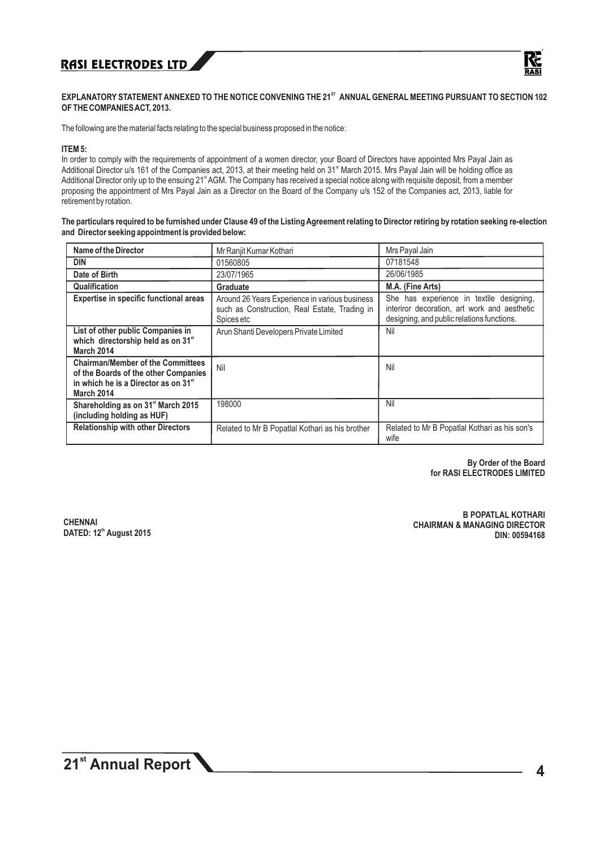

#### **ST EXPLANATORY STATEMENT ANNEXED TO THE NOTICE CONVENING THE 21 ANNUALGENERALMEETING PURSUANT TO SECTION 102 OF THE COMPANIES ACT, 2013.**

The following are the material facts relating to the special business proposed in the notice:

#### **ITEM 5:**

In order to comply with the requirements of appointment of a women director, your Board of Directors have appointed Mrs Payal Jain as Additional Director u/s 161 of the Companies act, 2013, at their meeting held on 31<sup>st</sup> March 2015. Mrs Payal Jain will be holding office as Additional Director only up to the ensuing 21<sup>\*</sup> AGM. The Company has received a special notice along with requisite deposit, from a member proposing the appointment of Mrs Payal Jain as a Director on the Board of the Company u/s 152 of the Companies act, 2013, liable for retirement by rotation.

**The particulars required to be furnished under Clause 49 of the Listing Agreement relating to Director retiring by rotation seeking re-election and Director seeking appointment is provided below:**

| Name of the Director                                                                                                                                      | Mr Ranjit Kumar Kothari                                                                                       | Mrs Payal Jain                                                                                                                         |
|-----------------------------------------------------------------------------------------------------------------------------------------------------------|---------------------------------------------------------------------------------------------------------------|----------------------------------------------------------------------------------------------------------------------------------------|
| <b>DIN</b>                                                                                                                                                | 01560805                                                                                                      | 07181548                                                                                                                               |
| Date of Birth                                                                                                                                             | 23/07/1965                                                                                                    | 26/06/1985                                                                                                                             |
| Qualification                                                                                                                                             | Graduate                                                                                                      | M.A. (Fine Arts)                                                                                                                       |
| <b>Expertise in specific functional areas</b>                                                                                                             | Around 26 Years Experience in various business<br>such as Construction, Real Estate, Trading in<br>Spices etc | She has experience in textile designing,<br>interiror decoration, art work and aesthetic<br>designing, and public relations functions. |
| List of other public Companies in<br>which directorship held as on 31 <sup>st</sup><br><b>March 2014</b>                                                  | Arun Shanti Developers Private Limited                                                                        | Nil                                                                                                                                    |
| <b>Chairman/Member of the Committees</b><br>of the Boards of the other Companies<br>in which he is a Director as on 31 <sup>st</sup><br><b>March 2014</b> | Nil                                                                                                           | Nil                                                                                                                                    |
| Shareholding as on 31 <sup>st</sup> March 2015<br>(including holding as HUF)                                                                              | 198000                                                                                                        | Nil                                                                                                                                    |
| <b>Relationship with other Directors</b>                                                                                                                  | Related to Mr B Popatlal Kothari as his brother                                                               | Related to Mr B Popatlal Kothari as his son's<br>wife                                                                                  |

**By Order of the Board for RASI ELECTRODES LIMITED**

**CHENNAI th DATED: 12 August 2015**

**B POPATLAL KOTHARI CHAIRMAN & MANAGING DIRECTOR DIN: 00594168**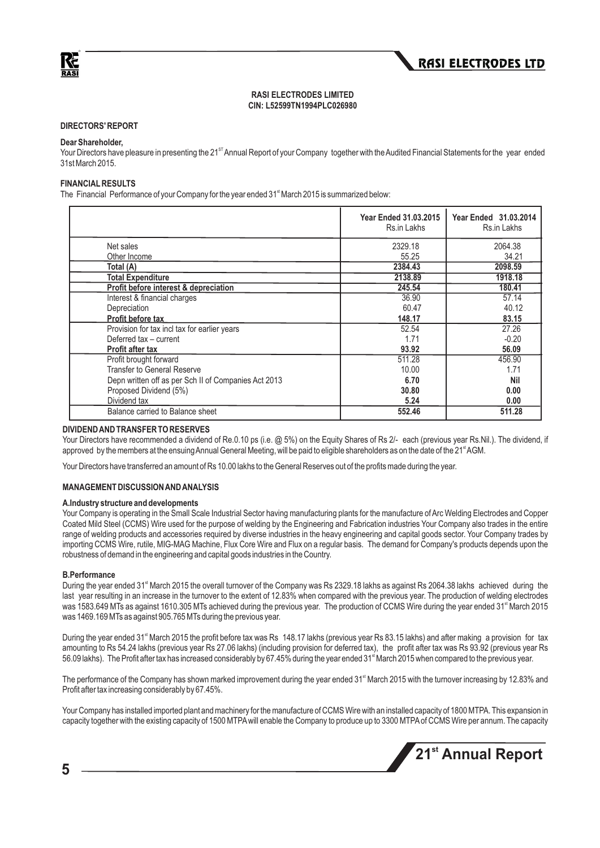

#### **RASI ELECTRODES LIMITED CIN: L52599TN1994PLC026980**

#### **DIRECTORS' REPORT**

#### **Dear Shareholder,**

Your Directors have pleasure in presenting the 21<sup>st</sup> Annual Report of your Company together with the Audited Financial Statements for the year ended 31st March 2015.

#### **FINANCIALRESULTS**

The Financial Performance of your Company for the year ended 31<sup><sup>\*</sup></sup> March 2015 is summarized below:

|                                                      | <b>Year Ended 31.03.2015</b><br>Rs.in Lakhs | Year Ended 31.03.2014<br>Rs.in Lakhs |
|------------------------------------------------------|---------------------------------------------|--------------------------------------|
| Net sales                                            | 2329.18                                     | 2064.38                              |
| Other Income                                         | 55.25                                       | 34.21                                |
| Total (A)                                            | 2384.43                                     | 2098.59                              |
| <b>Total Expenditure</b>                             | 2138.89                                     | 1918.18                              |
| Profit before interest & depreciation                | 245.54                                      | 180.41                               |
| Interest & financial charges                         | 36.90                                       | 57.14                                |
| Depreciation                                         | 60.47                                       | 40.12                                |
| <b>Profit before tax</b>                             | 148.17                                      | 83.15                                |
| Provision for tax incl tax for earlier years         | 52.54                                       | 27.26                                |
| Deferred tax - current                               | 1.71                                        | $-0.20$                              |
| <b>Profit after tax</b>                              | 93.92                                       | 56.09                                |
| Profit brought forward                               | 511.28                                      | 456.90                               |
| <b>Transfer to General Reserve</b>                   | 10.00                                       | 1.71                                 |
| Depn written off as per Sch II of Companies Act 2013 | 6.70                                        | <b>Nil</b>                           |
| Proposed Dividend (5%)                               | 30.80                                       | 0.00                                 |
| Dividend tax                                         | 5.24                                        | 0.00                                 |
| Balance carried to Balance sheet                     | 552.46                                      | 511.28                               |

#### **DIVIDEND AND TRANSFER TO RESERVES**

Your Directors have recommended a dividend of Re.0.10 ps (i.e. @ 5%) on the Equity Shares of Rs 2/- each (previous year Rs.Nil.). The dividend, if approved by the members at the ensuing Annual General Meeting, will be paid to eligible shareholders as on the date of the 21<sup>\*</sup>AGM.

Your Directors have transferred an amount of Rs 10.00 lakhs to the General Reserves out of the profits made during the year.

#### **MANAGEMENT DISCUSSION AND ANALYSIS**

#### **A.Industry structure and developments**

Your Company is operating in the Small Scale Industrial Sector having manufacturing plants for the manufacture of Arc Welding Electrodes and Copper Coated Mild Steel (CCMS) Wire used for the purpose of welding by the Engineering and Fabrication industries Your Company also trades in the entire range of welding products and accessories required by diverse industries in the heavy engineering and capital goods sector. Your Company trades by importing CCMS Wire, rutile, MIG-MAG Machine, Flux Core Wire and Flux on a regular basis. The demand for Company's products depends upon the robustness of demand in the engineering and capital goods industries in the Country.

#### **B.Performance**

During the year ended 31<sup>st</sup> March 2015 the overall turnover of the Company was Rs 2329.18 lakhs as against Rs 2064.38 lakhs achieved during the last year resulting in an increase in the turnover to the extent of 12.83% when compared with the previous year. The production of welding electrodes was 1583.649 MTs as against 1610.305 MTs achieved during the previous year. The production of CCMS Wire during the year ended 31<sup>st</sup> March 2015 was 1469.169 MTs as against 905.765 MTs during the previous year.

During the year ended 31<sup>st</sup> March 2015 the profit before tax was Rs 148.17 lakhs (previous year Rs 83.15 lakhs) and after making a provision for tax amounting to Rs 54.24 lakhs (previous year Rs 27.06 lakhs) (including provision for deferred tax), the profit after tax was Rs 93.92 (previous year Rs 56.09 lakhs). The Profit after tax has increased considerably by 67.45% during the year ended 31<sup>st</sup> March 2015 when compared to the previous year.

The performance of the Company has shown marked improvement during the year ended 31<sup>st</sup> March 2015 with the turnover increasing by 12.83% and Profit after tax increasing considerably by 67.45%.

Your Company has installed imported plant and machinery for the manufacture of CCMS Wire with an installed capacity of 1800 MTPA. This expansion in capacity together with the existing capacity of 1500 MTPAwill enable the Company to produce up to 3300 MTPAof CCMS Wire per annum. The capacity

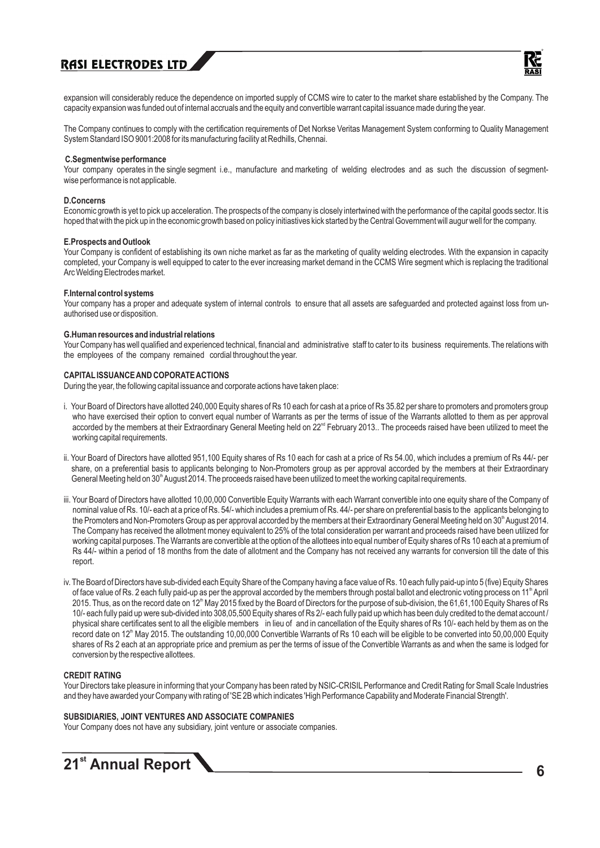

expansion will considerably reduce the dependence on imported supply of CCMS wire to cater to the market share established by the Company. The capacity expansion was funded out of internal accruals and the equity and convertible warrant capital issuance made during the year.

The Company continues to comply with the certification requirements of Det Norkse Veritas Management System conforming to Quality Management System Standard ISO 9001:2008 for its manufacturing facility at Redhills, Chennai.

#### **C.Segmentwise performance**

Your company operates in the single segment i.e., manufacture and marketing of welding electrodes and as such the discussion of segmentwise performance is not applicable.

#### **D.Concerns**

Economic growth is yet to pick up acceleration. The prospects of the company is closely intertwined with the performance of the capital goods sector. It is hoped that with the pick up in the economic growth based on policy initiastives kick started by the Central Government will augur well for the company.

#### **E.Prospects and Outlook**

Your Company is confident of establishing its own niche market as far as the marketing of quality welding electrodes. With the expansion in capacity completed, your Company is well equipped to cater to the ever increasing market demand in the CCMS Wire segment which is replacing the traditional Arc Welding Electrodes market.

#### **F.Internal control systems**

Your company has a proper and adequate system of internal controls to ensure that all assets are safeguarded and protected against loss from unauthorised use or disposition.

#### **G.Human resources and industrial relations**

Your Company has well qualified and experienced technical, financial and administrative staff to cater to its business requirements. The relations with the employees of the company remained cordial throughout the year.

#### **CAPITALISSUANCE AND COPORATE ACTIONS**

During the year, the following capital issuance and corporate actions have taken place:

- i. Your Board of Directors have allotted 240,000 Equity shares of Rs 10 each for cash at a price of Rs 35.82 per share to promoters and promoters group who have exercised their option to convert equal number of Warrants as per the terms of issue of the Warrants allotted to them as per approval accorded by the members at their Extraordinary General Meeting held on 22<sup>nd</sup> February 2013. The proceeds raised have been utilized to meet the working capital requirements.
- ii. Your Board of Directors have allotted 951,100 Equity shares of Rs 10 each for cash at a price of Rs 54.00, which includes a premium of Rs 44/- per share, on a preferential basis to applicants belonging to Non-Promoters group as per approval accorded by the members at their Extraordinary General Meeting held on 30<sup>th</sup> August 2014. The proceeds raised have been utilized to meet the working capital requirements.
- iii. Your Board of Directors have allotted 10,00,000 Convertible Equity Warrants with each Warrant convertible into one equity share of the Company of nominal value of Rs. 10/- each at a price of Rs. 54/- which includes a premium of Rs. 44/- per share on preferential basis to the applicants belonging to the Promoters and Non-Promoters Group as per approval accorded by the members at their Extraordinary General Meeting held on 30<sup>th</sup> August 2014. The Company has received the allotment money equivalent to 25% of the total consideration per warrant and proceeds raised have been utilized for working capital purposes. The Warrants are convertible at the option of the allottees into equal number of Equity shares of Rs 10 each at a premium of Rs 44/- within a period of 18 months from the date of allotment and the Company has not received any warrants for conversion till the date of this report.
- iv. The Board of Directors have sub-divided each Equity Share of the Company having a face value of Rs. 10 each fully paid-up into 5 (five) Equity Shares of face value of Rs. 2 each fully paid-up as per the approval accorded by the members through postal ballot and electronic voting process on 11<sup>th</sup> April 2015. Thus, as on the record date on 12<sup>th</sup> May 2015 fixed by the Board of Directors for the purpose of sub-division, the 61,61,100 Equity Shares of Rs 10/- each fully paid up were sub-divided into 308,05,500 Equity shares of Rs 2/- each fully paid up which has been duly credited to the demat account / physical share certificates sent to all the eligible members in lieu of and in cancellation of the Equity shares of Rs 10/- each held by them as on the record date on 12<sup>th</sup> May 2015. The outstanding 10,00,000 Convertible Warrants of Rs 10 each will be eligible to be converted into 50,00,000 Equity shares of Rs 2 each at an appropriate price and premium as per the terms of issue of the Convertible Warrants as and when the same is lodged for conversion by the respective allottees.

#### **CREDIT RATING**

Your Directors take pleasure in informing that your Company has been rated by NSIC-CRISIL Performance and Credit Rating for Small Scale Industries and they have awarded your Company with rating of 'SE 2B which indicates 'High Performance Capability and Moderate Financial Strength'.

#### **SUBSIDIARIES, JOINT VENTURES AND ASSOCIATE COMPANIES**

Your Company does not have any subsidiary, joint venture or associate companies.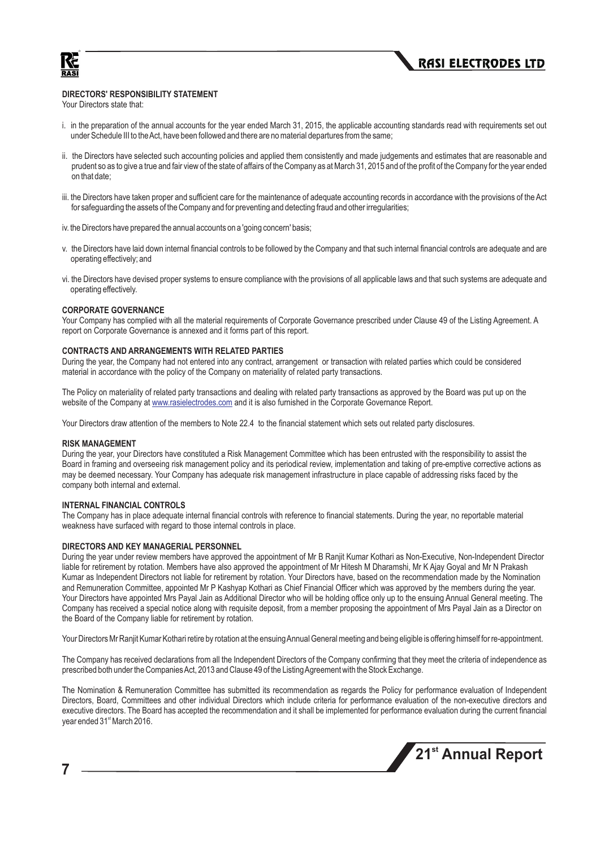



#### **DIRECTORS' RESPONSIBILITY STATEMENT**

Your Directors state that:

- i. in the preparation of the annual accounts for the year ended March 31, 2015, the applicable accounting standards read with requirements set out under Schedule III to the Act, have been followed and there are no material departures from the same;
- ii. the Directors have selected such accounting policies and applied them consistently and made judgements and estimates that are reasonable and prudent so as to give a true and fair view of the state of affairs of the Company as at March 31, 2015 and of the profit of the Company for the year ended on that date;
- iii. the Directors have taken proper and sufficient care for the maintenance of adequate accounting records in accordance with the provisions of the Act for safeguarding the assets of the Company and for preventing and detecting fraud and other irregularities;
- iv. the Directors have prepared the annual accounts on a 'going concern' basis;
- v. the Directors have laid down internal financial controls to be followed by the Company and that such internal financial controls are adequate and are operating effectively; and
- vi. the Directors have devised proper systems to ensure compliance with the provisions of all applicable laws and that such systems are adequate and operating effectively.

#### **CORPORATE GOVERNANCE**

Your Company has complied with all the material requirements of Corporate Governance prescribed under Clause 49 of the Listing Agreement. A report on Corporate Governance is annexed and it forms part of this report.

#### **CONTRACTS AND ARRANGEMENTS WITH RELATED PARTIES**

During the year, the Company had not entered into any contract, arrangement or transaction with related parties which could be considered material in accordance with the policy of the Company on materiality of related party transactions.

The Policy on materiality of related party transactions and dealing with related party transactions as approved by the Board was put up on the website of the Company at <u>www.rasielectrodes.com</u> and it is also furnished in the Corporate Governance Report.

Your Directors draw attention of the members to Note 22.4 to the financial statement which sets out related party disclosures.

#### **RISK MANAGEMENT**

During the year, your Directors have constituted a Risk Management Committee which has been entrusted with the responsibility to assist the Board in framing and overseeing risk management policy and its periodical review, implementation and taking of pre-emptive corrective actions as may be deemed necessary. Your Company has adequate risk management infrastructure in place capable of addressing risks faced by the company both internal and external.

#### **INTERNAL FINANCIAL CONTROLS**

The Company has in place adequate internal financial controls with reference to financial statements. During the year, no reportable material weakness have surfaced with regard to those internal controls in place.

#### **DIRECTORS AND KEY MANAGERIAL PERSONNEL**

During the year under review members have approved the appointment of Mr B Ranjit Kumar Kothari as Non-Executive, Non-Independent Director liable for retirement by rotation. Members have also approved the appointment of Mr Hitesh M Dharamshi, Mr K Ajay Goyal and Mr N Prakash Kumar as Independent Directors not liable for retirement by rotation. Your Directors have, based on the recommendation made by the Nomination and Remuneration Committee, appointed Mr P Kashyap Kothari as Chief Financial Officer which was approved by the members during the year. Your Directors have appointed Mrs Payal Jain as Additional Director who will be holding office only up to the ensuing Annual General meeting. The Company has received a special notice along with requisite deposit, from a member proposing the appointment of Mrs Payal Jain as a Director on the Board of the Company liable for retirement by rotation.

Your Directors Mr Ranjit Kumar Kothari retire by rotation at the ensuing Annual General meeting and being eligible is offering himself for re-appointment.

The Company has received declarations from all the Independent Directors of the Company confirming that they meet the criteria of independence as prescribed both under the Companies Act, 2013 and Clause 49 of the Listing Agreement with the Stock Exchange.

The Nomination & Remuneration Committee has submitted its recommendation as regards the Policy for performance evaluation of Independent Directors, Board, Committees and other individual Directors which include criteria for performance evaluation of the non-executive directors and executive directors. The Board has accepted the recommendation and it shall be implemented for performance evaluation during the current financial year ended 31<sup>st</sup> March 2016.

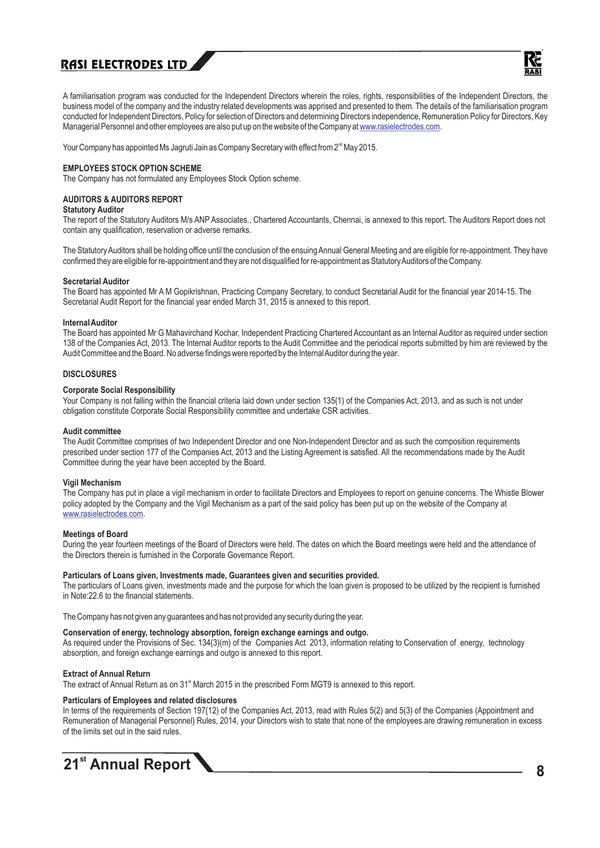

A familiarisation program was conducted for the Independent Directors wherein the roles, rights, responsibilities of the Independent Directors, the business model of the company and the industry related developments was apprised and presented to them. The details of the familiarisation program conducted for Independent Directors, Policy for selection of Directors and determining Directors independence, Remuneration Policy for Directors, Key Managerial Personnel and other employees are also put up on the website of the Company at www.rasielectrodes.com.

Your Company has appointed Ms Jagruti Jain as Company Secretary with effect from 2<sup>nd</sup> May 2015.

#### **EMPLOYEES STOCK OPTION SCHEME**

The Company has not formulated any Employees Stock Option scheme.

#### **AUDITORS & AUDITORS REPORT**

#### **Statutory Auditor**

The report of the Statutory Auditors M/s ANP Associates., Chartered Accountants, Chennai, is annexed to this report. The Auditors Report does not contain any qualification, reservation or adverse remarks.

The Statutory Auditors shall be holding office until the conclusion of the ensuing Annual General Meeting and are eligible for re-appointment. They have confirmed they are eligible for re-appointment and they are not disqualified for re-appointment as Statutory Auditors of the Company.

#### **Secretarial Auditor**

The Board has appointed Mr A M Gopikrishnan, Practicing Company Secretary, to conduct Secretarial Audit for the financial year 2014-15. The Secretarial Audit Report for the financial year ended March 31, 2015 is annexed to this report.

#### **Internal Auditor**

The Board has appointed Mr G Mahavirchand Kochar, Independent Practicing Chartered Accountant as an Internal Auditor as required under section 138 of the Companies Act, 2013. The Internal Auditor reports to the Audit Committee and the periodical reports submitted by him are reviewed by the Audit Committee and the Board. No adverse findings were reported by the Internal Auditor during the year.

#### **DISCLOSURES**

#### **Corporate Social Responsibility**

Your Company is not falling within the financial criteria laid down under section 135(1) of the Companies Act, 2013, and as such is not under obligation constitute Corporate Social Responsibility committee and undertake CSR activities.

#### **Audit committee**

The Audit Committee comprises of two Independent Director and one Non-Independent Director and as such the composition requirements prescribed under section 177 of the Companies Act, 2013 and the Listing Agreement is satisfied. All the recommendations made by the Audit Committee during the year have been accepted by the Board.

#### **Vigil Mechanism**

The Company has put in place a vigil mechanism in order to facilitate Directors and Employees to report on genuine concerns. The Whistle Blower policy adopted by the Company and the Vigil Mechanism as a part of the said policy has been put up on the website of the Company at www.rasielectrodes.com.

#### **Meetings of Board**

During the year fourteen meetings of the Board of Directors were held. The dates on which the Board meetings were held and the attendance of the Directors therein is furnished in the Corporate Governance Report.

#### **Particulars of Loans given, Investments made, Guarantees given and securities provided.**

The particulars of Loans given, investments made and the purpose for which the loan given is proposed to be utilized by the recipient is furnished in Note:22.6 to the financial statements.

The Company has not given any guarantees and has not provided any security during the year.

#### **Conservation of energy, technology absorption, foreign exchange earnings and outgo.**

As required under the Provisions of Sec. 134(3)(m) of the Companies Act 2013, information relating to Conservation of energy, technology absorption, and foreign exchange earnings and outgo is annexed to this report.

#### **Extract of Annual Return**

The extract of Annual Return as on 31<sup>st</sup> March 2015 in the prescribed Form MGT9 is annexed to this report.

#### **Particulars of Employees and related disclosures**

In terms of the requirements of Section 197(12) of the Companies Act, 2013, read with Rules 5(2) and 5(3) of the Companies (Appointment and Remuneration of Managerial Personnel) Rules, 2014, your Directors wish to state that none of the employees are drawing remuneration in excess of the limits set out in the said rules.

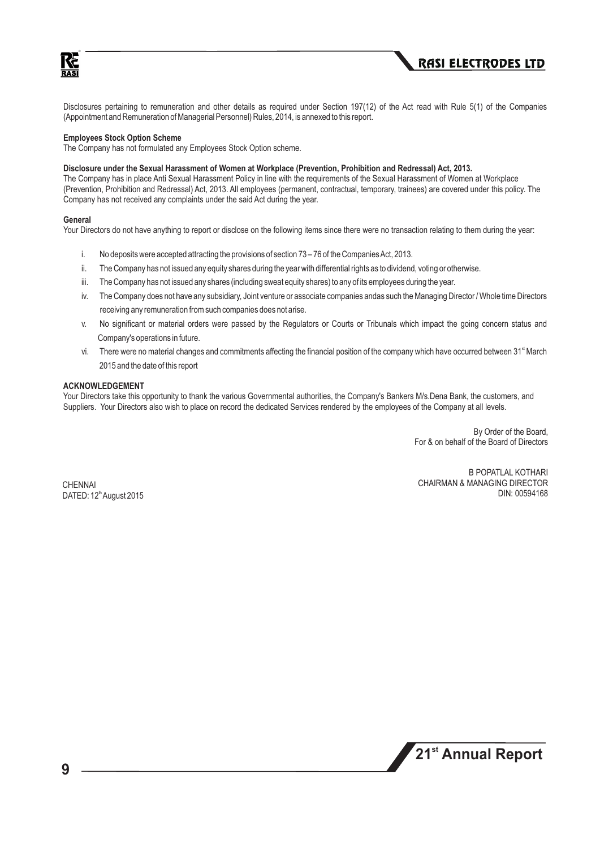



Disclosures pertaining to remuneration and other details as required under Section 197(12) of the Act read with Rule 5(1) of the Companies (Appointment and Remuneration of Managerial Personnel) Rules, 2014, is annexed to this report.

#### **Employees Stock Option Scheme**

The Company has not formulated any Employees Stock Option scheme.

#### **Disclosure under the Sexual Harassment of Women at Workplace (Prevention, Prohibition and Redressal) Act, 2013.**

The Company has in place Anti Sexual Harassment Policy in line with the requirements of the Sexual Harassment of Women at Workplace (Prevention, Prohibition and Redressal) Act, 2013. All employees (permanent, contractual, temporary, trainees) are covered under this policy. The Company has not received any complaints under the said Act during the year.

#### **General**

Your Directors do not have anything to report or disclose on the following items since there were no transaction relating to them during the year:

- i. No deposits were accepted attracting the provisions of section 73 76 of the Companies Act, 2013.
- ii. The Company has not issued any equity shares during the year with differential rights as to dividend, voting or otherwise.
- iii. The Company has not issued any shares (including sweat equity shares) to any of its employees during the year.
- iv. The Company does not have any subsidiary, Joint venture or associate companies andas such the Managing Director / Whole time Directors receiving any remuneration from such companies does not arise.
- v. No significant or material orders were passed by the Regulators or Courts or Tribunals which impact the going concern status and Company's operations in future.
- vi. There were no material changes and commitments affecting the financial position of the company which have occurred between 31<sup>st</sup> March 2015 and the date of this report

#### **ACKNOWLEDGEMENT**

Your Directors take this opportunity to thank the various Governmental authorities, the Company's Bankers M/s.Dena Bank, the customers, and Suppliers. Your Directors also wish to place on record the dedicated Services rendered by the employees of the Company at all levels.

> By Order of the Board, For & on behalf of the Board of Directors

CHENNAI DATED: 12<sup>th</sup> August 2015

B POPATLAL KOTHARI CHAIRMAN & MANAGING DIRECTOR DIN: 00594168

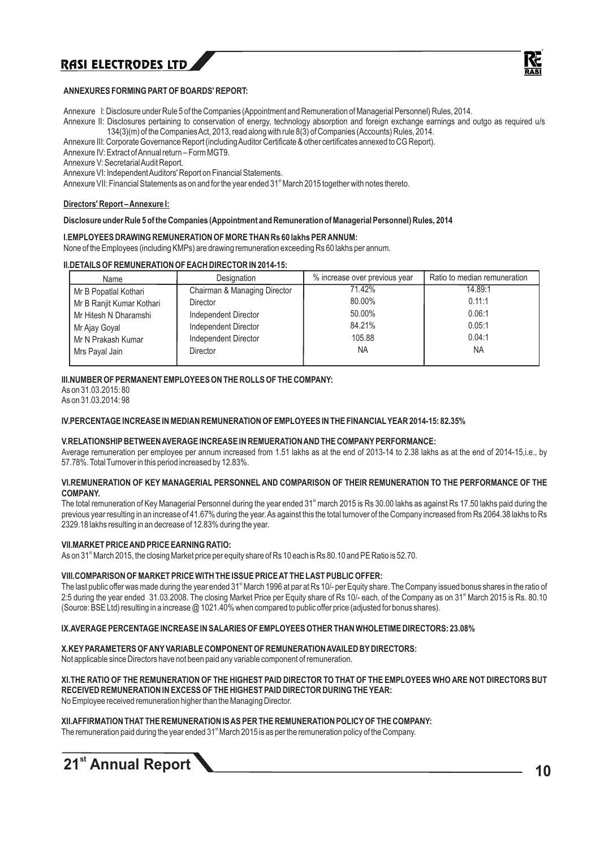

#### **ANNEXURES FORMING PART OF BOARDS' REPORT:**

Annexure I: Disclosure under Rule 5 of the Companies (Appointment and Remuneration of Managerial Personnel) Rules, 2014.

Annexure II: Disclosures pertaining to conservation of energy, technology absorption and foreign exchange earnings and outgo as required u/s 134(3)(m) of the Companies Act, 2013, read along with rule 8(3) of Companies (Accounts) Rules, 2014.

Annexure III: Corporate Governance Report (including Auditor Certificate & other certificates annexed to CG Report).

Annexure IV: Extract of Annual return – Form MGT9.

Annexure V: Secretarial Audit Report.

Annexure VI: Independent Auditors' Report on Financial Statements.

Annexure VII: Financial Statements as on and for the year ended 31<sup>st</sup> March 2015 together with notes thereto.

#### **Directors' Report – Annexure I:**

#### **Disclosure under Rule 5 of the Companies (Appointment and Remuneration of Managerial Personnel) Rules, 2014**

#### **I.EMPLOYEES DRAWING REMUNERATION OF MORE THAN Rs 60 lakhs PER ANNUM:**

None of the Employees (including KMPs) are drawing remuneration exceeding Rs 60 lakhs per annum.

#### **II.DETAILS OF REMUNERATION OF EACH DIRECTOR IN 2014-15:**

| Name                      | Designation                  | % increase over previous year | Ratio to median remuneration |
|---------------------------|------------------------------|-------------------------------|------------------------------|
| Mr B Popatlal Kothari     | Chairman & Managing Director | 71.42%                        | 14.89:1                      |
| Mr B Ranjit Kumar Kothari | Director                     | 80.00%                        | 0.11:1                       |
| Mr Hitesh N Dharamshi     | Independent Director         | 50.00%                        | 0.06:1                       |
| Mr Ajay Goyal             | Independent Director         | 84.21%                        | 0.05:1                       |
| Mr N Prakash Kumar        | Independent Director         | 105.88                        | 0.04:1                       |
| Mrs Payal Jain            | Director                     | <b>NA</b>                     | NA.                          |

#### **III.NUMBER OF PERMANENT EMPLOYEES ON THE ROLLS OF THE COMPANY:**

As on 31.03.2015: 80 As on 31.03.2014: 98

#### **IV.PERCENTAGE INCREASE IN MEDIAN REMUNERATION OF EMPLOYEES IN THE FINANCIALYEAR 2014-15: 82.35%**

#### **V.RELATIONSHIPBETWEEN AVERAGE INCREASE IN REMUERATION AND THE COMPANYPERFORMANCE:**

Average remuneration per employee per annum increased from 1.51 lakhs as at the end of 2013-14 to 2.38 lakhs as at the end of 2014-15,i.e., by 57.78%. Total Turnover in this period increased by 12.83%.

#### **VI.REMUNERATION OF KEY MANAGERIAL PERSONNEL AND COMPARISON OF THEIR REMUNERATION TO THE PERFORMANCE OF THE COMPANY.**

The total remuneration of Key Managerial Personnel during the year ended 31<sup>st</sup> march 2015 is Rs 30.00 lakhs as against Rs 17.50 lakhs paid during the previous year resulting in an increase of 41.67% during the year. As against this the total turnover of the Company increased from Rs 2064.38 lakhs to Rs 2329.18 lakhs resulting in an decrease of 12.83% during the year.

#### **VII.MARKET PRICE AND PRICE EARNING RATIO:**

As on 31<sup>st</sup> March 2015, the closing Market price per equity share of Rs 10 each is Rs 80.10 and PE Ratio is 52.70.

#### **VIII.COMPARISON OF MARKET PRICE WITH THE ISSUE PRICE AT THE LAST PUBLIC OFFER:**

The last public offer was made during the year ended 31<sup>\*</sup> March 1996 at par at Rs 10/- per Equity share. The Company issued bonus shares in the ratio of 2:5 during the year ended 31.03.2008. The closing Market Price per Equity share of Rs 10/- each, of the Company as on 31<sup>st</sup> March 2015 is Rs. 80.10 (Source: BSE Ltd) resulting in a increase @ 1021.40% when compared to public offer price (adjusted for bonus shares).

#### **IX.AVERAGE PERCENTAGE INCREASE IN SALARIES OF EMPLOYEES OTHER THAN WHOLETIME DIRECTORS: 23.08%**

#### **X.KEYPARAMETERS OF ANYVARIABLE COMPONENT OF REMUNERATION AVAILED BYDIRECTORS:**

Not applicable since Directors have not been paid any variable component of remuneration.

#### **XI.THE RATIO OF THE REMUNERATION OF THE HIGHEST PAID DIRECTOR TO THAT OF THE EMPLOYEES WHO ARE NOT DIRECTORS BUT RECEIVED REMUNERATION IN EXCESS OF THE HIGHEST PAID DIRECTOR DURING THE YEAR:**

No Employee received remuneration higher than the Managing Director.

#### **XII.AFFIRMATION THAT THE REMUNERATION IS AS PER THE REMUNERATION POLICYOF THE COMPANY:**

The remuneration paid during the year ended  $31<sup>st</sup>$  March 2015 is as per the remuneration policy of the Company.

## **21<sup>st</sup> Annual Report** 10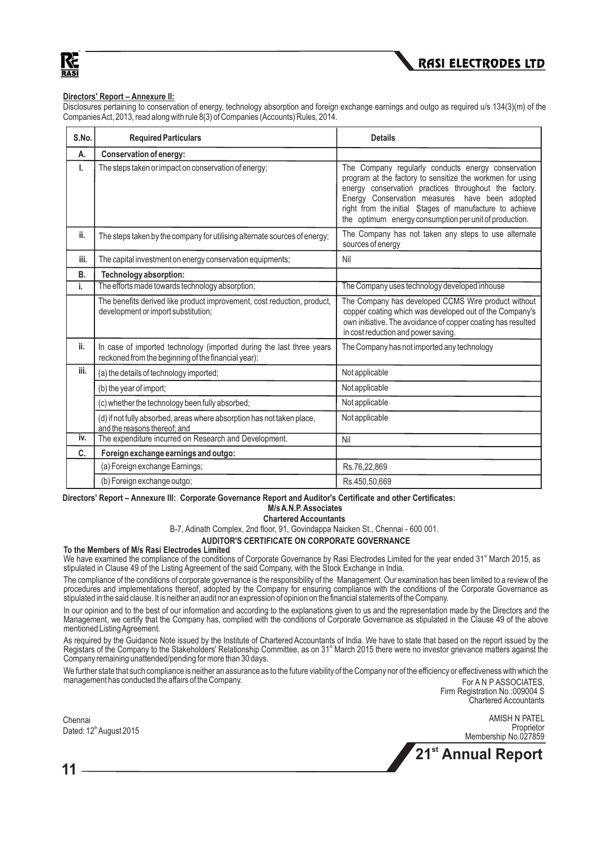Кć RASI



#### **Directors' Report – Annexure II:**

Disclosures pertaining to conservation of energy, technology absorption and foreign exchange earnings and outgo as required u/s 134(3)(m) of the Companies Act, 2013, read along with rule 8(3) of Companies (Accounts) Rules, 2014.

| S.No. | <b>Required Particulars</b>                                                                                                 | <b>Details</b>                                                                                                                                                                                                                                                                                                                                  |
|-------|-----------------------------------------------------------------------------------------------------------------------------|-------------------------------------------------------------------------------------------------------------------------------------------------------------------------------------------------------------------------------------------------------------------------------------------------------------------------------------------------|
| А.    | Conservation of energy:                                                                                                     |                                                                                                                                                                                                                                                                                                                                                 |
| ı.    | The steps taken or impact on conservation of energy;                                                                        | The Company regularly conducts energy conservation<br>program at the factory to sensitize the workmen for using<br>energy conservation practices throughout the factory.<br>Energy Conservation measures have been adopted<br>right from the initial Stages of manufacture to achieve<br>the optimum energy consumption per unit of production. |
| ii.   | The steps taken by the company for utilising alternate sources of energy;                                                   | The Company has not taken any steps to use alternate<br>sources of energy                                                                                                                                                                                                                                                                       |
| iii.  | The capital investment on energy conservation equipments;                                                                   | Nil                                                                                                                                                                                                                                                                                                                                             |
| В.    | Technology absorption:                                                                                                      |                                                                                                                                                                                                                                                                                                                                                 |
| i.    | The efforts made towards technology absorption;                                                                             | The Company uses technology developed inhouse                                                                                                                                                                                                                                                                                                   |
|       | The benefits derived like product improvement, cost reduction, product,<br>development or import substitution;              | The Company has developed CCMS Wire product without<br>copper coating which was developed out of the Company's<br>own initiative. The avoidance of copper coating has resulted<br>in cost reduction and power saving.                                                                                                                           |
| ii.   | In case of imported technology (imported during the last three years<br>reckoned from the beginning of the financial year): | The Company has not imported any technology                                                                                                                                                                                                                                                                                                     |
| iii.  | (a) the details of technology imported;                                                                                     | Not applicable                                                                                                                                                                                                                                                                                                                                  |
|       | (b) the year of import;                                                                                                     | Not applicable                                                                                                                                                                                                                                                                                                                                  |
|       | (c) whether the technology been fully absorbed;                                                                             | Not applicable                                                                                                                                                                                                                                                                                                                                  |
|       | (d) if not fully absorbed, areas where absorption has not taken place,<br>and the reasons thereof; and                      | Not applicable                                                                                                                                                                                                                                                                                                                                  |
| iv.   | The expenditure incurred on Research and Development.                                                                       | Nil                                                                                                                                                                                                                                                                                                                                             |
| C.    | Foreign exchange earnings and outgo:                                                                                        |                                                                                                                                                                                                                                                                                                                                                 |
|       | (a) Foreign exchange Earnings;                                                                                              | Rs.76,22,869                                                                                                                                                                                                                                                                                                                                    |
|       | (b) Foreign exchange outgo;                                                                                                 | Rs.450,50,669                                                                                                                                                                                                                                                                                                                                   |

#### **Directors' Report – Annexure III: Corporate Governance Report and Auditor's Certificate and other Certificates: M/s A.N.P. Associates**

#### **Chartered Accountants**

B-7, Adinath Complex, 2nd floor, 91, Govindappa Naicken St., Chennai - 600 001.

#### **AUDITOR'S CERTIFICATE ON CORPORATE GOVERNANCE**

#### **To the Members of M/s Rasi Electrodes Limited**

We have examined the compliance of the conditions of Corporate Governance by Rasi Electrodes Limited for the year ended 31<sup>st</sup> March 2015, as stipulated in Clause 49 of the Listing Agreement of the said Company, with the Stock Exchange in India.

The compliance of the conditions of corporate governance is the responsibility of the Management. Our examination has been limited to a review of the procedures and implementations thereof, adopted by the Company for ensuring compliance with the conditions of the Corporate Governance as stipulated in the said clause. It is neither an audit nor an expression of opinion on the financial statements of the Company.

In our opinion and to the best of our information and according to the explanations given to us and the representation made by the Directors and the Management, we certify that the Company has, complied with the conditions of Corporate Governance as stipulated in the Clause 49 of the above mentioned Listing Agreement.

As required by the Guidance Note issued by the Institute of Chartered Accountants of India. We have to state that based on the report issued by the Registars of the Company to the Stakeholders' Relationship Committee, as on 31<sup> March</sup> 2015 there were no investor grievance matters against the Company remaining unattended/pending for more than 30 days.

We further state that such compliance is neither an assurance as to the future viability of the Company nor of the efficiency or effectiveness with which the management has conducted the affairs of the Company. The Company of the Company of the Company of the Company of the Company of the Company of the Company of the Company of the Company of the Company of the Company of the

Firm Registration No.:009004 S Chartered Accountants

Chennai Dated: 12<sup>th</sup> August 2015

AMISH N PATEL **Proprietor** Membership No.027859

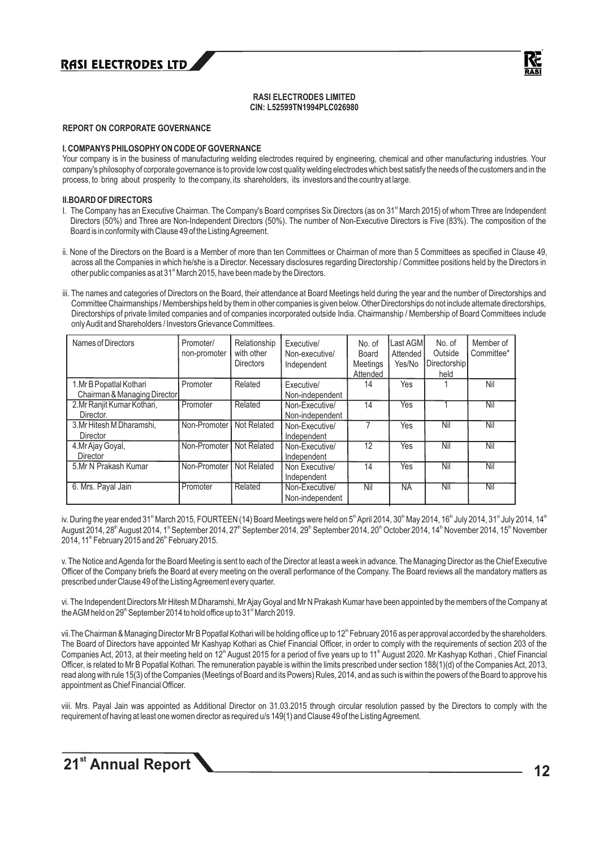

#### **RASI ELECTRODES LIMITED CIN: L52599TN1994PLC026980**

#### **REPORT ON CORPORATE GOVERNANCE**

#### **I. COMPANYS PHILOSOPHYON CODE OF GOVERNANCE**

Your company is in the business of manufacturing welding electrodes required by engineering, chemical and other manufacturing industries. Your company's philosophy of corporate governance is to provide low cost quality welding electrodes which best satisfy the needs of the customers and in the process, to bring about prosperity to the company, its shareholders, its investors and the country at large.

#### **II.BOARD OF DIRECTORS**

- I. The Company has an Executive Chairman. The Company's Board comprises Six Directors (as on 31<sup>st</sup> March 2015) of whom Three are Independent Directors (50%) and Three are Non-Independent Directors (50%). The number of Non-Executive Directors is Five (83%). The composition of the Board is in conformity with Clause 49 of the Listing Agreement.
- ii. None of the Directors on the Board is a Member of more than ten Committees or Chairman of more than 5 Committees as specified in Clause 49, across all the Companies in which he/she is a Director. Necessary disclosures regarding Directorship / Committee positions held by the Directors in other public companies as at 31<sup><sup>st</sup></sup> March 2015, have been made by the Directors.
- iii. The names and categories of Directors on the Board, their attendance at Board Meetings held during the year and the number of Directorships and Committee Chairmanships / Memberships held by them in other companies is given below. Other Directorships do not include alternate directorships, Directorships of private limited companies and of companies incorporated outside India. Chairmanship / Membership of Board Committees include only Audit and Shareholders / Investors Grievance Committees.

| Names of Directors                                       | Promoter/<br>non-promoter | Relationship<br>with other<br><b>Directors</b> | Executive/<br>Non-executive/<br>Independent | No. of<br>Board<br>Meetings<br>Attended | Last AGM<br>Attended<br>Yes/No | No. of<br>Outside<br>Directorship<br>held | Member of<br>Committee* |
|----------------------------------------------------------|---------------------------|------------------------------------------------|---------------------------------------------|-----------------------------------------|--------------------------------|-------------------------------------------|-------------------------|
| 1. Mr B Popatlal Kothari<br>Chairman & Managing Director | Promoter                  | Related                                        | Executive/<br>Non-independent               | 14                                      | Yes                            |                                           | Nil                     |
| 2. Mr Ranjit Kumar Kothari,<br>Director.                 | Promoter                  | Related                                        | Non-Executive/<br>Non-independent           | 14                                      | Yes                            |                                           | Nil                     |
| 3. Mr Hitesh M Dharamshi.<br>Director                    | Non-Promoter              | Not Related                                    | Non-Executive/<br>Independent               |                                         | Yes                            | Nil                                       | Nil                     |
| 4. Mr Ajay Goyal,<br>Director                            | Non-Promoter              | Not Related                                    | Non-Executive/<br>Independent               | 12                                      | Yes                            | Nil                                       | Nil                     |
| 5.Mr N Prakash Kumar                                     | Non-Promoter              | Not Related                                    | Non Executive/<br>Independent               | 14                                      | Yes                            | Nil                                       | Nil                     |
| 6. Mrs. Payal Jain                                       | Promoter                  | Related                                        | Non-Executive/<br>Non-independent           | Nil                                     | <b>NA</b>                      | Nil                                       | Nil                     |

iv. During the year ended 31<sup>\*</sup> March 2015, FOURTEEN (14) Board Meetings were held on 5<sup>th</sup> April 2014, 30<sup>th</sup> May 2014, 16<sup>th</sup> July 2014, 31<sup>\*</sup> July 2014, 14<sup>th</sup> August 2014, 28<sup>th</sup> August 2014, 1<sup>st</sup> September 2014, 27<sup>th</sup> September 2014, 29<sup>th</sup> September 2014, 20<sup>th</sup> October 2014, 14<sup>th</sup> November 2014, 15<sup>th</sup> November 2014, 11<sup>th</sup> February 2015 and 26<sup>th</sup> February 2015.

v. The Notice and Agenda for the Board Meeting is sent to each of the Director at least a week in advance. The Managing Director as the Chief Executive Officer of the Company briefs the Board at every meeting on the overall performance of the Company. The Board reviews all the mandatory matters as prescribed under Clause 49 of the Listing Agreement every quarter.

vi. The Independent Directors Mr Hitesh M Dharamshi, Mr Ajay Goyal and Mr N Prakash Kumar have been appointed by the members of the Company at the AGM held on  $29<sup>th</sup>$  September 2014 to hold office up to 31 $<sup>st</sup>$  March 2019.</sup>

vii. The Chairman & Managing Director Mr B Popatlal Kothari will be holding office up to 12<sup>th</sup> February 2016 as per approval accorded by the shareholders. The Board of Directors have appointed Mr Kashyap Kothari as Chief Financial Officer, in order to comply with the requirements of section 203 of the Companies Act, 2013, at their meeting held on 12<sup>th</sup> August 2015 for a period of five years up to 11<sup>th</sup> August 2020. Mr Kashyap Kothari, Chief Financial Officer, is related to Mr B Popatlal Kothari. The remuneration payable is within the limits prescribed under section 188(1)(d) of the Companies Act, 2013, read along with rule 15(3) of the Companies (Meetings of Board and its Powers) Rules, 2014, and as such is within the powers of the Board to approve his appointment as Chief Financial Officer.

viii. Mrs. Payal Jain was appointed as Additional Director on 31.03.2015 through circular resolution passed by the Directors to comply with the requirement of having at least one women director as required u/s 149(1) and Clause 49 of the Listing Agreement.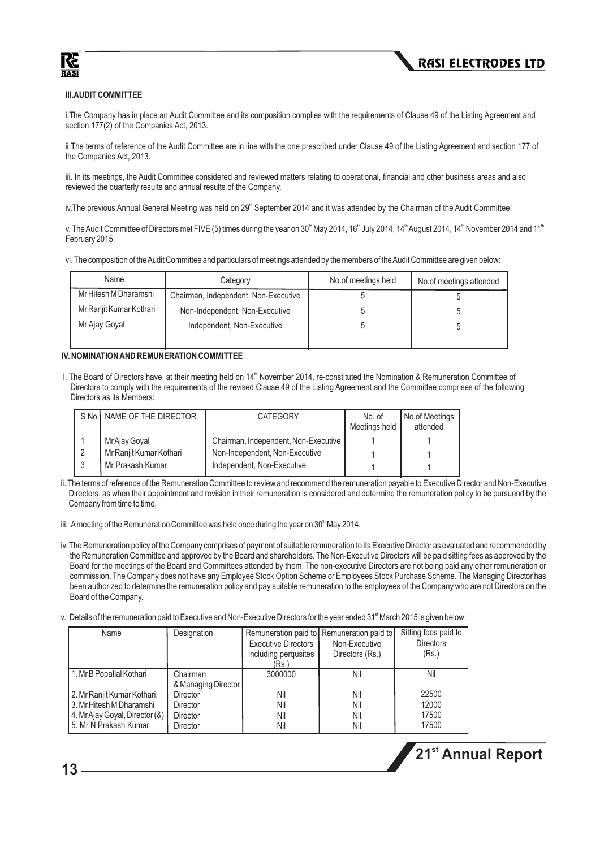



#### **III.AUDIT COMMITTEE**

i.The Company has in place an Audit Committee and its composition complies with the requirements of Clause 49 of the Listing Agreement and section 177(2) of the Companies Act, 2013.

ii.The terms of reference of the Audit Committee are in line with the one prescribed under Clause 49 of the Listing Agreement and section 177 of the Companies Act, 2013.

iii. In its meetings, the Audit Committee considered and reviewed matters relating to operational, financial and other business areas and also reviewed the quarterly results and annual results of the Company.

iv. The previous Annual General Meeting was held on  $29<sup>th</sup>$  September 2014 and it was attended by the Chairman of the Audit Committee.

v. The Audit Committee of Directors met FIVE (5) times during the year on 30<sup>th</sup> May 2014, 16<sup>th</sup> July 2014, 14<sup>th</sup> August 2014, 14<sup>th</sup> November 2014 and 11<sup>th</sup> February 2015.

vi. The composition of the Audit Committee and particulars of meetings attended by the members of the Audit Committee are given below:

| Name                    | Category                             | No.of meetings held | No.of meetings attended |
|-------------------------|--------------------------------------|---------------------|-------------------------|
| Mr Hitesh M Dharamshi   | Chairman, Independent, Non-Executive |                     |                         |
| Mr Ranjit Kumar Kothari | Non-Independent, Non-Executive       |                     |                         |
| Mr Ajay Goyal           | Independent, Non-Executive           |                     |                         |
|                         |                                      |                     |                         |

#### **IV. NOMINATION AND REMUNERATION COMMITTEE**

I. The Board of Directors have, at their meeting held on 14<sup>th</sup> November 2014, re-constituted the Nomination & Remuneration Committee of Directors to comply with the requirements of the revised Clause 49 of the Listing Agreement and the Committee comprises of the following Directors as its Members:

| S.No. NAME OF THE DIRECTOR | <b>CATEGORY</b>                      | No. of<br>Meetings held | No.of Meetings<br>attended |
|----------------------------|--------------------------------------|-------------------------|----------------------------|
| Mr Ajay Goyal              | Chairman, Independent, Non-Executive |                         |                            |
| Mr Ranjit Kumar Kothari    | Non-Independent, Non-Executive       |                         |                            |
| Mr Prakash Kumar           | Independent, Non-Executive           |                         |                            |

- ii. The terms of reference of the Remuneration Committee to review and recommend the remuneration payable to Executive Director and Non-Executive Directors, as when their appointment and revision in their remuneration is considered and determine the remuneration policy to be pursuend by the Company from time to time.
- iii. Ameeting of the Remuneration Committee was held once during the year on  $30<sup>th</sup>$  May 2014.
- iv. The Remuneration policy of the Company comprises of payment of suitable remuneration to its Executive Director as evaluated and recommended by the Remuneration Committee and approved by the Board and shareholders. The Non-Executive Directors will be paid sitting fees as approved by the Board for the meetings of the Board and Committees attended by them. The non-executive Directors are not being paid any other remuneration or commission. The Company does not have any Employee Stock Option Scheme or Employees Stock Purchase Scheme. The Managing Director has been authorized to determine the remuneration policy and pay suitable remuneration to the employees of the Company who are not Directors on the Board of the Company.
- v. Details of the remuneration paid to Executive and Non-Executive Directors for the year ended 31<sup>\*</sup> March 2015 is given below:

| Name                           | Designation         |                            | Remuneration paid to Remuneration paid to | Sitting fees paid to |
|--------------------------------|---------------------|----------------------------|-------------------------------------------|----------------------|
|                                |                     | <b>Executive Directors</b> | Non-Executive                             | <b>Directors</b>     |
|                                |                     | including pergusites       | Directors (Rs.)                           | (Rs.)                |
|                                |                     | (Rs.)                      |                                           |                      |
| 1. Mr B Popatlal Kothari       | Chairman            | 3000000                    | Nil                                       | Nil                  |
|                                | & Managing Director |                            |                                           |                      |
| 2. Mr Ranjit Kumar Kothari,    | Director            | Nil                        | Nil                                       | 22500                |
| 3. Mr Hitesh M Dharamshi       | Director            | Nil                        | Nil                                       | 12000                |
| 4. Mr Ajay Goyal, Director (&) | Director            | Nil                        | Nil                                       | 17500                |
| 15. Mr N Prakash Kumar         | Director            | Nil                        | Nil                                       | 17500                |

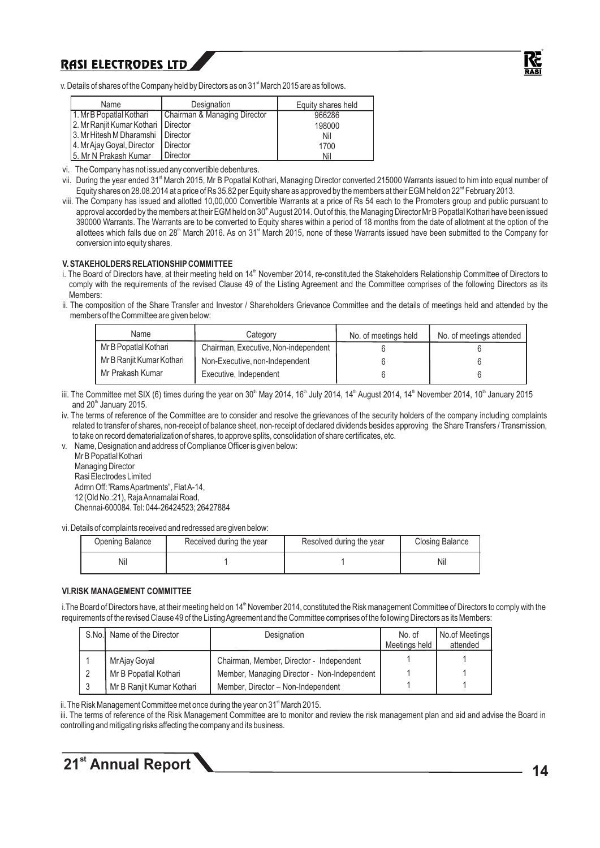

v. Details of shares of the Company held by Directors as on 31<sup>st</sup> March 2015 are as follows.

| Name                                  | Designation                  | Equity shares held |
|---------------------------------------|------------------------------|--------------------|
| 11. Mr B Popatlal Kothari             | Chairman & Managing Director | 966286             |
| 2. Mr Ranjit Kumar Kothari   Director |                              | 198000             |
| 3. Mr Hitesh M Dharamshi   Director   |                              | Nil                |
| 4. Mr Ajay Goyal, Director            | <b>I</b> Director            | 1700               |
| 15. Mr N Prakash Kumar                | Director                     | Nil                |

vi. The Company has not issued any convertible debentures.

- vii. During the year ended 31<sup>st</sup> March 2015, Mr B Popatlal Kothari, Managing Director converted 215000 Warrants issued to him into equal number of Equity shares on 28.08.2014 at a price of Rs 35.82 per Equity share as approved by the members at their EGM held on 22<sup>nd</sup> February 2013.
- viii. The Company has issued and allotted 10,00,000 Convertible Warrants at a price of Rs 54 each to the Promoters group and public pursuant to approval accorded by the members at their EGM held on 30<sup>th</sup> August 2014. Out of this, the Managing Director Mr B Popatlal Kothari have been issued 390000 Warrants. The Warrants are to be converted to Equity shares within a period of 18 months from the date of allotment at the option of the allottees which falls due on 28<sup>th</sup> March 2016. As on 31<sup>\*</sup> March 2015, none of these Warrants issued have been submitted to the Company for conversion into equity shares.

#### **V. STAKEHOLDERS RELATIONSHIPCOMMITTEE**

- i. The Board of Directors have, at their meeting held on 14<sup>th</sup> November 2014, re-constituted the Stakeholders Relationship Committee of Directors to comply with the requirements of the revised Clause 49 of the Listing Agreement and the Committee comprises of the following Directors as its Members:
- ii. The composition of the Share Transfer and Investor / Shareholders Grievance Committee and the details of meetings held and attended by the members of the Committee are given below:

| Name                      | Category                             | No. of meetings held | No. of meetings attended |
|---------------------------|--------------------------------------|----------------------|--------------------------|
| Mr B Popatlal Kothari     | Chairman, Executive, Non-independent |                      |                          |
| Mr B Ranjit Kumar Kothari | Non-Executive, non-Independent       |                      |                          |
| Mr Prakash Kumar          | Executive, Independent               |                      |                          |

- iii. The Committee met SIX (6) times during the year on 30<sup>th</sup> May 2014, 16<sup>th</sup> July 2014, 14<sup>th</sup> August 2014, 14<sup>th</sup> November 2014, 10<sup>th</sup> January 2015 and  $20<sup>th</sup>$  January 2015.
- iv. The terms of reference of the Committee are to consider and resolve the grievances of the security holders of the company including complaints related to transfer of shares, non-receipt of balance sheet, non-receipt of declared dividends besides approving the Share Transfers / Transmission, to take on record dematerialization of shares, to approve splits, consolidation of share certificates, etc.
- v. Name, Designation and address of Compliance Officer is given below: Mr B Popatlal Kothari

Managing Director Rasi Electrodes Limited Admn Off: 'Rams Apartments", Flat A-14, 12 (Old No.:21), Raja Annamalai Road, Chennai-600084. Tel: 044-26424523; 26427884

vi. Details of complaints received and redressed are given below:

| Received during the year<br>Opening Balance |  | Resolved during the year | Closing Balance |
|---------------------------------------------|--|--------------------------|-----------------|
| Nil                                         |  |                          | Nil             |

#### **VI.RISK MANAGEMENT COMMITTEE**

i. The Board of Directors have, at their meeting held on 14<sup>th</sup> November 2014, constituted the Risk management Committee of Directors to comply with the requirements of the revised Clause 49 of the Listing Agreement and the Committee comprises of the following Directors as its Members:

| S.No. Name of the Director | Designation                                 | No. of        | No.of Meetings |
|----------------------------|---------------------------------------------|---------------|----------------|
|                            |                                             | Meetings held | attended       |
| Mr Ajay Goyal              | Chairman, Member, Director - Independent    |               |                |
| Mr B Popatlal Kothari      | Member, Managing Director - Non-Independent |               |                |
| Mr B Ranjit Kumar Kothari  | Member, Director - Non-Independent          |               |                |

ii. The Risk Management Committee met once during the year on  $31<sup>st</sup>$  March 2015.

iii. The terms of reference of the Risk Management Committee are to monitor and review the risk management plan and aid and advise the Board in controlling and mitigating risks affecting the company and its business.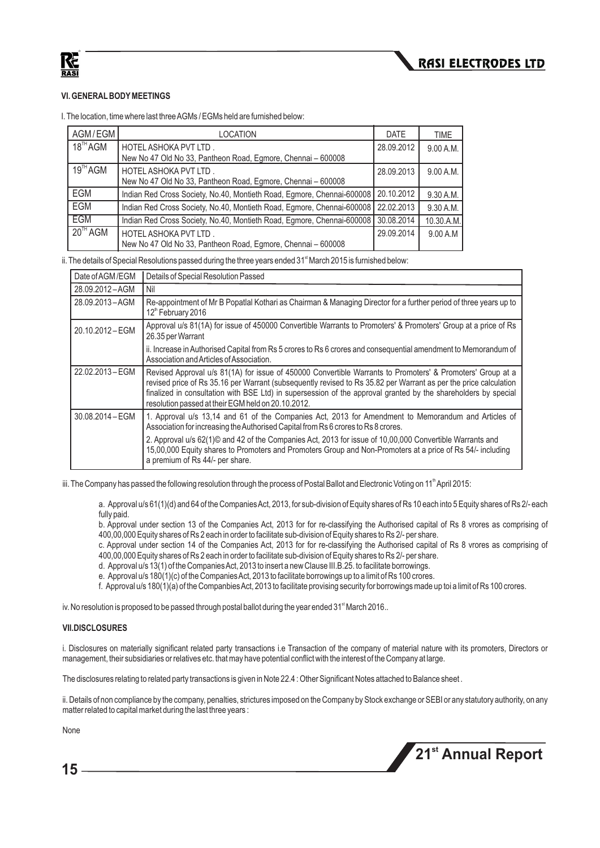

#### **VI. GENERALBODYMEETINGS**

I. The location, time where last three AGMs / EGMs held are furnished below:

| AGM/EGM              | <b>LOCATION</b>                                                                       | <b>DATE</b> | <b>TIME</b> |
|----------------------|---------------------------------------------------------------------------------------|-------------|-------------|
| $18^{\text{TH}}$ AGM | HOTEL ASHOKA PVT LTD.<br>New No 47 Old No 33, Pantheon Road, Egmore, Chennai - 600008 | 28.09.2012  | 9.00 A.M.   |
| $19^{\text{TH}}$ AGM | HOTEL ASHOKA PVT LTD.<br>New No 47 Old No 33, Pantheon Road, Egmore, Chennai - 600008 | 28.09.2013  | 9.00 A.M.   |
| EGM                  | Indian Red Cross Society, No.40, Montieth Road, Egmore, Chennai-600008                | 20.10.2012  | 9.30 A.M.   |
| EGM                  | Indian Red Cross Society, No.40, Montieth Road, Egmore, Chennai-600008                | 22.02.2013  | 9.30 A.M.   |
| <b>EGM</b>           | Indian Red Cross Society, No.40, Montieth Road, Egmore, Chennai-600008                | 30.08.2014  | 10.30.A.M.  |
| $20^{\text{TH}}$ AGM | HOTEL ASHOKA PVT LTD.<br>New No 47 Old No 33, Pantheon Road, Egmore, Chennai - 600008 | 29.09.2014  | 9.00 A.M    |

ii. The details of Special Resolutions passed during the three years ended  $31<sup>st</sup>$  March 2015 is furnished below:

| Date of AGM/EGM  | Details of Special Resolution Passed                                                                                                                                                                                                                                                                                                                                                                   |
|------------------|--------------------------------------------------------------------------------------------------------------------------------------------------------------------------------------------------------------------------------------------------------------------------------------------------------------------------------------------------------------------------------------------------------|
| 28.09.2012-AGM   | Nil                                                                                                                                                                                                                                                                                                                                                                                                    |
| 28.09.2013-AGM   | Re-appointment of Mr B Popatlal Kothari as Chairman & Managing Director for a further period of three years up to<br>12th February 2016                                                                                                                                                                                                                                                                |
| 20.10.2012-EGM   | Approval u/s 81(1A) for issue of 450000 Convertible Warrants to Promoters' & Promoters' Group at a price of Rs<br>26.35 per Warrant                                                                                                                                                                                                                                                                    |
|                  | ii. Increase in Authorised Capital from Rs 5 crores to Rs 6 crores and consequential amendment to Memorandum of<br>Association and Articles of Association.                                                                                                                                                                                                                                            |
| 22.02.2013 - EGM | Revised Approval u/s 81(1A) for issue of 450000 Convertible Warrants to Promoters' & Promoters' Group at a<br>revised price of Rs 35.16 per Warrant (subsequently revised to Rs 35.82 per Warrant as per the price calculation<br>finalized in consultation with BSE Ltd) in supersession of the approval granted by the shareholders by special<br>resolution passed at their EGM held on 20.10.2012. |
| 30.08.2014 - EGM | 1. Approval u/s 13,14 and 61 of the Companies Act, 2013 for Amendment to Memorandum and Articles of<br>Association for increasing the Authorised Capital from Rs 6 crores to Rs 8 crores.                                                                                                                                                                                                              |
|                  | 2. Approval u/s 62(1)© and 42 of the Companies Act, 2013 for issue of 10,00,000 Convertible Warrants and<br>15,00,000 Equity shares to Promoters and Promoters Group and Non-Promoters at a price of Rs 54/- including<br>a premium of Rs 44/- per share.                                                                                                                                              |

iii. The Company has passed the following resolution through the process of Postal Ballot and Electronic Voting on 11<sup>th</sup> April 2015:

a. Approval u/s 61(1)(d) and 64 of the Companies Act, 2013, for sub-division of Equity shares of Rs 10 each into 5 Equity shares of Rs 2/- each fully paid.

b. Approval under section 13 of the Companies Act, 2013 for for re-classifying the Authorised capital of Rs 8 vrores as comprising of 400,00,000 Equity shares of Rs 2 each in order to facilitate sub-division of Equity shares to Rs 2/- per share.

c. Approval under section 14 of the Companies Act, 2013 for for re-classifying the Authorised capital of Rs 8 vrores as comprising of 400,00,000 Equity shares of Rs 2 each in order to facilitate sub-division of Equity shares to Rs 2/- per share.

d. Approval u/s 13(1) of the Companies Act, 2013 to insert a new Clause III.B.25. to facilitate borrowings.

e. Approval u/s 180(1)(c) of the Companies Act, 2013 to facilitate borrowings up to a limit of Rs 100 crores.

f. Approval u/s 180(1)(a) of the Companbies Act, 2013 to facilitate provising security for borrowings made up toi a limit of Rs 100 crores.

iv. No resolution is proposed to be passed through postal ballot during the year ended  $31<sup>*</sup>$  March 2016..

#### **VII.DISCLOSURES**

i. Disclosures on materially significant related party transactions i.e Transaction of the company of material nature with its promoters, Directors or management, their subsidiaries or relatives etc. that may have potential conflict with the interest of the Company at large.

The disclosures relating to related party transactions is given in Note 22.4 : Other Significant Notes attached to Balance sheet .

ii. Details of non compliance by the company, penalties, strictures imposed on the Company by Stock exchange or SEBI or any statutory authority, on any matter related to capital market during the last three years :

None

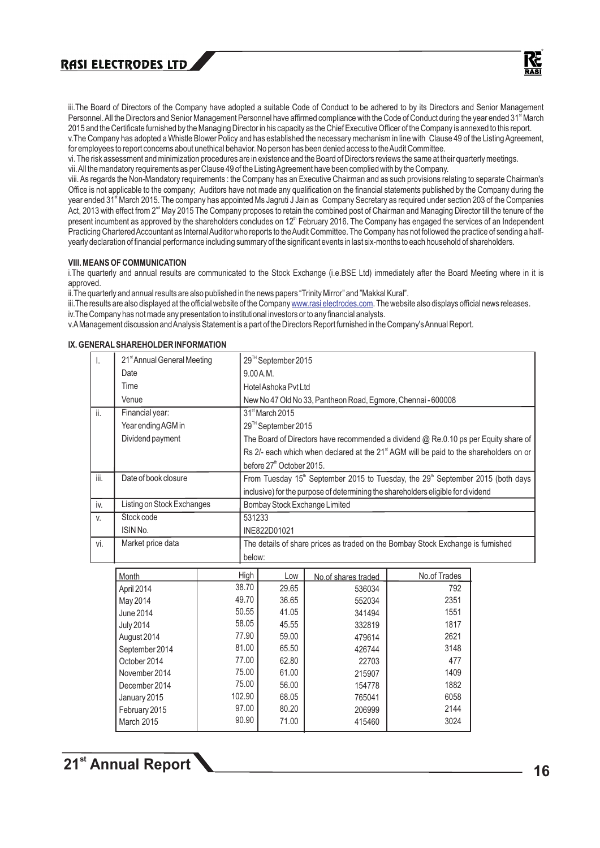

iii.The Board of Directors of the Company have adopted a suitable Code of Conduct to be adhered to by its Directors and Senior Management Personnel. All the Directors and Senior Management Personnel have affirmed compliance with the Code of Conduct during the year ended 31<sup>st</sup> March 2015 and the Certificate furnished by the Managing Director in his capacity as the Chief Executive Officer of the Company is annexed to this report.

v.The Company has adopted a Whistle Blower Policy and has established the necessary mechanism in line with Clause 49 of the Listing Agreement, for employees to report concerns about unethical behavior. No person has been denied access to the Audit Committee.

vi. The risk assessment and minimization procedures are in existence and the Board of Directors reviews the same at their quarterly meetings. vii. All the mandatory requirements as per Clause 49 of the Listing Agreement have been complied with by the Company.

viii. As regards the Non-Mandatory requirements : the Company has an Executive Chairman and as such provisions relating to separate Chairman's Office is not applicable to the company; Auditors have not made any qualification on the financial statements published by the Company during the year ended 31<sup><sup>st</sup> March 2015. The company has appointed Ms Jagruti J Jain as Company Secretary as required under section 203 of the Companies</sup> Act, 2013 with effect from 2<sup>nd</sup> May 2015 The Company proposes to retain the combined post of Chairman and Managing Director till the tenure of the present incumbent as approved by the shareholders concludes on 12<sup>th</sup> February 2016. The Company has engaged the services of an Independent Practicing Chartered Accountant as Internal Auditor who reports to the Audit Committee. The Company has not followed the practice of sending a halfyearly declaration of financial performance including summary of the significant events in last six-months to each household of shareholders.

#### **VIII. MEANS OF COMMUNICATION**

i.The quarterly and annual results are communicated to the Stock Exchange (i.e.BSE Ltd) immediately after the Board Meeting where in it is approved.

ii.The quarterly and annual results are also published in the news papers "Trinity Mirror" and "Makkal Kural".

90.90

71.00

415460

3024

iii.The results are also displayed at the official website of the Company <u>www.rasi electrodes.com</u>. The website also displays official news releases. iv.The Company has not made any presentation to institutional investors or to any financial analysts.

v.AManagement discussion and Analysis Statement is a part of the Directors Report furnished in the Company's Annual Report.

|      | LIVAL JI IANLI IULULIN INI UNWATIUN     |        |          |                                       |                                                              |                                                                                                         |  |
|------|-----------------------------------------|--------|----------|---------------------------------------|--------------------------------------------------------------|---------------------------------------------------------------------------------------------------------|--|
| I.   | 21 <sup>st</sup> Annual General Meeting |        |          | 29™ September 2015                    |                                                              |                                                                                                         |  |
|      | Date                                    |        | 9.00A.M. |                                       |                                                              |                                                                                                         |  |
|      | Time                                    |        |          | Hotel Ashoka Pvt Ltd                  |                                                              |                                                                                                         |  |
|      | Venue                                   |        |          |                                       | New No 47 Old No 33, Pantheon Road, Egmore, Chennai - 600008 |                                                                                                         |  |
| ii.  | Financial year:                         |        |          | 31 <sup>st</sup> March 2015           |                                                              |                                                                                                         |  |
|      | Year ending AGM in                      |        |          | 29™ September 2015                    |                                                              |                                                                                                         |  |
|      | Dividend payment                        |        |          |                                       |                                                              | The Board of Directors have recommended a dividend @ Re.0.10 ps per Equity share of                     |  |
|      |                                         |        |          |                                       |                                                              | Rs 2/- each which when declared at the 21 <sup>st</sup> AGM will be paid to the shareholders on or      |  |
|      |                                         |        |          | before 27 <sup>th</sup> October 2015. |                                                              |                                                                                                         |  |
| iii. | Date of book closure                    |        |          |                                       |                                                              | From Tuesday 15 <sup>th</sup> September 2015 to Tuesday, the 29 <sup>th</sup> September 2015 (both days |  |
|      |                                         |        |          |                                       |                                                              | inclusive) for the purpose of determining the shareholders eligible for dividend                        |  |
| iv.  | Listing on Stock Exchanges              |        |          |                                       | Bombay Stock Exchange Limited                                |                                                                                                         |  |
| V.   | Stock code                              |        | 531233   |                                       |                                                              |                                                                                                         |  |
|      | ISIN No.                                |        |          | INE822D01021                          |                                                              |                                                                                                         |  |
| vi.  | Market price data                       |        |          |                                       |                                                              | The details of share prices as traded on the Bombay Stock Exchange is furnished                         |  |
|      |                                         |        | below:   |                                       |                                                              |                                                                                                         |  |
|      | Month                                   |        | High     | Low                                   | No.of shares traded                                          | No.of Trades                                                                                            |  |
|      | April 2014                              | 38.70  |          | 29.65                                 | 536034                                                       | 792                                                                                                     |  |
|      | May 2014                                | 49.70  |          | 36.65                                 | 552034                                                       | 2351                                                                                                    |  |
|      | <b>June 2014</b>                        | 50.55  |          | 41.05                                 | 341494                                                       | 1551                                                                                                    |  |
|      | <b>July 2014</b>                        | 58.05  |          | 45.55                                 | 332819                                                       | 1817                                                                                                    |  |
|      | August 2014                             | 77.90  |          | 59.00                                 | 479614                                                       | 2621                                                                                                    |  |
|      | September 2014                          | 81.00  |          | 65.50                                 | 426744                                                       | 3148                                                                                                    |  |
|      | October 2014                            | 77.00  |          | 62.80                                 | 22703                                                        | 477                                                                                                     |  |
|      | November 2014                           | 75.00  |          | 61.00                                 | 215907                                                       | 1409                                                                                                    |  |
|      | December 2014                           | 75.00  |          | 56.00                                 | 154778                                                       | 1882                                                                                                    |  |
|      | January 2015                            | 102.90 |          | 68.05                                 | 765041                                                       | 6058                                                                                                    |  |
|      | February 2015                           | 97.00  |          | 80.20                                 | 206999                                                       | 2144                                                                                                    |  |

#### **IX. GENERAL SHAREHOLDER INFORMATION**

March 2015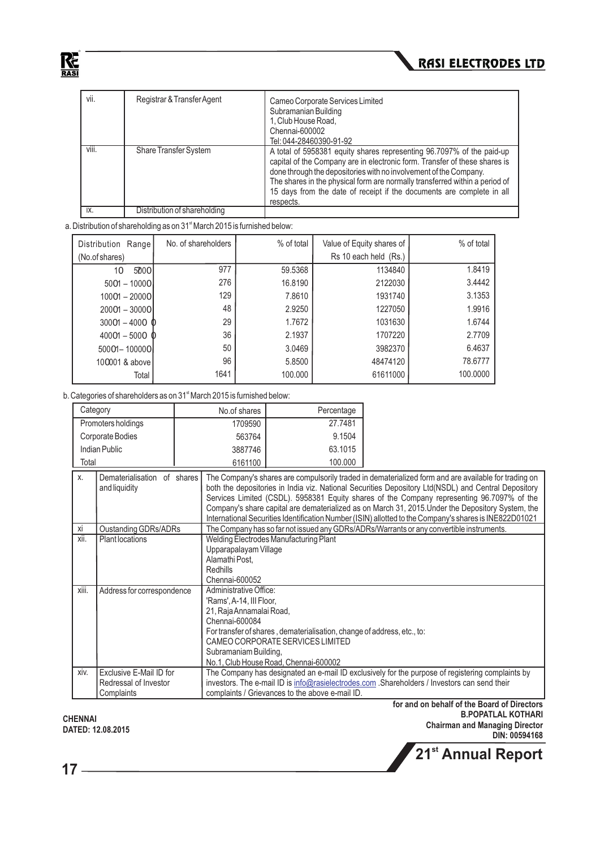

| vii.  | Registrar & Transfer Agent   | Cameo Corporate Services Limited<br>Subramanian Building<br>1. Club House Road.<br>Chennai-600002<br>Tel: 044-28460390-91-92                                                                                                                                                                                                                                                                  |
|-------|------------------------------|-----------------------------------------------------------------------------------------------------------------------------------------------------------------------------------------------------------------------------------------------------------------------------------------------------------------------------------------------------------------------------------------------|
| viii. | <b>Share Transfer System</b> | A total of 5958381 equity shares representing 96.7097% of the paid-up<br>capital of the Company are in electronic form. Transfer of these shares is<br>done through the depositories with no involvement of the Company.<br>The shares in the physical form are normally transferred within a period of<br>15 days from the date of receipt if the documents are complete in all<br>respects. |
| IX.   | Distribution of shareholding |                                                                                                                                                                                                                                                                                                                                                                                               |

a. Distribution of shareholding as on  $31<sup>st</sup>$  March 2015 is furnished below:

| Distribution Range    | No. of shareholders | % of total | Value of Equity shares of | % of total |
|-----------------------|---------------------|------------|---------------------------|------------|
| (No.of shares)        |                     |            | Rs 10 each held (Rs.)     |            |
| 5000l<br>10           | 977                 | 59.5368    | 1134840                   | 1.8419     |
| $5001 - 10000$        | 276                 | 16.8190    | 2122030                   | 3.4442     |
| 10001 - 2000OI        | 129                 | 7.8610     | 1931740                   | 3.1353     |
| $20001 - 30000$       | 48                  | 2.9250     | 1227050                   | 1.9916     |
| $30001 - 4000$ $\Phi$ | 29                  | 1.7672     | 1031630                   | 1.6744     |
| $40001 - 5000$ $\Phi$ | 36                  | 2.1937     | 1707220                   | 2.7709     |
| 50001-100000          | 50                  | 3.0469     | 3982370                   | 6.4637     |
| 100001 & above        | 96                  | 5.8500     | 48474120                  | 78.6777    |
| Total                 | 1641                | 100.000    | 61611000                  | 100,0000   |

b. Categories of shareholders as on 31<sup>st</sup> March 2015 is furnished below:

| Category           | No.of shares | Percentage |
|--------------------|--------------|------------|
| Promoters holdings | 1709590      | 27.7481    |
| Corporate Bodies   | 563764       | 9.1504     |
| Indian Public      | 3887746      | 63.1015    |
| Total              | 6161100      | 100.000    |

| $X_{\cdot}$ | Dematerialisation of shares | The Company's shares are compulsorily traded in dematerialized form and are available for trading on   |
|-------------|-----------------------------|--------------------------------------------------------------------------------------------------------|
|             | and liquidity               | both the depositories in India viz. National Securities Depository Ltd(NSDL) and Central Depository    |
|             |                             | Services Limited (CSDL). 5958381 Equity shares of the Company representing 96.7097% of the             |
|             |                             |                                                                                                        |
|             |                             | Company's share capital are dematerialized as on March 31, 2015. Under the Depository System, the      |
|             |                             | International Securities Identification Number (ISIN) allotted to the Company's shares is INE822D01021 |
| Xİ          | Oustanding GDRs/ADRs        | The Company has so far not issued any GDRs/ADRs/Warrants or any convertible instruments.               |
| xii.        | <b>Plant locations</b>      | Welding Electrodes Manufacturing Plant                                                                 |
|             |                             | Upparapalayam Village                                                                                  |
|             |                             | Alamathi Post.                                                                                         |
|             |                             | <b>Redhills</b>                                                                                        |
|             |                             | Chennai-600052                                                                                         |
| xiii.       | Address for correspondence  | Administrative Office:                                                                                 |
|             |                             | 'Rams', A-14, III Floor,                                                                               |
|             |                             | 21, Raja Annamalai Road,                                                                               |
|             |                             | Chennai-600084                                                                                         |
|             |                             | For transfer of shares, dematerialisation, change of address, etc., to:                                |
|             |                             | CAMEO CORPORATE SERVICES LIMITED                                                                       |
|             |                             | Subramaniam Building,                                                                                  |
|             |                             | No.1, Club House Road, Chennai-600002                                                                  |
| xiv.        | Exclusive E-Mail ID for     | The Company has designated an e-mail ID exclusively for the purpose of registering complaints by       |
|             | Redressal of Investor       | investors. The e-mail ID is info@rasielectrodes.com .Shareholders / Investors can send their           |
|             | Complaints                  | complaints / Grievances to the above e-mail ID.                                                        |

**CHENNAI DATED: 12.08.2015**   **for and on behalf of the Board of Directors B.POPATLAL KOTHARI Chairman and Managing Director DIN: 00594168 st 21 Annual Report**

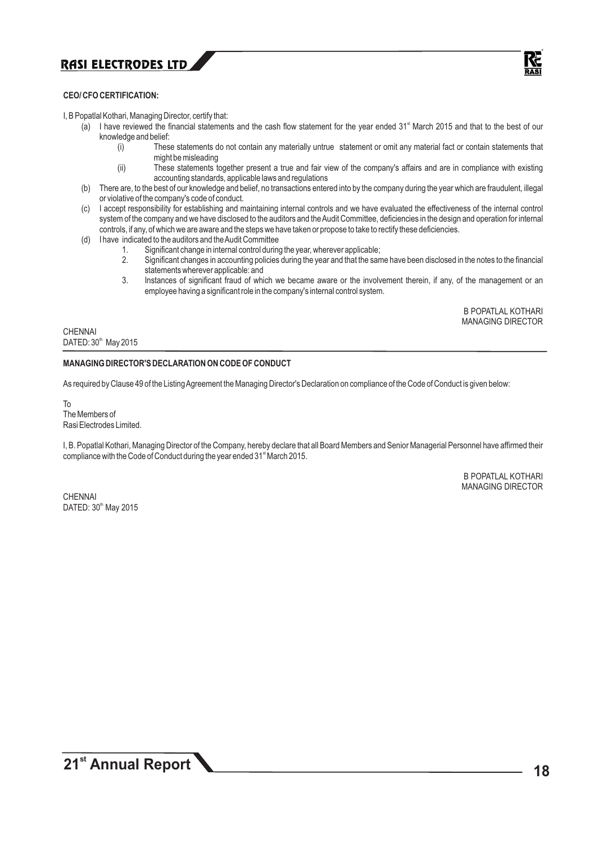

#### **CEO/ CFO CERTIFICATION:**

I, B Popatlal Kothari, Managing Director, certify that:

- (a) I have reviewed the financial statements and the cash flow statement for the year ended  $31<sup>st</sup>$  March 2015 and that to the best of our knowledge and belief:<br>(i) Thes
	- These statements do not contain any materially untrue statement or omit any material fact or contain statements that might be misleading
	- (ii) These statements together present a true and fair view of the company's affairs and are in compliance with existing accounting standards, applicable laws and regulations
- (b) There are, to the best of our knowledge and belief, no transactions entered into by the company during the year which are fraudulent, illegal or violative of the company's code of conduct.
- (c) I accept responsibility for establishing and maintaining internal controls and we have evaluated the effectiveness of the internal control system of the company and we have disclosed to the auditors and the Audit Committee, deficiencies in the design and operation for internal controls, if any, of which we are aware and the steps we have taken or propose to take to rectify these deficiencies.
- (d) I have indicated to the auditors and the Audit Committee
	- 1. Significant change in internal control during the year, wherever applicable;
	- 2. Significant changes in accounting policies during the year and that the same have been disclosed in the notes to the financial statements wherever applicable: and
	- 3. Instances of significant fraud of which we became aware or the involvement therein, if any, of the management or an employee having a significant role in the company's internal control system.

B POPATLAL KOTHARI MANAGING DIRECTOR

**CHENNAI** DATED: 30<sup>th</sup> May 2015

#### **MANAGING DIRECTOR'S DECLARATION ON CODE OF CONDUCT**

As required by Clause 49 of the Listing Agreement the Managing Director's Declaration on compliance of the Code of Conduct is given below:

To The Members of Rasi Electrodes Limited.

I, B. Popatlal Kothari, Managing Director of the Company, hereby declare that all Board Members and Senior Managerial Personnel have affirmed their compliance with the Code of Conduct during the year ended 31<sup>st</sup> March 2015.

> B POPATLAL KOTHARI MANAGING DIRECTOR

CHENNAI DATED: 30<sup>th</sup> May 2015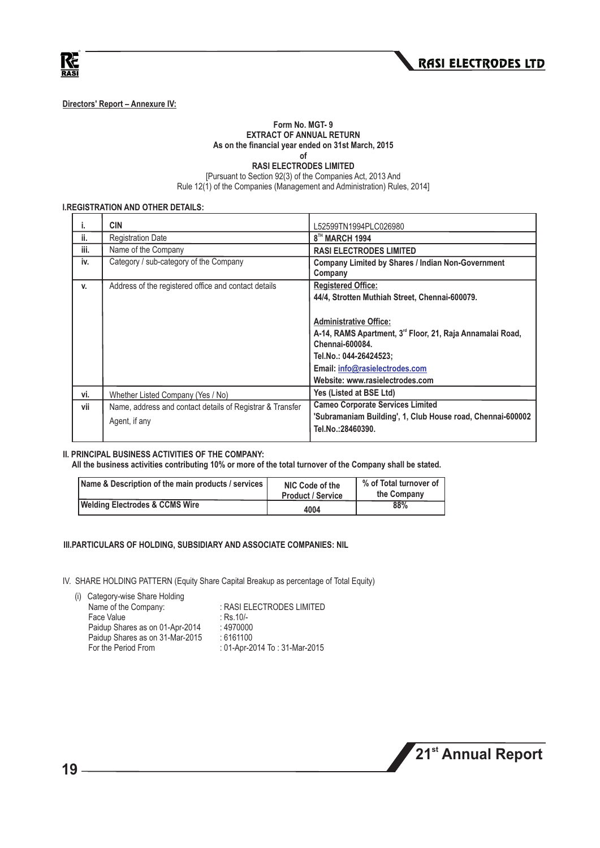



**Directors' Report – Annexure IV:** 

#### **Form No. MGT- 9 EXTRACT OF ANNUAL RETURN As on the financial year ended on 31st March, 2015 of**

**RASI ELECTRODES LIMITED**

[Pursuant to Section 92(3) of the Companies Act, 2013 And

Rule 12(1) of the Companies (Management and Administration) Rules, 2014]

#### **I.REGISTRATION AND OTHER DETAILS:**

| i.   | <b>CIN</b>                                                                 | L52599TN1994PLC026980                                                                                                                                                                                                                                                                                   |
|------|----------------------------------------------------------------------------|---------------------------------------------------------------------------------------------------------------------------------------------------------------------------------------------------------------------------------------------------------------------------------------------------------|
| ii.  | <b>Registration Date</b>                                                   | 8 <sup>TH</sup> MARCH 1994                                                                                                                                                                                                                                                                              |
| iii. | Name of the Company                                                        | <b>RASI ELECTRODES LIMITED</b>                                                                                                                                                                                                                                                                          |
| iv.  | Category / sub-category of the Company                                     | <b>Company Limited by Shares / Indian Non-Government</b><br>Company                                                                                                                                                                                                                                     |
| V.   | Address of the registered office and contact details                       | <b>Registered Office:</b><br>44/4, Strotten Muthiah Street, Chennai-600079.<br><b>Administrative Office:</b><br>A-14, RAMS Apartment, 3 <sup>rd</sup> Floor, 21, Raja Annamalai Road,<br>Chennai-600084.<br>Tel.No.: 044-26424523;<br>Email: info@rasielectrodes.com<br>Website: www.rasielectrodes.com |
| vi.  | Whether Listed Company (Yes / No)                                          | Yes (Listed at BSE Ltd)                                                                                                                                                                                                                                                                                 |
| vii  | Name, address and contact details of Registrar & Transfer<br>Agent, if any | <b>Cameo Corporate Services Limited</b><br>'Subramaniam Building', 1, Club House road, Chennai-600002<br>Tel.No.:28460390.                                                                                                                                                                              |

#### **II. PRINCIPAL BUSINESS ACTIVITIES OF THE COMPANY:**

**All the business activities contributing 10% or more of the total turnover of the Company shall be stated.**

| Name & Description of the main products / services | NIC Code of the<br><b>Product / Service</b> | % of Total turnover of<br>the Company |
|----------------------------------------------------|---------------------------------------------|---------------------------------------|
| <b>Welding Electrodes &amp; CCMS Wire</b>          | 4004                                        | 88%                                   |

#### **III.PARTICULARS OF HOLDING, SUBSIDIARY AND ASSOCIATE COMPANIES: NIL**

IV. SHARE HOLDING PATTERN (Equity Share Capital Breakup as percentage of Total Equity)

| (i) Category-wise Share Holding |                                |
|---------------------------------|--------------------------------|
| Name of the Company:            | : RASI ELECTRODES LIMITED      |
| Face Value                      | $:$ Rs. 10/-                   |
| Paidup Shares as on 01-Apr-2014 | : 4970000                      |
| Paidup Shares as on 31-Mar-2015 | :6161100                       |
| For the Period From             | : 01-Apr-2014 To : 31-Mar-2015 |

**st 21 Annual Report**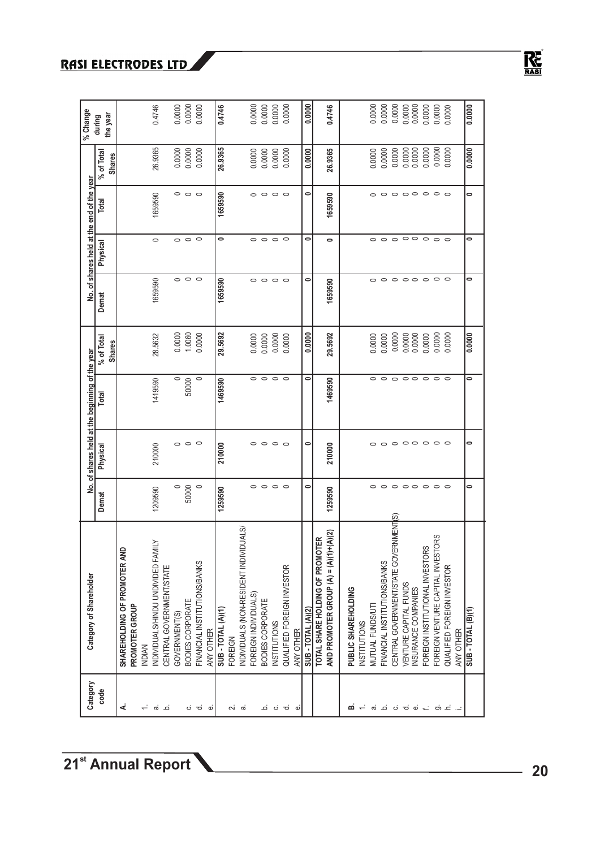| Category               | Category of Shareholder                                   |                         |                         | No. of shares held at the beginning of the year |                             |                         |                         | No. of shares held at the end of the year |                             | % Change             |
|------------------------|-----------------------------------------------------------|-------------------------|-------------------------|-------------------------------------------------|-----------------------------|-------------------------|-------------------------|-------------------------------------------|-----------------------------|----------------------|
| code                   |                                                           | Demat                   | Physical                | Total                                           | % of Total<br><b>Shares</b> | Demat                   | Physical                | Total                                     | % of Total<br><b>Shares</b> | the year<br>during   |
| ∢                      | $\Omega$<br>SHAREHOLDING OF PROMOTER AN<br>PROMOTER GROUP |                         |                         |                                                 |                             |                         |                         |                                           |                             |                      |
| $\div$                 | <b>INDIAN</b>                                             |                         |                         |                                                 |                             |                         |                         |                                           |                             |                      |
| ത് ച                   | <b>ATII</b> N<br>INDIVIDUALS/HINDU UNDIVIDED FAI          | 1209590                 | 210000                  | 1419590                                         | 28.5632                     | 1659590                 | $\circ$                 | 1659590                                   | 26.9365                     | 0.4746               |
|                        | CENTRAL GOVERNMENT/STATE                                  |                         |                         |                                                 |                             |                         |                         |                                           |                             |                      |
|                        | GOVERNMENT(S)                                             | $\circ$                 |                         | $\circ$                                         | 0.0000                      |                         |                         |                                           | 0.0000                      |                      |
|                        | <b>BODIES CORPORATE</b>                                   | 50000                   | $\circ$ $\circ$ $\circ$ | 50000                                           | 1.0060                      | $\circ$ $\circ$ $\circ$ | $\circ$ $\circ$ $\circ$ | $\circ$ $\circ$ $\circ$                   | 0.0000                      | $0.0000$<br>$0.0000$ |
| ပံ ဗ<br>نه             | FINANCIAL INSTITUTIONS/BANKS<br>ANY OTHER                 | $\circ$                 |                         | $\circ$                                         | 0.0000                      |                         |                         |                                           | 0.0000                      |                      |
|                        | SUB - TOTAL (A)(1)                                        | 1259590                 | 210000                  | 1469590                                         | 29.5692                     | 1659590                 | 0                       | 1659590                                   | 26.9365                     | 0.4746               |
|                        | FOREIGN                                                   |                         |                         |                                                 |                             |                         |                         |                                           |                             |                      |
| പ് ര്                  | INDIVIDUALS (NON-RESIDENT INDIVIDUALS/                    |                         |                         |                                                 |                             |                         |                         |                                           |                             |                      |
|                        | FOREIGN INDIVIDUALS)                                      |                         | $\circ$                 |                                                 | 0.0000                      | $\circ$                 |                         |                                           | 0.0000                      | 0.0000               |
|                        | BODIES CORPORATE                                          | $\circ\circ\circ\circ$  | $\circ$ $\circ$ $\circ$ | $\circ$ $\circ$ $\circ$                         | 0.0000                      | $\circ$                 | $\circ$ $\circ$ $\circ$ | $\circ\circ\circ\circ$                    | 0.0000                      | 0.0000               |
|                        | <b>INSTITUTIONS</b>                                       |                         |                         |                                                 | 0.0000                      | $\circ$ $\circ$         |                         |                                           | 0.0000                      | 0.0000               |
| ம் ப் ப                | QUALIFIED FOREIGN INVESTOR                                |                         |                         |                                                 | 0.0000                      |                         |                         |                                           | 0.0000                      | 0.0000               |
| $\dot{\sigma}$         | ANY OTHER                                                 |                         |                         |                                                 |                             |                         |                         |                                           |                             |                      |
|                        | SUB-TOTAL (A)(2)                                          | 0                       | 0                       | 0                                               | 0.0000                      | 0                       | 0                       | 0                                         | 0.0000                      | 0.0000               |
|                        | <b>DTER</b><br>TOTAL SHARE HOLDING OF PROMO               |                         |                         |                                                 |                             |                         |                         |                                           |                             |                      |
|                        | $)+(A)(2)$<br>AND PROMOTER GROUP $(A) = (A)(1)$           | 1259590                 | 210000                  | 1469590                                         | 29.5692                     | 1659590                 | $\bullet$               | 1659590                                   | 26.9365                     | 0.4746               |
|                        | PUBLIC SHAREHOLDING                                       |                         |                         |                                                 |                             |                         |                         |                                           |                             |                      |
| മ —                    | <b>INSTITUTIONS</b>                                       |                         |                         |                                                 |                             |                         |                         |                                           |                             |                      |
|                        | MUTUAL FUNDS/UT                                           | $\circ$                 | $\circ$                 |                                                 | 0.0000                      | $\circ$                 |                         |                                           | 0.0000                      | 0.0000               |
| க் ⊿் ப் ச் ப் ← க் ட் | FINANCIAL INSTITUTIONS/BANKS                              | $\circ$                 | $\circ$                 | $\circ$ $\circ$                                 | 0.0000                      | $\circ$                 | $\circ$ $\circ$ $\circ$ | 。。。。。。。。                                  | 0.0000                      | 0.0000               |
|                        | ERNMENTS)<br>CENTRAL GOVERNMENT/STATE GOV                 |                         | $\circ$                 | $\circ$                                         | 0.0000                      |                         |                         |                                           | 0.0000                      | 0.0000               |
|                        | VENTURE CAPITAL FUNDS                                     | $\circ$ $\circ$ $\circ$ | $\circ$                 | $\circ$                                         | 0.0000                      | 0000000                 | $\circ$                 |                                           | 0.0000                      | 0.0000               |
|                        | INSURANCE COMPANIES                                       |                         |                         |                                                 | 0.0000                      |                         |                         |                                           | 0.0000                      | 0.0000               |
|                        | FOREIGN INSTITUTIONAL INVESTORS                           | $\circ$                 | $\circ$                 | $\circ$                                         | 0.0000                      |                         | $\circ$                 |                                           | 0.0000                      | 0.0000               |
|                        | FOREIGN VENTURE CAPITAL INVESTORS                         | $\circ$                 | $\circ$                 | $\circ$ $\circ$                                 | 0.0000                      |                         | $\circ$ $\circ$         |                                           | 0.0000                      | 0.0000               |
|                        | QUALIFIED FOREIGN INVESTOR<br><b>ANY OTHER</b>            | $\circ$                 | $\circ$                 |                                                 | 0.0000                      |                         |                         |                                           | 0.0000                      | 0.0000               |
|                        | SUB - TOTAL (B)(1)                                        | 0                       | 0                       | 0                                               | $\frac{0.0000}{2}$          | 0                       | 0                       | 0                                         | 0.0000                      | 0.0000               |
|                        |                                                           |                         |                         |                                                 |                             |                         |                         |                                           |                             |                      |

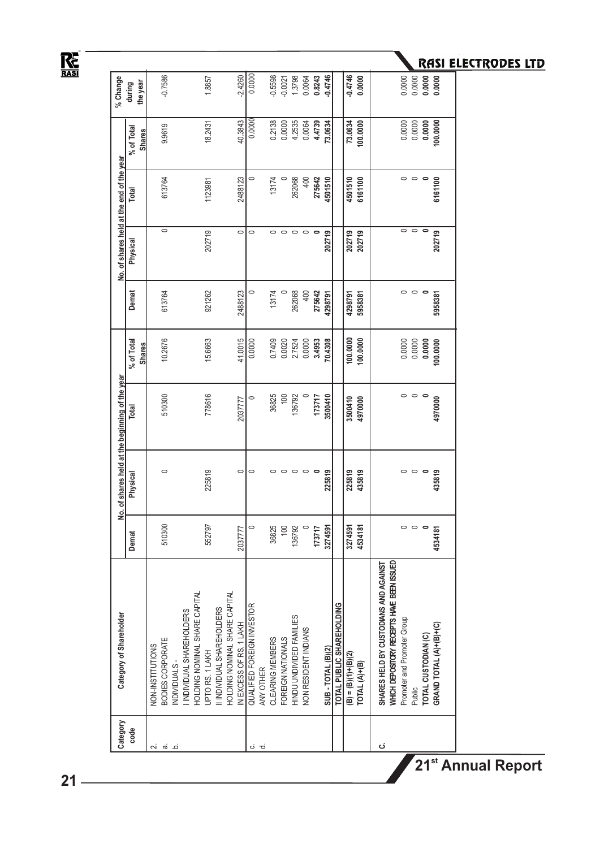# $R_{\text{RASI}}$

| Category     | Category of Shareholder                                                  |                 |          | No. of shares held at the beginning of the year |               |                         | No. of shares held at the end of the year |         |               | % Change  |
|--------------|--------------------------------------------------------------------------|-----------------|----------|-------------------------------------------------|---------------|-------------------------|-------------------------------------------|---------|---------------|-----------|
| code         |                                                                          | Demat           | Physical | Total                                           | % of Total    | Demat                   | Physical                                  | Total   | % of Total    | during    |
|              |                                                                          |                 |          |                                                 | <b>Shares</b> |                         |                                           |         | <b>Shares</b> | the year  |
| Ń۰           | NON-INSTITUTIONS                                                         |                 |          |                                                 |               |                         |                                           |         |               |           |
| <del>ര</del> | BODIES CORPORATE                                                         | 510300          | $\circ$  | 510300                                          | 10.2676       | 613764                  | $\circ$                                   | 613764  | 9.9619        | $-0.7586$ |
| .<br>م       | NDIVIDUALS-                                                              |                 |          |                                                 |               |                         |                                           |         |               |           |
|              | I INDIVIDUAL SHAREHOLDERS                                                |                 |          |                                                 |               |                         |                                           |         |               |           |
|              | HOLDING NOMINAL SHARE CAPITAL                                            |                 |          |                                                 |               |                         |                                           |         |               |           |
|              | UPTO RS. 1 LAKH                                                          | 552797          | 225819   | 778616                                          | 15.6663       | 921262                  | 202719                                    | 1123981 | 18.2431       | 1.8857    |
|              | II INDIVIDUAL SHAREHOLDERS                                               |                 |          |                                                 |               |                         |                                           |         |               |           |
|              | HOLDING NOMINAL SHARE CAPITAL                                            |                 |          |                                                 |               |                         |                                           |         |               |           |
|              | IN EXCESS OF RS. 1 LAKH                                                  | 2037777         | $\circ$  | 2037777                                         | 41.0015       | 2488123                 | $\circ$                                   | 2488123 | 40.3843       | $-2.4260$ |
| ن            | QUALIFIED FOREIGN INVESTOR                                               | $\circ$         | $\circ$  | $\circ$                                         | 0.0000        | $\circ$                 | $\circ$                                   | $\circ$ | 0.0000        | 0.0000    |
| ರ            | ANY OTHER                                                                |                 |          |                                                 |               |                         |                                           |         |               |           |
|              | CLEARING MEMBERS                                                         | 36825           | $\circ$  | 36825                                           | 0.7409        | 13174                   | $\circ$                                   | 13174   | 0.2138        | -0.5598   |
|              | FOREIGN NATIONALS                                                        | $\approx$       | $\circ$  | 100                                             | 0.0020        |                         | $\circ$                                   |         | 0.0000        | $-0.0021$ |
|              | HINDU UNDIVIDED FAMILIES                                                 | 136792          | $\circ$  | 136792                                          | 2.7524        | 262068                  | $\circ$                                   | 262068  | 4.2535        | 1.3798    |
|              | <b>VON RESIDENT INDIANS</b>                                              | $\circ$         | $\circ$  |                                                 | 0.0000        | 400                     | $\circ$                                   | 400     | 0.0064        | 0.0064    |
|              |                                                                          | 173717          | $\circ$  | 173717                                          | 3.4953        | 275642                  |                                           | 275642  | 4.4739        | 0.8243    |
|              | SUB - TOTAL (B)(2)                                                       | 3274591         | 225819   | 3500410                                         | 70.4308       | 4298791                 | 202719                                    | 4501510 | 73.0634       | $-0.4746$ |
|              | TOTAL PUBLIC SHAREHOLDING                                                |                 |          |                                                 |               |                         |                                           |         |               |           |
|              | $(B) = (B)(1)+(B)(2)$                                                    | 3274591         | 225819   | 3500410                                         | 100.0000      | 4298791                 | 202719                                    | 4501510 | 73.0634       | $-0.4746$ |
|              | TOTAL (A)+(B)                                                            | 4534181         | 435819   | 4970000                                         | 100.0000      | 5958381                 | 202719                                    | 6161100 | 100.0000      | 0.0000    |
| ن            | SHARES HELD BY CUSTODIANS AND AGAINST                                    |                 |          |                                                 |               |                         |                                           |         |               |           |
|              | WHICH DEPOSITORY RECEPTS HAVE BEEN ISSUED<br>Promoter and Promoter Group |                 | $\circ$  | $\circ$                                         | 0.0000        |                         | $\circ$                                   | $\circ$ | 0.0000        | 0.0000    |
|              | Public                                                                   | $\circ$ $\circ$ | $\circ$  | $\circ$                                         | 0.0000        | $\circ$ $\circ$ $\circ$ | $\circ$                                   | $\circ$ | 0.0000        | 0.0000    |
|              | TOTAL CUSTODIAN (C)                                                      | $\circ$         |          | $\circ$                                         | 0.0000        |                         |                                           |         | 0.0000        | 0.0000    |
|              | GRAND TOTAL (A)+(B)+(C)                                                  | 4534181         | 435819   | 4970000                                         | 100.0000      | 5958381                 | 202719                                    | 6161100 | 100.0000      |           |
|              |                                                                          |                 |          |                                                 |               |                         |                                           |         |               |           |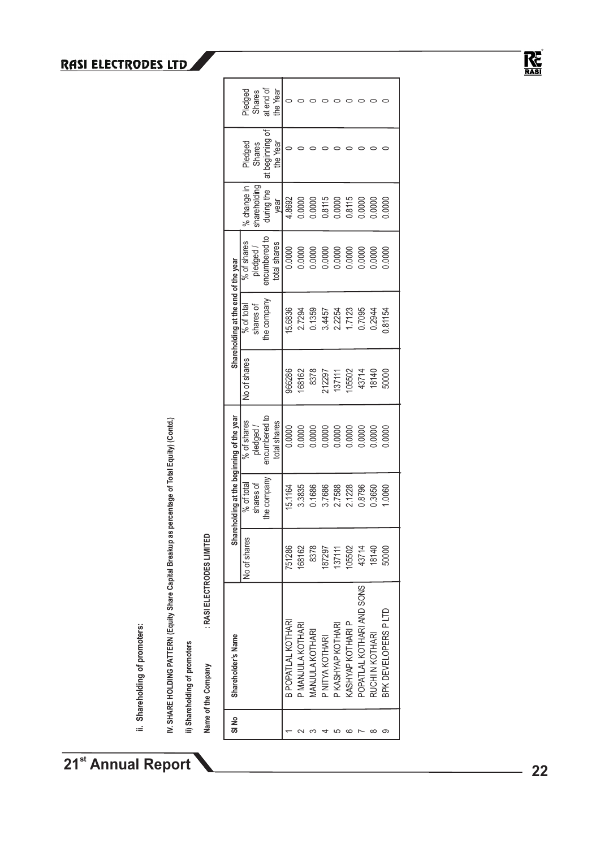ii. Shareholding of promoters: **ii. Shareholding of promoters:** IV. SHARE HOLDING PATTERN (Equity Share Capital Breakup as percentage of Total Equity) (Contd.) **IV. SHARE HOLDING PATTERN (Equity Share Capital Breakup as percentage of Total Equity) (Contd.)**

ii) Shareholding of promoters **ii) Shareholding of promoters** : RASI ELECTRODES LIMITED **Name of the Company : RASI ELECTRODES LIMITED** Name of the Company

|                                        | Pledged      | Shares       | at end of<br>đ | the Year     | 0                  |                   |                               |                  |                        |                          |                          |                         |                      |
|----------------------------------------|--------------|--------------|----------------|--------------|--------------------|-------------------|-------------------------------|------------------|------------------------|--------------------------|--------------------------|-------------------------|----------------------|
|                                        | Pledged      | Shares       | at beginning   | the Year     |                    |                   |                               |                  |                        |                          |                          |                         |                      |
|                                        | % change in  | shareholding | during the     | year         | 4.8692             | 0.0000            | 0.0000                        | 0.8115<br>0.0000 |                        | 0.8115                   | 0.0000                   | 0.000                   | 0.000                |
|                                        | % of shares  | pledged/     | encumbered to  | total shares | 0.0000             | 0.0000            | 0000                          | 0.0000           |                        | 0.000C                   |                          | 0.0000                  | 0000                 |
| Shareholding at the end of the year    | % of total   | shares of    | he company     |              | 15.6836            | 2.7294            | 0.1359                        | 3.4457           | 2.2254                 | 1.7123                   | 0.7095                   | 0.2944                  | 0.81154              |
|                                        | No of shares |              |                |              | 966286             | 168162            | 8378                          | 212297           | 137111                 | 105502                   | 43714                    | 18140                   | 50000                |
| reholding at the beginning of the year | % of shares  | pledged/     | encumbered to  | total shares | 0.0000             | 0.0000            | 0.0000                        | 0.0000           | 0.0000                 | 0.0000                   | 0000.                    | 0.0000                  | 0000                 |
|                                        | % of total   | shares of    | the company    |              | 15.1164            | 3.3835            | 0.1686                        | 3.7686           | 2.7588                 | 2.1228                   | 0.8796                   | 0.3650                  | 0060                 |
| ີ້<br>ເສ                               | No of shares |              |                |              | 751286             | 168162            | 8378                          | 187297           | 137111                 | 105502                   |                          | 43714<br>18140<br>50000 |                      |
| Shareholder's Name                     |              |              |                |              | B POPATLAL KOTHARI | P MANJULA KOTHARI | <b><i>IANJULA KOTHARI</i></b> | P NITYA KOTHARI  | <b>KASHYAP KOTHARI</b> | <b>KASHYAP KOTHARI P</b> | OPATLAL KOTHARI AND SONS | <b>RUCHI N KOTHARI</b>  | BPK DEVELOPERS P LTD |
| SI No                                  |              |              |                |              |                    |                   |                               |                  |                        |                          |                          |                         | တ                    |

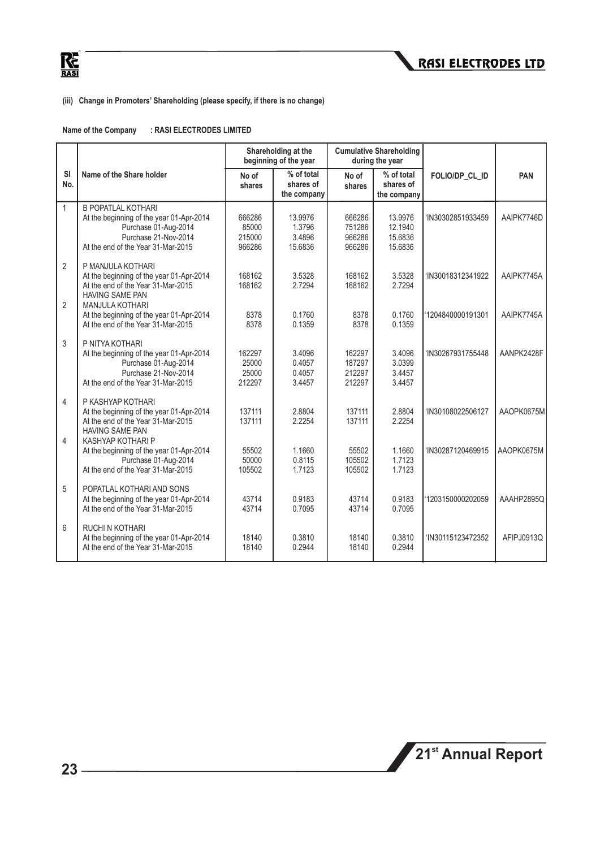

#### **(iii) Change in Promoters' Shareholding (please specify, if there is no change)**

| Name of the Company | : RASI ELECTRODES LIMITED |
|---------------------|---------------------------|
|---------------------|---------------------------|

|                                  |                                                                                                                                                             |                                     | Shareholding at the<br>beginning of the year |                                      | <b>Cumulative Shareholding</b><br>during the year |                   |            |
|----------------------------------|-------------------------------------------------------------------------------------------------------------------------------------------------------------|-------------------------------------|----------------------------------------------|--------------------------------------|---------------------------------------------------|-------------------|------------|
| <b>SI</b><br>No.                 | Name of the Share holder                                                                                                                                    | No of<br>shares                     | % of total<br>shares of<br>the company       | No of<br>shares                      | % of total<br>shares of<br>the company            | FOLIO/DP_CL_ID    | <b>PAN</b> |
| $\mathbf{1}$                     | <b>B POPATLAL KOTHARI</b><br>At the beginning of the year 01-Apr-2014<br>Purchase 01-Aug-2014<br>Purchase 21-Nov-2014<br>At the end of the Year 31-Mar-2015 | 666286<br>85000<br>215000<br>966286 | 13.9976<br>1.3796<br>3.4896<br>15.6836       | 666286<br>751286<br>966286<br>966286 | 13.9976<br>12.1940<br>15.6836<br>15.6836          | 'IN30302851933459 | AAIPK7746D |
| $\overline{2}$<br>$\overline{2}$ | P MANJULA KOTHARI<br>At the beginning of the year 01-Apr-2014<br>At the end of the Year 31-Mar-2015<br><b>HAVING SAME PAN</b><br><b>MANJULA KOTHARI</b>     | 168162<br>168162                    | 3.5328<br>2.7294                             | 168162<br>168162                     | 3.5328<br>2.7294                                  | 'IN30018312341922 | AAIPK7745A |
|                                  | At the beginning of the year 01-Apr-2014<br>At the end of the Year 31-Mar-2015                                                                              | 8378<br>8378                        | 0.1760<br>0.1359                             | 8378<br>8378                         | 0.1760<br>0.1359                                  | 1204840000191301  | AAIPK7745A |
| 3                                | P NITYA KOTHARI<br>At the beginning of the year 01-Apr-2014<br>Purchase 01-Aug-2014<br>Purchase 21-Nov-2014<br>At the end of the Year 31-Mar-2015           | 162297<br>25000<br>25000<br>212297  | 3.4096<br>0.4057<br>0.4057<br>3.4457         | 162297<br>187297<br>212297<br>212297 | 3.4096<br>3.0399<br>3.4457<br>3.4457              | 'IN30267931755448 | AANPK2428F |
| $\overline{4}$                   | P KASHYAP KOTHARI<br>At the beginning of the year 01-Apr-2014<br>At the end of the Year 31-Mar-2015<br><b>HAVING SAME PAN</b>                               | 137111<br>137111                    | 2.8804<br>2.2254                             | 137111<br>137111                     | 2.8804<br>2.2254                                  | 'IN30108022506127 | AAOPK0675M |
| 4                                | KASHYAP KOTHARI P<br>At the beginning of the year 01-Apr-2014<br>Purchase 01-Aug-2014<br>At the end of the Year 31-Mar-2015                                 | 55502<br>50000<br>105502            | 1.1660<br>0.8115<br>1.7123                   | 55502<br>105502<br>105502            | 1.1660<br>1.7123<br>1.7123                        | 'IN30287120469915 | AAOPK0675M |
| 5                                | POPATLAL KOTHARI AND SONS<br>At the beginning of the year 01-Apr-2014<br>At the end of the Year 31-Mar-2015                                                 | 43714<br>43714                      | 0.9183<br>0.7095                             | 43714<br>43714                       | 0.9183<br>0.7095                                  | 1203150000202059  | AAAHP2895Q |
| 6                                | <b>RUCHI N KOTHARI</b><br>At the beginning of the year 01-Apr-2014<br>At the end of the Year 31-Mar-2015                                                    | 18140<br>18140                      | 0.3810<br>0.2944                             | 18140<br>18140                       | 0.3810<br>0.2944                                  | 'IN30115123472352 | AFIPJ0913Q |

**21<sup>st</sup> Annual Report**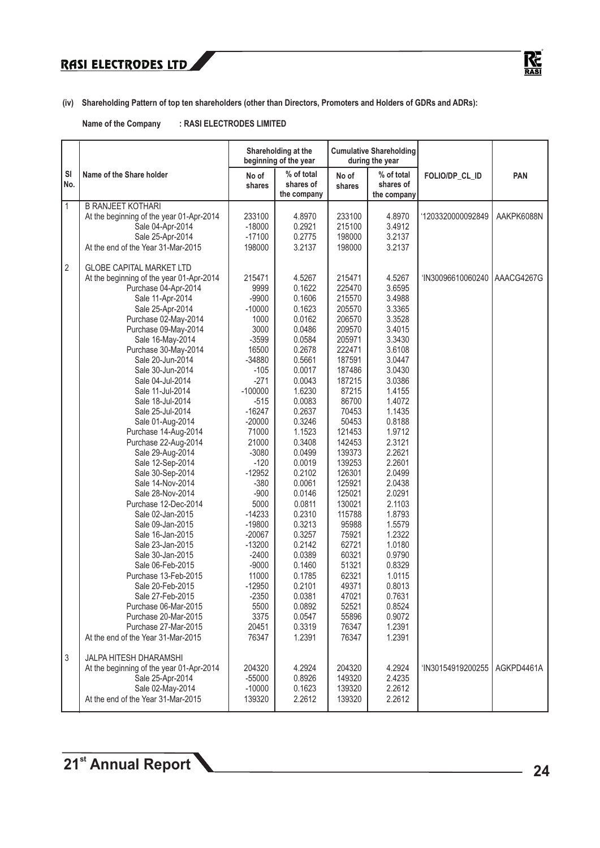

**(iv) Shareholding Pattern of top ten shareholders (other than Directors, Promoters and Holders of GDRs and ADRs):**

**Name of the Company : RASI ELECTRODES LIMITED**

|                |                                                            |                 | Shareholding at the<br>beginning of the year |                 | <b>Cumulative Shareholding</b><br>during the year |                   |            |
|----------------|------------------------------------------------------------|-----------------|----------------------------------------------|-----------------|---------------------------------------------------|-------------------|------------|
| SI<br>No.      | Name of the Share holder                                   | No of<br>shares | % of total<br>shares of<br>the company       | No of<br>shares | % of total<br>shares of<br>the company            | FOLIO/DP_CL_ID    | PAN        |
| $\mathbf{1}$   | <b>B RANJEET KOTHARI</b>                                   |                 |                                              |                 |                                                   |                   |            |
|                | At the beginning of the year 01-Apr-2014                   | 233100          | 4.8970                                       | 233100          | 4.8970                                            | '1203320000092849 | AAKPK6088N |
|                | Sale 04-Apr-2014                                           | $-18000$        | 0.2921                                       | 215100          | 3.4912                                            |                   |            |
|                | Sale 25-Apr-2014                                           | $-17100$        | 0.2775                                       | 198000          | 3.2137                                            |                   |            |
|                | At the end of the Year 31-Mar-2015                         | 198000          | 3.2137                                       | 198000          | 3.2137                                            |                   |            |
| $\overline{2}$ | <b>GLOBE CAPITAL MARKET LTD</b>                            |                 |                                              |                 |                                                   |                   |            |
|                | At the beginning of the year 01-Apr-2014                   | 215471          | 4.5267                                       | 215471          | 4.5267                                            | 'IN30096610060240 | AAACG4267G |
|                | Purchase 04-Apr-2014                                       | 9999            | 0.1622                                       | 225470          | 3.6595                                            |                   |            |
|                | Sale 11-Apr-2014                                           | $-9900$         | 0.1606                                       | 215570          | 3.4988                                            |                   |            |
|                | Sale 25-Apr-2014                                           | $-10000$        | 0.1623                                       | 205570          | 3.3365                                            |                   |            |
|                | Purchase 02-May-2014                                       | 1000            | 0.0162                                       | 206570          | 3.3528                                            |                   |            |
|                | Purchase 09-May-2014                                       | 3000            | 0.0486                                       | 209570          | 3.4015                                            |                   |            |
|                | Sale 16-May-2014                                           | $-3599$         | 0.0584                                       | 205971          | 3.3430                                            |                   |            |
|                | Purchase 30-May-2014                                       | 16500           | 0.2678                                       | 222471          | 3.6108                                            |                   |            |
|                | Sale 20-Jun-2014                                           | $-34880$        | 0.5661                                       | 187591          | 3.0447                                            |                   |            |
|                | Sale 30-Jun-2014                                           | $-105$          | 0.0017                                       | 187486          | 3.0430                                            |                   |            |
|                | Sale 04-Jul-2014                                           | $-271$          | 0.0043                                       | 187215          | 3.0386                                            |                   |            |
|                | Sale 11-Jul-2014                                           | $-100000$       | 1.6230                                       | 87215           | 1.4155                                            |                   |            |
|                | Sale 18-Jul-2014                                           | $-515$          | 0.0083                                       | 86700           | 1.4072                                            |                   |            |
|                | Sale 25-Jul-2014                                           | $-16247$        | 0.2637                                       | 70453           | 1.1435                                            |                   |            |
|                | Sale 01-Aug-2014                                           | $-20000$        | 0.3246                                       | 50453           | 0.8188                                            |                   |            |
|                | Purchase 14-Aug-2014                                       | 71000           | 1.1523                                       | 121453          | 1.9712                                            |                   |            |
|                | Purchase 22-Aug-2014                                       | 21000           | 0.3408                                       | 142453          | 2.3121                                            |                   |            |
|                | Sale 29-Aug-2014                                           | $-3080$         | 0.0499                                       | 139373          | 2.2621                                            |                   |            |
|                | Sale 12-Sep-2014                                           | $-120$          | 0.0019                                       | 139253          | 2.2601                                            |                   |            |
|                | Sale 30-Sep-2014                                           | $-12952$        | 0.2102                                       | 126301          | 2.0499                                            |                   |            |
|                | Sale 14-Nov-2014                                           | $-380$          | 0.0061                                       | 125921          | 2.0438                                            |                   |            |
|                | Sale 28-Nov-2014                                           | $-900$          | 0.0146                                       | 125021          | 2.0291                                            |                   |            |
|                | Purchase 12-Dec-2014                                       | 5000            | 0.0811                                       | 130021          | 2.1103                                            |                   |            |
|                | Sale 02-Jan-2015                                           | $-14233$        | 0.2310                                       | 115788          | 1.8793                                            |                   |            |
|                | Sale 09-Jan-2015                                           | $-19800$        | 0.3213                                       | 95988           | 1.5579                                            |                   |            |
|                | Sale 16-Jan-2015                                           | $-20067$        | 0.3257                                       | 75921           | 1.2322                                            |                   |            |
|                | Sale 23-Jan-2015                                           | $-13200$        | 0.2142                                       | 62721           | 1.0180                                            |                   |            |
|                | Sale 30-Jan-2015                                           | $-2400$         | 0.0389                                       | 60321           | 0.9790                                            |                   |            |
|                | Sale 06-Feb-2015                                           | $-9000$         | 0.1460                                       | 51321           | 0.8329                                            |                   |            |
|                | Purchase 13-Feb-2015                                       | 11000           | 0.1785                                       | 62321           | 1.0115                                            |                   |            |
|                | Sale 20-Feb-2015                                           | $-12950$        | 0.2101                                       | 49371           | 0.8013                                            |                   |            |
|                | Sale 27-Feb-2015                                           | $-2350$         | 0.0381                                       | 47021           | 0.7631                                            |                   |            |
|                | Purchase 06-Mar-2015                                       | 5500            | 0.0892                                       | 52521           | 0.8524                                            |                   |            |
|                | Purchase 20-Mar-2015                                       | 3375            | 0.0547                                       | 55896           | 0.9072                                            |                   |            |
|                | Purchase 27-Mar-2015<br>At the end of the Year 31-Mar-2015 | 20451<br>76347  | 0.3319<br>1.2391                             | 76347<br>76347  | 1.2391<br>1.2391                                  |                   |            |
|                |                                                            |                 |                                              |                 |                                                   |                   |            |
| $\sqrt{3}$     | <b>JALPA HITESH DHARAMSHI</b>                              |                 |                                              |                 |                                                   |                   |            |
|                | At the beginning of the year 01-Apr-2014                   | 204320          | 4.2924                                       | 204320          | 4.2924                                            | 'IN30154919200255 | AGKPD4461A |
|                | Sale 25-Apr-2014                                           | -55000          | 0.8926                                       | 149320          | 2.4235                                            |                   |            |
|                | Sale 02-May-2014                                           | $-10000$        | 0.1623                                       | 139320          | 2.2612                                            |                   |            |
|                | At the end of the Year 31-Mar-2015                         | 139320          | 2.2612                                       | 139320          | 2.2612                                            |                   |            |
|                |                                                            |                 |                                              |                 |                                                   |                   |            |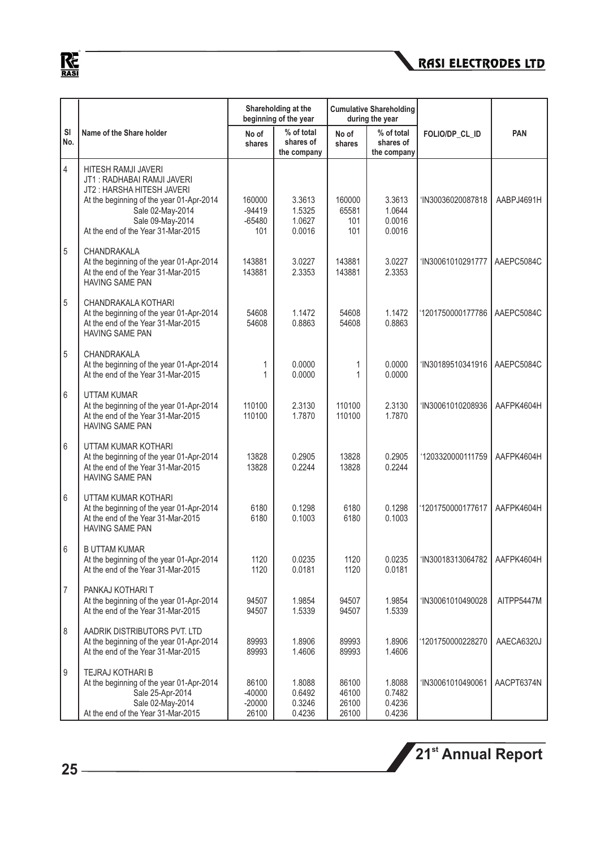

|                  |                                                                                                                                                                                                          |                                        | Shareholding at the<br>beginning of the year |                                  | <b>Cumulative Shareholding</b><br>during the year |                   |            |
|------------------|----------------------------------------------------------------------------------------------------------------------------------------------------------------------------------------------------------|----------------------------------------|----------------------------------------------|----------------------------------|---------------------------------------------------|-------------------|------------|
| SI<br>No.        | Name of the Share holder                                                                                                                                                                                 | No of<br>shares                        | % of total<br>shares of<br>the company       | No of<br>shares                  | % of total<br>shares of<br>the company            | FOLIO/DP_CL_ID    | <b>PAN</b> |
| 4                | HITESH RAMJI JAVERI<br>JT1: RADHABAI RAMJI JAVERI<br>JT2: HARSHA HITESH JAVERI<br>At the beginning of the year 01-Apr-2014<br>Sale 02-May-2014<br>Sale 09-May-2014<br>At the end of the Year 31-Mar-2015 | 160000<br>$-94419$<br>$-65480$<br>101  | 3.3613<br>1.5325<br>1.0627<br>0.0016         | 160000<br>65581<br>101<br>101    | 3.3613<br>1.0644<br>0.0016<br>0.0016              | 'IN30036020087818 | AABPJ4691H |
| 5                | CHANDRAKALA<br>At the beginning of the year 01-Apr-2014<br>At the end of the Year 31-Mar-2015<br><b>HAVING SAME PAN</b>                                                                                  | 143881<br>143881                       | 3.0227<br>2.3353                             | 143881<br>143881                 | 3.0227<br>2.3353                                  | 'IN30061010291777 | AAEPC5084C |
| 5                | CHANDRAKALA KOTHARI<br>At the beginning of the year 01-Apr-2014<br>At the end of the Year 31-Mar-2015<br><b>HAVING SAME PAN</b>                                                                          | 54608<br>54608                         | 1.1472<br>0.8863                             | 54608<br>54608                   | 1.1472<br>0.8863                                  | '1201750000177786 | AAEPC5084C |
| 5                | CHANDRAKALA<br>At the beginning of the year 01-Apr-2014<br>At the end of the Year 31-Mar-2015                                                                                                            | 1<br>1                                 | 0.0000<br>0.0000                             | 1<br>1                           | 0.0000<br>0.0000                                  | 'IN30189510341916 | AAEPC5084C |
| 6                | <b>UTTAM KUMAR</b><br>At the beginning of the year 01-Apr-2014<br>At the end of the Year 31-Mar-2015<br><b>HAVING SAME PAN</b>                                                                           | 110100<br>110100                       | 2.3130<br>1.7870                             | 110100<br>110100                 | 2.3130<br>1.7870                                  | 'IN30061010208936 | AAFPK4604H |
| 6                | UTTAM KUMAR KOTHARI<br>At the beginning of the year 01-Apr-2014<br>At the end of the Year 31-Mar-2015<br><b>HAVING SAME PAN</b>                                                                          | 13828<br>13828                         | 0.2905<br>0.2244                             | 13828<br>13828                   | 0.2905<br>0.2244                                  | '1203320000111759 | AAFPK4604H |
| 6                | UTTAM KUMAR KOTHARI<br>At the beginning of the year 01-Apr-2014<br>At the end of the Year 31-Mar-2015<br><b>HAVING SAME PAN</b>                                                                          | 6180<br>6180                           | 0.1298<br>0.1003                             | 6180<br>6180                     | 0.1298<br>0.1003                                  | '1201750000177617 | AAFPK4604H |
| 6                | <b>B UTTAM KUMAR</b><br>At the beginning of the year 01-Apr-2014<br>At the end of the Year 31-Mar-2015                                                                                                   | 1120<br>1120                           | 0.0235<br>0.0181                             | 1120<br>1120                     | 0.0235<br>0.0181                                  | 'IN30018313064782 | AAFPK4604H |
| 7                | PANKAJ KOTHARI T<br>At the beginning of the year 01-Apr-2014<br>At the end of the Year 31-Mar-2015                                                                                                       | 94507<br>94507                         | 1.9854<br>1.5339                             | 94507<br>94507                   | 1.9854<br>1.5339                                  | 'IN30061010490028 | AITPP5447M |
| 8                | AADRIK DISTRIBUTORS PVT. LTD<br>At the beginning of the year 01-Apr-2014<br>At the end of the Year 31-Mar-2015                                                                                           | 89993<br>89993                         | 1.8906<br>1.4606                             | 89993<br>89993                   | 1.8906<br>1.4606                                  | '1201750000228270 | AAECA6320J |
| $\boldsymbol{9}$ | TEJRAJ KOTHARI B<br>At the beginning of the year 01-Apr-2014<br>Sale 25-Apr-2014<br>Sale 02-May-2014<br>At the end of the Year 31-Mar-2015                                                               | 86100<br>$-40000$<br>$-20000$<br>26100 | 1.8088<br>0.6492<br>0.3246<br>0.4236         | 86100<br>46100<br>26100<br>26100 | 1.8088<br>0.7482<br>0.4236<br>0.4236              | 'IN30061010490061 | AACPT6374N |

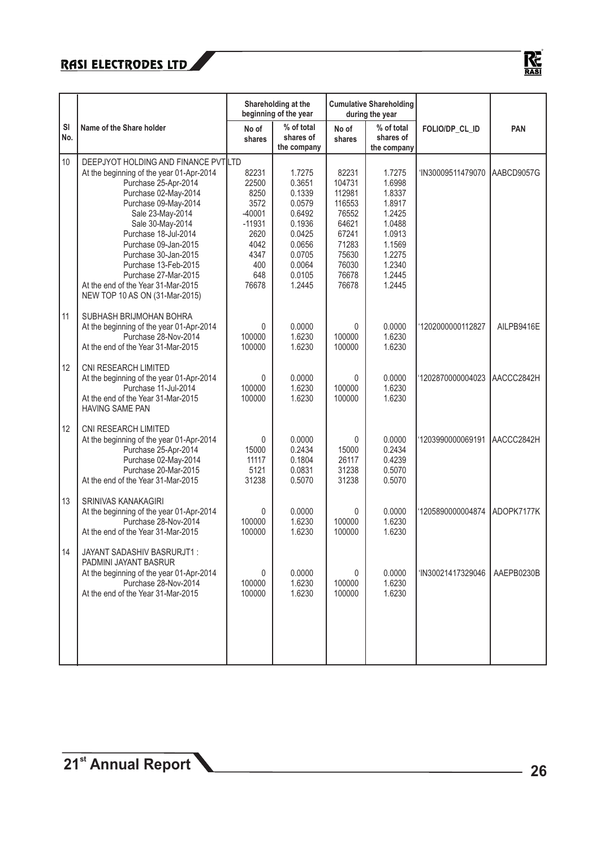

|           |                                                                                                                                                                                                                                                                                                                                                                |                                                                                                       | Shareholding at the<br>beginning of the year                                                                         |                                                                                                             | <b>Cumulative Shareholding</b><br>during the year                                                                    |                   |            |
|-----------|----------------------------------------------------------------------------------------------------------------------------------------------------------------------------------------------------------------------------------------------------------------------------------------------------------------------------------------------------------------|-------------------------------------------------------------------------------------------------------|----------------------------------------------------------------------------------------------------------------------|-------------------------------------------------------------------------------------------------------------|----------------------------------------------------------------------------------------------------------------------|-------------------|------------|
| SI<br>No. | Name of the Share holder                                                                                                                                                                                                                                                                                                                                       | No of<br>shares                                                                                       | % of total<br>shares of<br>the company                                                                               | No of<br>shares                                                                                             | % of total<br>shares of<br>the company                                                                               | FOLIO/DP_CL_ID    | <b>PAN</b> |
| 10        | DEEPJYOT HOLDING AND FINANCE PVTILTD<br>At the beginning of the year 01-Apr-2014<br>Purchase 25-Apr-2014<br>Purchase 02-May-2014<br>Purchase 09-May-2014<br>Sale 23-May-2014<br>Sale 30-May-2014<br>Purchase 18-Jul-2014<br>Purchase 09-Jan-2015<br>Purchase 30-Jan-2015<br>Purchase 13-Feb-2015<br>Purchase 27-Mar-2015<br>At the end of the Year 31-Mar-2015 | 82231<br>22500<br>8250<br>3572<br>$-40001$<br>$-11931$<br>2620<br>4042<br>4347<br>400<br>648<br>76678 | 1.7275<br>0.3651<br>0.1339<br>0.0579<br>0.6492<br>0.1936<br>0.0425<br>0.0656<br>0.0705<br>0.0064<br>0.0105<br>1.2445 | 82231<br>104731<br>112981<br>116553<br>76552<br>64621<br>67241<br>71283<br>75630<br>76030<br>76678<br>76678 | 1.7275<br>1.6998<br>1.8337<br>1.8917<br>1.2425<br>1.0488<br>1.0913<br>1.1569<br>1.2275<br>1.2340<br>1.2445<br>1.2445 | 'IN30009511479070 | AABCD9057G |
| 11        | NEW TOP 10 AS ON (31-Mar-2015)<br>SUBHASH BRIJMOHAN BOHRA<br>At the beginning of the year 01-Apr-2014<br>Purchase 28-Nov-2014<br>At the end of the Year 31-Mar-2015                                                                                                                                                                                            | 0<br>100000<br>100000                                                                                 | 0.0000<br>1.6230<br>1.6230                                                                                           | $\Omega$<br>100000<br>100000                                                                                | 0.0000<br>1.6230<br>1.6230                                                                                           | '1202000000112827 | AILPB9416E |
| 12        | CNI RESEARCH LIMITED<br>At the beginning of the year 01-Apr-2014<br>Purchase 11-Jul-2014<br>At the end of the Year 31-Mar-2015<br><b>HAVING SAME PAN</b>                                                                                                                                                                                                       | $\mathbf{0}$<br>100000<br>100000                                                                      | 0.0000<br>1.6230<br>1.6230                                                                                           | $\Omega$<br>100000<br>100000                                                                                | 0.0000<br>1.6230<br>1.6230                                                                                           | 1202870000004023  | AACCC2842H |
| 12        | CNI RESEARCH LIMITED<br>At the beginning of the year 01-Apr-2014<br>Purchase 25-Apr-2014<br>Purchase 02-May-2014<br>Purchase 20-Mar-2015<br>At the end of the Year 31-Mar-2015                                                                                                                                                                                 | $\mathbf{0}$<br>15000<br>11117<br>5121<br>31238                                                       | 0.0000<br>0.2434<br>0.1804<br>0.0831<br>0.5070                                                                       | $\mathbf{0}$<br>15000<br>26117<br>31238<br>31238                                                            | 0.0000<br>0.2434<br>0.4239<br>0.5070<br>0.5070                                                                       | 1203990000069191  | AACCC2842H |
| 13        | <b>SRINIVAS KANAKAGIRI</b><br>At the beginning of the year 01-Apr-2014<br>Purchase 28-Nov-2014<br>At the end of the Year 31-Mar-2015                                                                                                                                                                                                                           | 0<br>100000<br>100000                                                                                 | 0.0000<br>1.6230<br>1.6230                                                                                           | $\mathbf{0}$<br>100000<br>100000                                                                            | 0.0000<br>1.6230<br>1.6230                                                                                           | 1205890000004874  | ADOPK7177K |
| 14        | JAYANT SADASHIV BASRURJT1:<br>PADMINI JAYANT BASRUR<br>At the beginning of the year 01-Apr-2014<br>Purchase 28-Nov-2014<br>At the end of the Year 31-Mar-2015                                                                                                                                                                                                  | 0<br>100000<br>100000                                                                                 | 0.0000<br>1.6230<br>1.6230                                                                                           | $\mathbf{0}$<br>100000<br>100000                                                                            | 0.0000<br>1.6230<br>1.6230                                                                                           | 'IN30021417329046 | AAEPB0230B |
|           |                                                                                                                                                                                                                                                                                                                                                                |                                                                                                       |                                                                                                                      |                                                                                                             |                                                                                                                      |                   |            |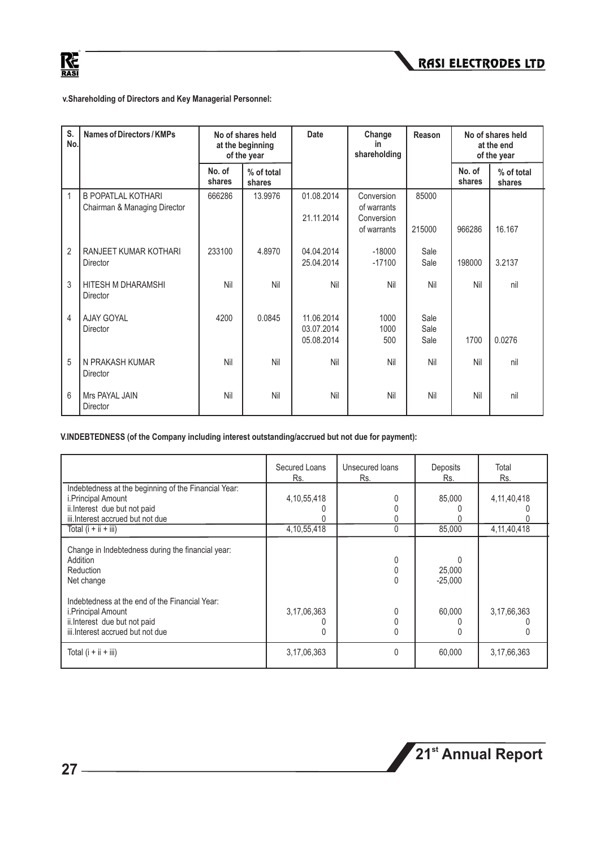



**v.Shareholding of Directors and Key Managerial Personnel:**

| S.<br>No.      | Names of Directors / KMPs                                 |                  | No of shares held<br>at the beginning<br>of the year |                          | Change<br>in<br>shareholding | Reason       |                  | No of shares held<br>at the end<br>of the year |
|----------------|-----------------------------------------------------------|------------------|------------------------------------------------------|--------------------------|------------------------------|--------------|------------------|------------------------------------------------|
|                |                                                           | No. of<br>shares | % of total<br>shares                                 |                          |                              |              | No. of<br>shares | % of total<br>shares                           |
| 1              | <b>B POPATLAL KOTHARI</b><br>Chairman & Managing Director | 666286           | 13.9976                                              | 01.08.2014               | Conversion<br>of warrants    | 85000        |                  |                                                |
|                |                                                           |                  |                                                      | 21.11.2014               | Conversion<br>of warrants    | 215000       | 966286           | 16.167                                         |
| $\overline{2}$ | RANJEET KUMAR KOTHARI<br>Director                         | 233100           | 4.8970                                               | 04.04.2014<br>25.04.2014 | $-18000$<br>$-17100$         | Sale<br>Sale | 198000           | 3.2137                                         |
| 3              | HITESH M DHARAMSHI<br>Director                            | Nil              | Nil                                                  | Nil                      | Nil                          | Nil          | Nil              | nil                                            |
| 4              | AJAY GOYAL<br><b>Director</b>                             | 4200             | 0.0845                                               | 11.06.2014<br>03.07.2014 | 1000<br>1000                 | Sale<br>Sale |                  |                                                |
|                |                                                           |                  |                                                      | 05.08.2014               | 500                          | Sale         | 1700             | 0.0276                                         |
| 5              | N PRAKASH KUMAR<br>Director                               | Nil              | Nil                                                  | Nil                      | Nil                          | Nil          | Nil              | nil                                            |
| 6              | Mrs PAYAL JAIN<br>Director                                | Nil              | Nil                                                  | Nil                      | Nil                          | Nil          | Nil              | nil                                            |

**V.INDEBTEDNESS (of the Company including interest outstanding/accrued but not due for payment):**

|                                                                                                                                                 | Secured Loans<br>Rs. | Unsecured loans<br>Rs. | Deposits<br>Rs.          | Total<br>Rs.   |
|-------------------------------------------------------------------------------------------------------------------------------------------------|----------------------|------------------------|--------------------------|----------------|
| Indebtedness at the beginning of the Financial Year:<br>i.Principal Amount<br>ii.Interest due but not paid<br>iii. Interest accrued but not due | 4, 10, 55, 418       |                        | 85,000                   | 4, 11, 40, 418 |
| Total $(i + ii + iii)$                                                                                                                          | 4, 10, 55, 418       | 0                      | 85,000                   | 4, 11, 40, 418 |
| Change in Indebtedness during the financial year:<br>Addition<br>Reduction<br>Net change                                                        |                      | 0                      | ∩<br>25,000<br>$-25.000$ |                |
| Indebtedness at the end of the Financial Year:<br>i.Principal Amount<br>ii. Interest due but not paid<br>iii.Interest accrued but not due       | 3,17,06,363          | 0                      | 60,000                   | 3,17,66,363    |
| Total $(i + ii + iii)$                                                                                                                          | 3, 17, 06, 363       | 0                      | 60,000                   | 3, 17, 66, 363 |

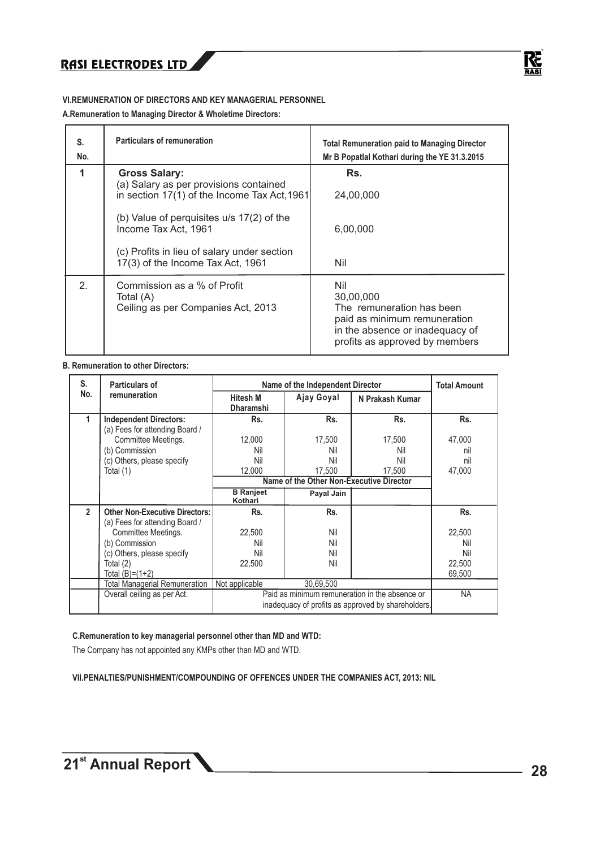

#### **VI.REMUNERATION OF DIRECTORS AND KEY MANAGERIAL PERSONNEL**

**A.Remuneration to Managing Director & Wholetime Directors:**

| S.<br>No. | Particulars of remuneration                                                                                    | <b>Total Remuneration paid to Managing Director</b><br>Mr B Popatlal Kothari during the YE 31.3.2015                                               |
|-----------|----------------------------------------------------------------------------------------------------------------|----------------------------------------------------------------------------------------------------------------------------------------------------|
|           | <b>Gross Salary:</b><br>(a) Salary as per provisions contained<br>in section 17(1) of the Income Tax Act, 1961 | Rs.<br>24,00,000                                                                                                                                   |
|           | (b) Value of perquisites $u/s$ 17(2) of the<br>Income Tax Act, 1961                                            | 6,00,000                                                                                                                                           |
|           | (c) Profits in lieu of salary under section<br>17(3) of the Income Tax Act, 1961                               | Nil                                                                                                                                                |
| 2.        | Commission as a % of Profit<br>Total (A)<br>Ceiling as per Companies Act, 2013                                 | Nil<br>30,00,000<br>The remuneration has been<br>paid as minimum remuneration<br>in the absence or inadequacy of<br>profits as approved by members |

#### **B. Remuneration to other Directors:**

| S.             | <b>Particulars of</b>                                           |                                     | Name of the Independent Director         |                                                                                                      | <b>Total Amount</b> |
|----------------|-----------------------------------------------------------------|-------------------------------------|------------------------------------------|------------------------------------------------------------------------------------------------------|---------------------|
| No.            | remuneration                                                    | <b>Hitesh M</b><br><b>Dharamshi</b> | Ajay Goyal                               | N Prakash Kumar                                                                                      |                     |
|                | <b>Independent Directors:</b><br>(a) Fees for attending Board / | Rs.                                 | Rs.                                      | Rs.                                                                                                  | Rs.                 |
|                | Committee Meetings.                                             | 12,000                              | 17,500                                   | 17,500                                                                                               | 47,000              |
|                | (b) Commission                                                  | Nil                                 | Nil                                      | Nil                                                                                                  | nil                 |
|                | (c) Others, please specify                                      | Nil                                 | Nil                                      | Nil                                                                                                  | nil                 |
|                | Total (1)                                                       | 12,000                              | 17.500                                   | 17.500                                                                                               | 47,000              |
|                |                                                                 |                                     | Name of the Other Non-Executive Director |                                                                                                      |                     |
|                |                                                                 | <b>B</b> Ranjeet<br>Kothari         | Payal Jain                               |                                                                                                      |                     |
| $\overline{2}$ | <b>Other Non-Executive Directors:</b>                           | Rs.                                 | Rs.                                      |                                                                                                      | Rs.                 |
|                | (a) Fees for attending Board /                                  |                                     |                                          |                                                                                                      |                     |
|                | Committee Meetings.                                             | 22,500                              | Nil                                      |                                                                                                      | 22,500              |
|                | (b) Commission                                                  | Nil                                 | Nil                                      |                                                                                                      | Nil                 |
|                | (c) Others, please specify                                      | Nil                                 | Nil                                      |                                                                                                      | Nil                 |
|                | Total (2)                                                       | 22,500                              | Nil                                      |                                                                                                      | 22,500              |
|                | Total (B)=(1+2)                                                 |                                     |                                          |                                                                                                      | 69.500              |
|                | Total Managerial Remuneration                                   | Not applicable                      | 30,69,500                                |                                                                                                      |                     |
|                | Overall ceiling as per Act.                                     |                                     |                                          | Paid as minimum remuneration in the absence or<br>inadequacy of profits as approved by shareholders. | <b>NA</b>           |
|                |                                                                 |                                     |                                          |                                                                                                      |                     |

#### **C.Remuneration to key managerial personnel other than MD and WTD:**

The Company has not appointed any KMPs other than MD and WTD.

**VII.PENALTIES/PUNISHMENT/COMPOUNDING OF OFFENCES UNDER THE COMPANIES ACT, 2013: NIL**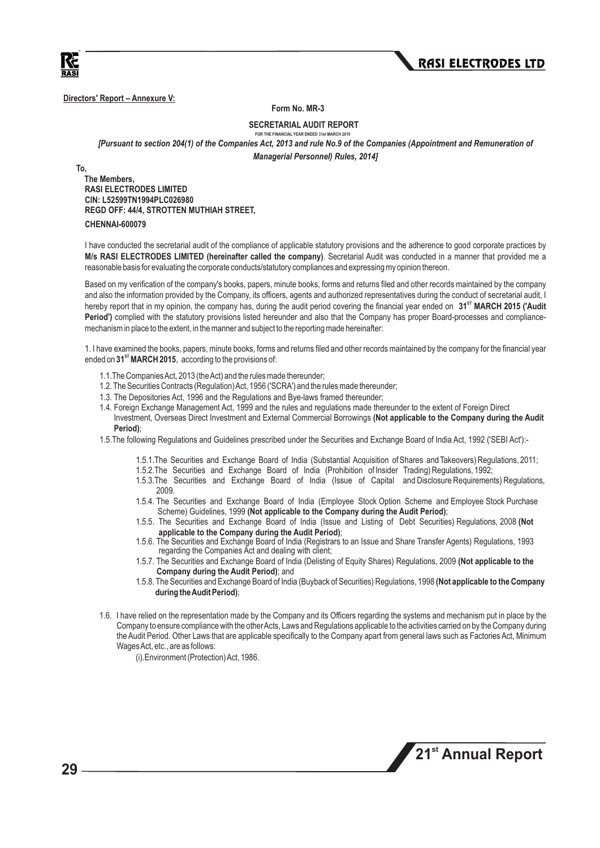



**Directors' Report – Annexure V:** 

 **Form No. MR-3**

 **SECRETARIAL AUDIT REPORT**

#### **FOR THE FINANCIAL YEAR ENDED 31st MARCH 201** *[Pursuant to section 204(1) of the Companies Act, 2013 and rule No.9 of the Companies (Appointment and Remuneration of Managerial Personnel) Rules, 2014]*

**To,**

 **The Members, RASI ELECTRODES LIMITED CIN: L52599TN1994PLC026980 REGD OFF: 44/4, STROTTEN MUTHIAH STREET, CHENNAI-600079**

I have conducted the secretarial audit of the compliance of applicable statutory provisions and the adherence to good corporate practices by **M/s RASI ELECTRODES LIMITED (hereinafter called the company)**. Secretarial Audit was conducted in a manner that provided me a reasonable basis for evaluating the corporate conducts/statutory compliances and expressing my opinion thereon.

Based on my verification of the company's books, papers, minute books, forms and returns filed and other records maintained by the company and also the information provided by the Company, its officers, agents and authorized representatives during the conduct of secretarial audit, I hereby report that in my opinion, the company has, during the audit period covering the financial year ended on 31<sup>5T</sup> MARCH 2015 ('Audit **Period')** complied with the statutory provisions listed hereunder and also that the Company has proper Board-processes and compliancemechanism in place to the extent, in the manner and subject to the reporting made hereinafter:

1. I have examined the books, papers, minute books, forms and returns filed and other records maintained by the company for the financial year **ST** ended on **31 MARCH 2015**, according to the provisions of:

- 1.1.The Companies Act, 2013 (the Act) and the rules made thereunder;
- 1.2. The Securities Contracts (Regulation) Act, 1956 ('SCRA') and the rules made thereunder;
- 1.3. The Depositories Act, 1996 and the Regulations and Bye-laws framed thereunder;
- 1.4. Foreign Exchange Management Act, 1999 and the rules and regulations made thereunder to the extent of Foreign Direct Investment, Overseas Direct Investment and External Commercial Borrowings **(Not applicable to the Company during the Audit Period)**;
- 1.5.The following Regulations and Guidelines prescribed under the Securities and Exchange Board of India Act, 1992 ('SEBI Act'):-
	- 1.5.1.The Securities and Exchange Board of India (Substantial Acquisition of Shares and Takeovers) Regulations, 2011;
	- 1.5.2.The Securities and Exchange Board of India (Prohibition of Insider Trading) Regulations, 1992;
	- 1.5.3.The Securities and Exchange Board of India (Issue of Capital and Disclosure Requirements) Regulations, 2009.
	- 1.5.4. The Securities and Exchange Board of India (Employee Stock Option Scheme and Employee Stock Purchase Scheme) Guidelines, 1999 **(Not applicable to the Company during the Audit Period)**;
	- 1.5.5. The Securities and Exchange Board of India (Issue and Listing of Debt Securities) Regulations, 2008 **(Not applicable to the Company during the Audit Period)**;
	- 1.5.6. The Securities and Exchange Board of India (Registrars to an Issue and Share Transfer Agents) Regulations, 1993 regarding the Companies Act and dealing with client;
	- 1.5.7. The Securities and Exchange Board of India (Delisting of Equity Shares) Regulations, 2009 **(Not applicable to the Company during the Audit Period)**; and
	- 1.5.8. The Securities and Exchange Board of India (Buyback of Securities) Regulations, 1998 **(Not applicable to the Company during the Audit Period)**;
- 1.6. I have relied on the representation made by the Company and its Officers regarding the systems and mechanism put in place by the Company to ensure compliance with the other Acts, Laws and Regulations applicable to the activities carried on by the Company during the Audit Period. Other Laws that are applicable specifically to the Company apart from general laws such as Factories Act, Minimum Wages Act, etc., are as follows:

(i).Environment (Protection) Act, 1986.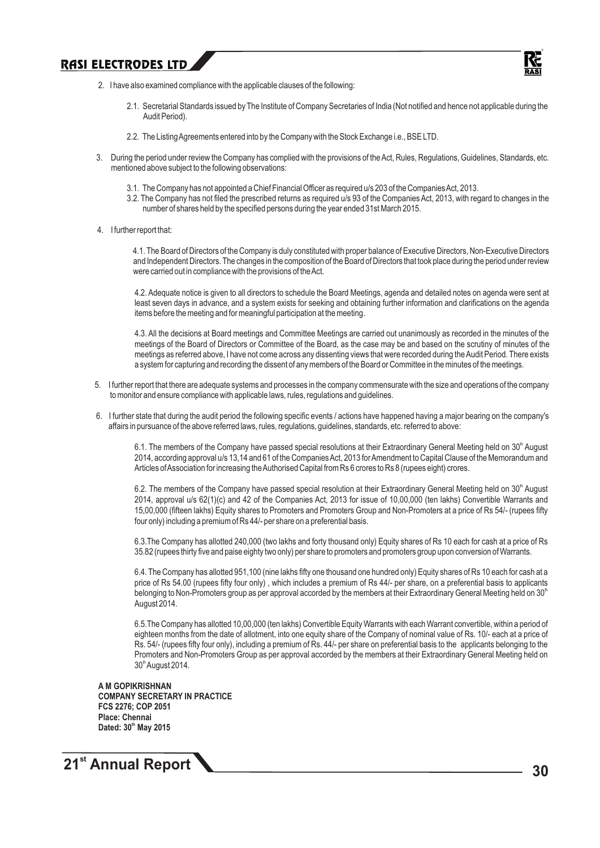

- 2. I have also examined compliance with the applicable clauses of the following:
	- 2.1. Secretarial Standards issued by The Institute of Company Secretaries of India (Not notified and hence not applicable during the Audit Period).
	- 2.2. The Listing Agreements entered into by the Company with the Stock Exchange i.e., BSE LTD.
- 3. During the period under review the Company has complied with the provisions of the Act, Rules, Regulations, Guidelines, Standards, etc. mentioned above subject to the following observations:
	- 3.1. The Company has not appointed a Chief Financial Officer as required u/s 203 of the Companies Act, 2013.
	- 3.2. The Company has not filed the prescribed returns as required u/s 93 of the Companies Act, 2013, with regard to changes in the number of shares held by the specified persons during the year ended 31st March 2015.
- 4. I further report that:

 4.1. The Board of Directors of the Company is duly constituted with proper balance of Executive Directors, Non-Executive Directors and Independent Directors. The changes in the composition of the Board of Directors that took place during the period under review were carried out in compliance with the provisions of the Act.

4.2. Adequate notice is given to all directors to schedule the Board Meetings, agenda and detailed notes on agenda were sent at least seven days in advance, and a system exists for seeking and obtaining further information and clarifications on the agenda items before the meeting and for meaningful participation at the meeting.

4.3. All the decisions at Board meetings and Committee Meetings are carried out unanimously as recorded in the minutes of the meetings of the Board of Directors or Committee of the Board, as the case may be and based on the scrutiny of minutes of the meetings as referred above, I have not come across any dissenting views that were recorded during the Audit Period. There exists a system for capturing and recording the dissent of any members of the Board or Committee in the minutes of the meetings.

- 5. I further report that there are adequate systems and processes in the company commensurate with the size and operations of the company to monitor and ensure compliance with applicable laws, rules, regulations and guidelines.
- 6. I further state that during the audit period the following specific events / actions have happened having a major bearing on the company's affairs in pursuance of the above referred laws, rules, regulations, guidelines, standards, etc. referred to above:

6.1. The members of the Company have passed special resolutions at their Extraordinary General Meeting held on 30<sup>th</sup> August 2014, according approval u/s 13,14 and 61 of the Companies Act, 2013 for Amendment to Capital Clause of the Memorandum and Articles of Association for increasing the Authorised Capital from Rs 6 crores to Rs 8 (rupees eight) crores.

6.2. The members of the Company have passed special resolution at their Extraordinary General Meeting held on 30<sup>th</sup> August 2014, approval u/s 62(1)(c) and 42 of the Companies Act, 2013 for issue of 10,00,000 (ten lakhs) Convertible Warrants and 15,00,000 (fifteen lakhs) Equity shares to Promoters and Promoters Group and Non-Promoters at a price of Rs 54/- (rupees fifty four only) including a premium of Rs 44/- per share on a preferential basis.

6.3.The Company has allotted 240,000 (two lakhs and forty thousand only) Equity shares of Rs 10 each for cash at a price of Rs 35.82 (rupees thirty five and paise eighty two only) per share to promoters and promoters group upon conversion of Warrants.

6.4. The Company has allotted 951,100 (nine lakhs fifty one thousand one hundred only) Equity shares of Rs 10 each for cash at a price of Rs 54.00 (rupees fifty four only), which includes a premium of Rs 44/- per share, on a preferential basis to applicants belonging to Non-Promoters group as per approval accorded by the members at their Extraordinary General Meeting held on 30<sup>th</sup> August 2014.

6.5.The Company has allotted 10,00,000 (ten lakhs) Convertible Equity Warrants with each Warrant convertible, within a period of eighteen months from the date of allotment, into one equity share of the Company of nominal value of Rs. 10/- each at a price of Rs. 54/- (rupees fifty four only), including a premium of Rs. 44/- per share on preferential basis to the applicants belonging to the Promoters and Non-Promoters Group as per approval accorded by the members at their Extraordinary General Meeting held on 30<sup>th</sup> August 2014.

**A M GOPIKRISHNAN COMPANY SECRETARY IN PRACTICE FCS 2276; COP 2051 Place: Chennai th Dated: 30 May 2015**

## **21<sup>st</sup> Annual Report 1 30**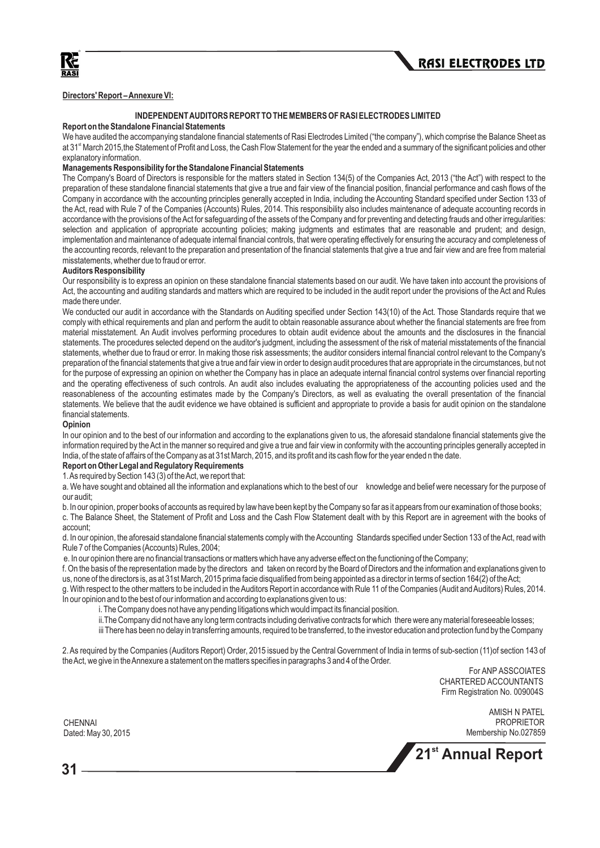

#### **Directors' Report – Annexure VI:**

#### **INDEPENDENT AUDITORS REPORT TO THE MEMBERS OF RASI ELECTRODES LIMITED**

#### **Report on the Standalone Financial Statements**

We have audited the accompanying standalone financial statements of Rasi Electrodes Limited ("the company"), which comprise the Balance Sheet as at 31<sup><sup>\*</sup></sup> March 2015, the Statement of Profit and Loss, the Cash Flow Statement for the year the ended and a summary of the significant policies and other explanatory information.

#### **Managements Responsibility for the Standalone Financial Statements**

The Company's Board of Directors is responsible for the matters stated in Section 134(5) of the Companies Act, 2013 ("the Act") with respect to the preparation of these standalone financial statements that give a true and fair view of the financial position, financial performance and cash flows of the Company in accordance with the accounting principles generally accepted in India, including the Accounting Standard specified under Section 133 of the Act, read with Rule 7 of the Companies (Accounts) Rules, 2014. This responsibility also includes maintenance of adequate accounting records in accordance with the provisions of the Act for safeguarding of the assets of the Company and for preventing and detecting frauds and other irregularities: selection and application of appropriate accounting policies; making judgments and estimates that are reasonable and prudent; and design, implementation and maintenance of adequate internal financial controls, that were operating effectively for ensuring the accuracy and completeness of the accounting records, relevant to the preparation and presentation of the financial statements that give a true and fair view and are free from material misstatements, whether due to fraud or error.

#### **Auditors Responsibility**

Our responsibility is to express an opinion on these standalone financial statements based on our audit. We have taken into account the provisions of Act, the accounting and auditing standards and matters which are required to be included in the audit report under the provisions of the Act and Rules made there under.

We conducted our audit in accordance with the Standards on Auditing specified under Section 143(10) of the Act. Those Standards require that we comply with ethical requirements and plan and perform the audit to obtain reasonable assurance about whether the financial statements are free from material misstatement. An Audit involves performing procedures to obtain audit evidence about the amounts and the disclosures in the financial statements. The procedures selected depend on the auditor's judgment, including the assessment of the risk of material misstatements of the financial statements, whether due to fraud or error. In making those risk assessments; the auditor considers internal financial control relevant to the Company's preparation of the financial statements that give a true and fair view in order to design audit procedures that are appropriate in the circumstances, but not for the purpose of expressing an opinion on whether the Company has in place an adequate internal financial control systems over financial reporting and the operating effectiveness of such controls. An audit also includes evaluating the appropriateness of the accounting policies used and the reasonableness of the accounting estimates made by the Company's Directors, as well as evaluating the overall presentation of the financial statements. We believe that the audit evidence we have obtained is sufficient and appropriate to provide a basis for audit opinion on the standalone financial statements.

#### **Opinion**

In our opinion and to the best of our information and according to the explanations given to us, the aforesaid standalone financial statements give the information required by the Act in the manner so required and give a true and fair view in conformity with the accounting principles generally accepted in India, of the state of affairs of the Company as at 31st March, 2015, and its profit and its cash flow for the year ended n the date.

#### **Report on Other Legal and Regulatory Requirements**

1. As required by Section 143 (3) of the Act, we report that:

a. We have sought and obtained all the information and explanations which to the best of our knowledge and belief were necessary for the purpose of our audit;

b. In our opinion, proper books of accounts as required by law have been kept by the Company so far as it appears from our examination of those books; c. The Balance Sheet, the Statement of Profit and Loss and the Cash Flow Statement dealt with by this Report are in agreement with the books of

#### account;

d. In our opinion, the aforesaid standalone financial statements comply with the Accounting Standards specified under Section 133 of the Act, read with Rule 7 of the Companies (Accounts) Rules, 2004;

e. In our opinion there are no financial transactions or matters which have any adverse effect on the functioning of the Company;

f. On the basis of the representation made by the directors and taken on record by the Board of Directors and the information and explanations given to us, none of the directors is, as at 31st March, 2015 prima facie disqualified from being appointed as a director in terms of section 164(2) of the Act;

g. With respect to the other matters to be included in the Auditors Report in accordance with Rule 11 of the Companies (Audit and Auditors) Rules, 2014. In our opinion and to the best of our information and according to explanations given to us:

i. The Company does not have any pending litigations which would impact its financial position.

ii.The Company did not have any long term contracts including derivative contracts for which there were any material foreseeable losses;

iii There has been no delay in transferring amounts, required to be transferred, to the investor education and protection fund by the Company

2. As required by the Companies (Auditors Report) Order, 2015 issued by the Central Government of India in terms of sub-section (11)of section 143 of the Act, we give in the Annexure a statement on the matters specifies in paragraphs 3 and 4 of the Order.

> For ANP ASSCOIATES CHARTERED ACCOUNTANTS Firm Registration No. 009004S

 AMISH N PATEL NAI PROPRIETOR ANNO 1999 - ANNO 1999 - ANNO 1999 - ANNO 1999 - ANNO 1999 - ANNO 1999 - ANNO 1999 - ANNO 1999 -Membership No.027859



CHENNAI Dated: May 30, 2015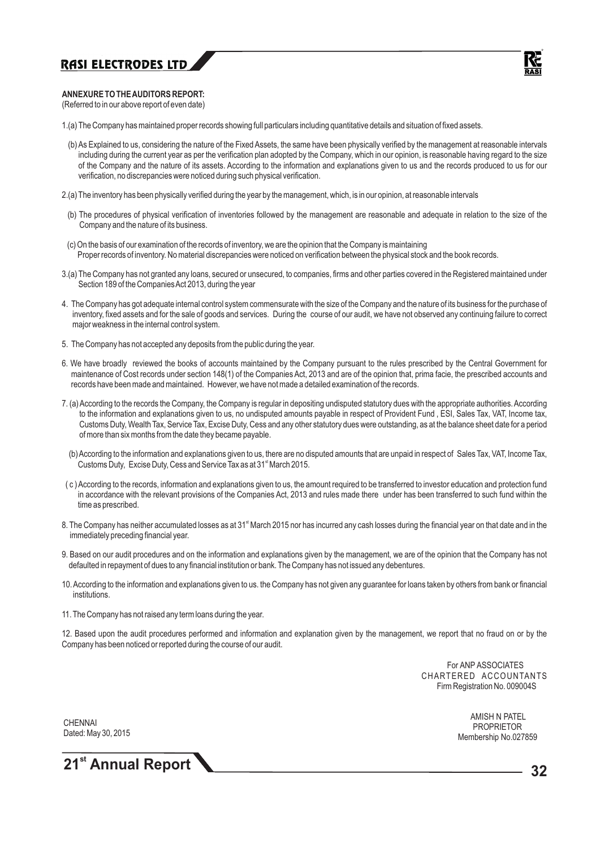#### **ANNEXURE TO THE AUDITORS REPORT:**

(Referred to in our above report of even date)

- 1.(a) The Company has maintained proper records showing full particulars including quantitative details and situation of fixed assets.
- (b) As Explained to us, considering the nature of the Fixed Assets, the same have been physically verified by the management at reasonable intervals including during the current year as per the verification plan adopted by the Company, which in our opinion, is reasonable having regard to the size of the Company and the nature of its assets. According to the information and explanations given to us and the records produced to us for our verification, no discrepancies were noticed during such physical verification.
- 2.(a) The inventory has been physically verified during the year by the management, which, is in our opinion, at reasonable intervals
- (b) The procedures of physical verification of inventories followed by the management are reasonable and adequate in relation to the size of the Company and the nature of its business.
- (c) On the basis of our examination of the records of inventory, we are the opinion that the Company is maintaining Proper records of inventory. No material discrepancies were noticed on verification between the physical stock and the book records.
- 3.(a) The Company has not granted any loans, secured or unsecured, to companies, firms and other parties covered in the Registered maintained under Section 189 of the Companies Act 2013, during the year
- 4. The Company has got adequate internal control system commensurate with the size of the Company and the nature of its business for the purchase of inventory, fixed assets and for the sale of goods and services. During the course of our audit, we have not observed any continuing failure to correct major weakness in the internal control system.
- 5. The Company has not accepted any deposits from the public during the year.
- 6. We have broadly reviewed the books of accounts maintained by the Company pursuant to the rules prescribed by the Central Government for maintenance of Cost records under section 148(1) of the Companies Act, 2013 and are of the opinion that, prima facie, the prescribed accounts and records have been made and maintained. However, we have not made a detailed examination of the records.
- 7. (a) According to the records the Company, the Company is regular in depositing undisputed statutory dues with the appropriate authorities. According to the information and explanations given to us, no undisputed amounts payable in respect of Provident Fund , ESI, Sales Tax, VAT, Income tax, Customs Duty, Wealth Tax, Service Tax, Excise Duty, Cess and any other statutory dues were outstanding, as at the balance sheet date for a period of more than six months from the date they became payable.
	- (b) According to the information and explanations given to us, there are no disputed amounts that are unpaid in respect of Sales Tax, VAT, Income Tax, Customs Duty, Excise Duty, Cess and Service Tax as at 31<sup>st</sup> March 2015.
- ( c ) According to the records, information and explanations given to us, the amount required to be transferred to investor education and protection fund in accordance with the relevant provisions of the Companies Act, 2013 and rules made there under has been transferred to such fund within the time as prescribed.
- 8. The Company has neither accumulated losses as at 31<sup>\*</sup> March 2015 nor has incurred any cash losses during the financial year on that date and in the immediately preceding financial year.
- 9. Based on our audit procedures and on the information and explanations given by the management, we are of the opinion that the Company has not defaulted in repayment of dues to any financial institution or bank. The Company has not issued any debentures.
- 10. According to the information and explanations given to us. the Company has not given any guarantee for loans taken by others from bank or financial institutions.
- 11. The Company has not raised any term loans during the year.

12. Based upon the audit procedures performed and information and explanation given by the management, we report that no fraud on or by the Company has been noticed or reported during the course of our audit.

> For ANP ASSOCIATES CHARTERED ACCOUNTANTS Firm Registration No. 009004S

**CHENNAI** Dated: May 30, 2015

 AMISH N PATEL PROPRIETOR Membership No.027859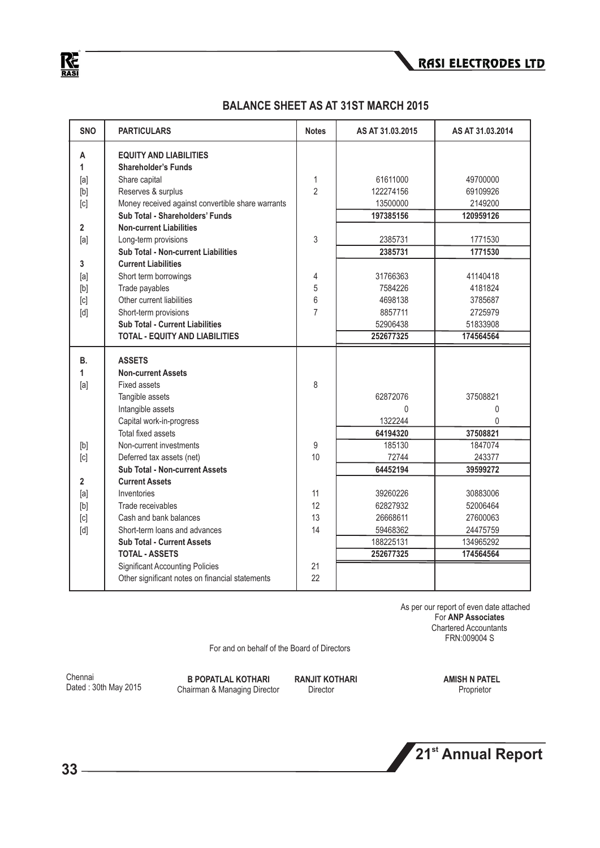$R_{\overline{\text{RASI}}}$ 

| <b>SNO</b>                                                                                                                                                                                                                                                                                                                                                                                                                                                                                                                                                                                                                                                  | <b>PARTICULARS</b>                                | <b>Notes</b>   | AS AT 31.03.2015 | AS AT 31.03.2014 |
|-------------------------------------------------------------------------------------------------------------------------------------------------------------------------------------------------------------------------------------------------------------------------------------------------------------------------------------------------------------------------------------------------------------------------------------------------------------------------------------------------------------------------------------------------------------------------------------------------------------------------------------------------------------|---------------------------------------------------|----------------|------------------|------------------|
| Α                                                                                                                                                                                                                                                                                                                                                                                                                                                                                                                                                                                                                                                           | <b>EQUITY AND LIABILITIES</b>                     |                |                  |                  |
| 1                                                                                                                                                                                                                                                                                                                                                                                                                                                                                                                                                                                                                                                           | <b>Shareholder's Funds</b>                        |                |                  |                  |
| [a]                                                                                                                                                                                                                                                                                                                                                                                                                                                                                                                                                                                                                                                         | Share capital                                     | 1              | 61611000         | 49700000         |
| [b]                                                                                                                                                                                                                                                                                                                                                                                                                                                                                                                                                                                                                                                         | Reserves & surplus                                | $\overline{2}$ | 122274156        | 69109926         |
| [c]                                                                                                                                                                                                                                                                                                                                                                                                                                                                                                                                                                                                                                                         | Money received against convertible share warrants |                | 13500000         | 2149200          |
|                                                                                                                                                                                                                                                                                                                                                                                                                                                                                                                                                                                                                                                             | Sub Total - Shareholders' Funds                   |                | 197385156        | 120959126        |
| $\mathbf{2}$                                                                                                                                                                                                                                                                                                                                                                                                                                                                                                                                                                                                                                                | <b>Non-current Liabilities</b>                    |                |                  |                  |
| [a]                                                                                                                                                                                                                                                                                                                                                                                                                                                                                                                                                                                                                                                         | Long-term provisions                              | 3              | 2385731          | 1771530          |
|                                                                                                                                                                                                                                                                                                                                                                                                                                                                                                                                                                                                                                                             | <b>Sub Total - Non-current Liabilities</b>        |                | 2385731          | 1771530          |
| 3                                                                                                                                                                                                                                                                                                                                                                                                                                                                                                                                                                                                                                                           | <b>Current Liabilities</b>                        |                |                  |                  |
| [a]                                                                                                                                                                                                                                                                                                                                                                                                                                                                                                                                                                                                                                                         | Short term borrowings                             | 4              | 31766363         | 41140418         |
| $[b] \centering% \includegraphics[width=0.9\columnwidth]{figures/fig_0a}% \includegraphics[width=0.9\columnwidth]{figures/fig_0b}% \includegraphics[width=0.9\columnwidth]{figures/fig_0b}% \includegraphics[width=0.9\columnwidth]{figures/fig_0b}% \includegraphics[width=0.9\columnwidth]{figures/fig_0b}% \includegraphics[width=0.9\columnwidth]{figures/fig_0b}% \includegraphics[width=0.9\columnwidth]{figures/fig_0b}% \includegraphics[width=0.9\columnwidth]{figures/fig_0b}% \includegraphics[width=0.9\columnwidth]{figures/fig_0b}% \includegraphics[width=0.9\columnwidth]{figures/fig_0b}% \includegraphics[width=0.9\columnwidth]{figures$ | Trade payables                                    | 5              | 7584226          | 4181824          |
| [c]                                                                                                                                                                                                                                                                                                                                                                                                                                                                                                                                                                                                                                                         | Other current liabilities                         | 6              | 4698138          | 3785687          |
| [d]                                                                                                                                                                                                                                                                                                                                                                                                                                                                                                                                                                                                                                                         | Short-term provisions                             | 7              | 8857711          | 2725979          |
|                                                                                                                                                                                                                                                                                                                                                                                                                                                                                                                                                                                                                                                             | <b>Sub Total - Current Liabilities</b>            |                | 52906438         | 51833908         |
|                                                                                                                                                                                                                                                                                                                                                                                                                                                                                                                                                                                                                                                             | <b>TOTAL - EQUITY AND LIABILITIES</b>             |                | 252677325        | 174564564        |
| В.                                                                                                                                                                                                                                                                                                                                                                                                                                                                                                                                                                                                                                                          | <b>ASSETS</b>                                     |                |                  |                  |
| 1                                                                                                                                                                                                                                                                                                                                                                                                                                                                                                                                                                                                                                                           | <b>Non-current Assets</b>                         |                |                  |                  |
| [a]                                                                                                                                                                                                                                                                                                                                                                                                                                                                                                                                                                                                                                                         | <b>Fixed assets</b>                               | 8              |                  |                  |
|                                                                                                                                                                                                                                                                                                                                                                                                                                                                                                                                                                                                                                                             | Tangible assets                                   |                | 62872076         | 37508821         |
|                                                                                                                                                                                                                                                                                                                                                                                                                                                                                                                                                                                                                                                             | Intangible assets                                 |                | $\Omega$         | 0                |
|                                                                                                                                                                                                                                                                                                                                                                                                                                                                                                                                                                                                                                                             | Capital work-in-progress                          |                | 1322244          | $\Omega$         |
|                                                                                                                                                                                                                                                                                                                                                                                                                                                                                                                                                                                                                                                             | Total fixed assets                                |                | 64194320         | 37508821         |
| [b]                                                                                                                                                                                                                                                                                                                                                                                                                                                                                                                                                                                                                                                         | Non-current investments                           | 9              | 185130           | 1847074          |
| [c]                                                                                                                                                                                                                                                                                                                                                                                                                                                                                                                                                                                                                                                         | Deferred tax assets (net)                         | 10             | 72744            | 243377           |
|                                                                                                                                                                                                                                                                                                                                                                                                                                                                                                                                                                                                                                                             | <b>Sub Total - Non-current Assets</b>             |                | 64452194         | 39599272         |
| $\overline{2}$                                                                                                                                                                                                                                                                                                                                                                                                                                                                                                                                                                                                                                              | <b>Current Assets</b>                             |                |                  |                  |
| [a]                                                                                                                                                                                                                                                                                                                                                                                                                                                                                                                                                                                                                                                         | Inventories                                       | 11             | 39260226         | 30883006         |
| $[b] \centering% \includegraphics[width=0.9\columnwidth]{figures/fig_0a}% \includegraphics[width=0.9\columnwidth]{figures/fig_0b}% \includegraphics[width=0.9\columnwidth]{figures/fig_0b}% \includegraphics[width=0.9\columnwidth]{figures/fig_0b}% \includegraphics[width=0.9\columnwidth]{figures/fig_0b}% \includegraphics[width=0.9\columnwidth]{figures/fig_0b}% \includegraphics[width=0.9\columnwidth]{figures/fig_0b}% \includegraphics[width=0.9\columnwidth]{figures/fig_0b}% \includegraphics[width=0.9\columnwidth]{figures/fig_0b}% \includegraphics[width=0.9\columnwidth]{figures/fig_0b}% \includegraphics[width=0.9\columnwidth]{figures$ | Trade receivables                                 | 12             | 62827932         | 52006464         |
| [c]                                                                                                                                                                                                                                                                                                                                                                                                                                                                                                                                                                                                                                                         | Cash and bank balances                            | 13             | 26668611         | 27600063         |
| [d]                                                                                                                                                                                                                                                                                                                                                                                                                                                                                                                                                                                                                                                         | Short-term loans and advances                     | 14             | 59468362         | 24475759         |
|                                                                                                                                                                                                                                                                                                                                                                                                                                                                                                                                                                                                                                                             | <b>Sub Total - Current Assets</b>                 |                | 188225131        | 134965292        |
|                                                                                                                                                                                                                                                                                                                                                                                                                                                                                                                                                                                                                                                             | <b>TOTAL - ASSETS</b>                             |                | 252677325        | 174564564        |
|                                                                                                                                                                                                                                                                                                                                                                                                                                                                                                                                                                                                                                                             | <b>Significant Accounting Policies</b>            | 21             |                  |                  |
|                                                                                                                                                                                                                                                                                                                                                                                                                                                                                                                                                                                                                                                             | Other significant notes on financial statements   | 22             |                  |                  |

### **BALANCE SHEET AS AT 31ST MARCH 2015**

 As per our report of even date attached For **ANP Associates** Chartered Accountants FRN:009004 S

For and on behalf of the Board of Directors

Chennai Dated : 30th May 2015

**B POPATLAL KOTHARI RANJIT KOTHARI AMISH N PATEL**<br>
nairman & Manaqing Director Director Director Proprietor Proprietor **Chairman & Managing Director** 

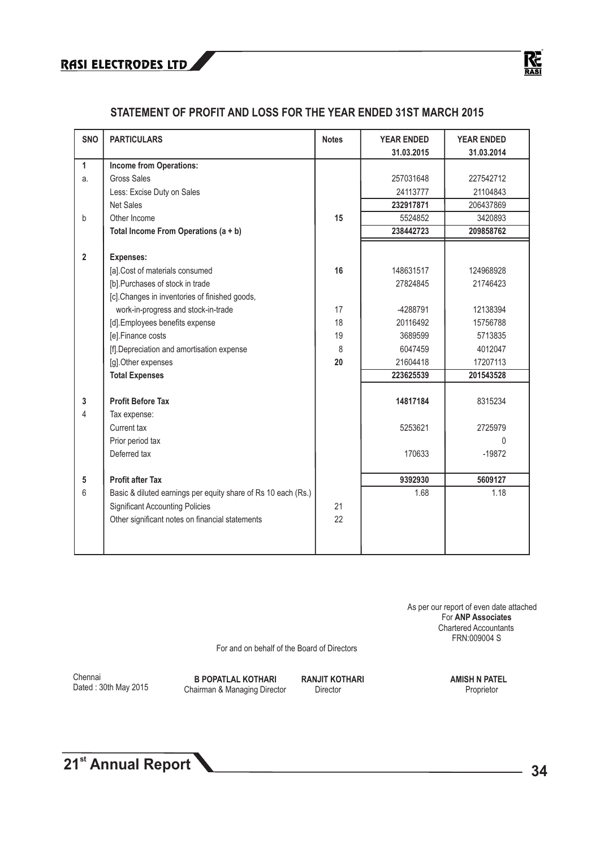

### **STATEMENT OF PROFIT AND LOSS FOR THE YEAR ENDED 31ST MARCH 2015**

| <b>SNO</b>     | <b>PARTICULARS</b>                                            | <b>Notes</b> | <b>YEAR ENDED</b> | <b>YEAR ENDED</b> |
|----------------|---------------------------------------------------------------|--------------|-------------------|-------------------|
| $\mathbf{1}$   | <b>Income from Operations:</b>                                |              | 31.03.2015        | 31.03.2014        |
| a.             | <b>Gross Sales</b>                                            |              | 257031648         | 227542712         |
|                | Less: Excise Duty on Sales                                    |              | 24113777          | 21104843          |
|                | <b>Net Sales</b>                                              |              | 232917871         | 206437869         |
| b              | Other Income                                                  | 15           | 5524852           | 3420893           |
|                | Total Income From Operations $(a + b)$                        |              | 238442723         | 209858762         |
|                |                                                               |              |                   |                   |
| $\overline{2}$ | <b>Expenses:</b>                                              |              |                   |                   |
|                | [a].Cost of materials consumed                                | 16           | 148631517         | 124968928         |
|                | [b].Purchases of stock in trade                               |              | 27824845          | 21746423          |
|                | [c]. Changes in inventories of finished goods,                |              |                   |                   |
|                | work-in-progress and stock-in-trade                           | 17           | -4288791          | 12138394          |
|                | [d].Employees benefits expense                                | 18           | 20116492          | 15756788          |
|                | [e].Finance costs                                             | 19           | 3689599           | 5713835           |
|                | [f]. Depreciation and amortisation expense                    | 8            | 6047459           | 4012047           |
|                | [g].Other expenses                                            | 20           | 21604418          | 17207113          |
|                | <b>Total Expenses</b>                                         |              | 223625539         | 201543528         |
|                |                                                               |              |                   |                   |
| 3              | <b>Profit Before Tax</b>                                      |              | 14817184          | 8315234           |
| 4              | Tax expense:                                                  |              |                   |                   |
|                | Current tax                                                   |              | 5253621           | 2725979           |
|                | Prior period tax                                              |              |                   | $\Omega$          |
|                | Deferred tax                                                  |              | 170633            | $-19872$          |
|                |                                                               |              |                   |                   |
| 5              | <b>Profit after Tax</b>                                       |              | 9392930           | 5609127           |
| 6              | Basic & diluted earnings per equity share of Rs 10 each (Rs.) |              | 1.68              | 1.18              |
|                | <b>Significant Accounting Policies</b>                        | 21           |                   |                   |
|                | Other significant notes on financial statements               | 22           |                   |                   |
|                |                                                               |              |                   |                   |
|                |                                                               |              |                   |                   |

 As per our report of even date attached For **ANP Associates** Chartered Accountants FRN:009004 S

For and on behalf of the Board of Directors

Chennai Dated : 30th May 2015

**B POPATLAL KOTHARI RANJIT KOTHARI AMISH N PATEL**<br>
nairman & Manaqing Director Director Director **Amism** Proprietor **Chairman & Managing Director**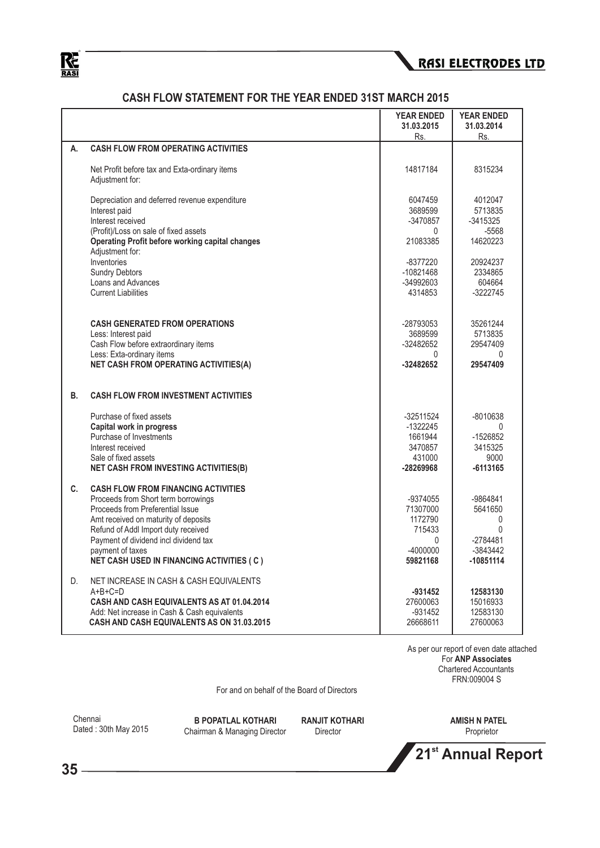



### **CASH FLOW STATEMENT FOR THE YEAR ENDED 31ST MARCH 2015**

|    |                                                                                                                                                                                                                                                                                                                       | <b>YEAR ENDED</b><br>31.03.2015                                          | <b>YEAR ENDED</b><br>31.03.2014                                             |
|----|-----------------------------------------------------------------------------------------------------------------------------------------------------------------------------------------------------------------------------------------------------------------------------------------------------------------------|--------------------------------------------------------------------------|-----------------------------------------------------------------------------|
|    |                                                                                                                                                                                                                                                                                                                       | Rs.                                                                      | Rs.                                                                         |
| А. | <b>CASH FLOW FROM OPERATING ACTIVITIES</b>                                                                                                                                                                                                                                                                            |                                                                          |                                                                             |
|    | Net Profit before tax and Exta-ordinary items<br>Adjustment for:                                                                                                                                                                                                                                                      | 14817184                                                                 | 8315234                                                                     |
|    | Depreciation and deferred revenue expenditure<br>Interest paid<br>Interest received<br>(Profit)/Loss on sale of fixed assets<br><b>Operating Profit before working capital changes</b><br>Adjustment for:                                                                                                             | 6047459<br>3689599<br>-3470857<br>0<br>21083385                          | 4012047<br>5713835<br>$-3415325$<br>$-5568$<br>14620223                     |
|    | Inventories<br><b>Sundry Debtors</b><br>Loans and Advances<br><b>Current Liabilities</b>                                                                                                                                                                                                                              | -8377220<br>$-10821468$<br>-34992603<br>4314853                          | 20924237<br>2334865<br>604664<br>-3222745                                   |
|    | <b>CASH GENERATED FROM OPERATIONS</b><br>Less: Interest paid<br>Cash Flow before extraordinary items<br>Less: Exta-ordinary items<br><b>NET CASH FROM OPERATING ACTIVITIES(A)</b>                                                                                                                                     | -28793053<br>3689599<br>-32482652<br>$\Omega$<br>-32482652               | 35261244<br>5713835<br>29547409<br>$\Omega$<br>29547409                     |
| В. | <b>CASH FLOW FROM INVESTMENT ACTIVITIES</b>                                                                                                                                                                                                                                                                           |                                                                          |                                                                             |
|    | Purchase of fixed assets<br>Capital work in progress<br>Purchase of Investments<br>Interest received<br>Sale of fixed assets<br><b>NET CASH FROM INVESTING ACTIVITIES(B)</b>                                                                                                                                          | -32511524<br>$-1322245$<br>1661944<br>3470857<br>431000<br>-28269968     | $-8010638$<br>-1526852<br>3415325<br>9000<br>$-6113165$                     |
| C. | <b>CASH FLOW FROM FINANCING ACTIVITIES</b><br>Proceeds from Short term borrowings<br>Proceeds from Preferential Issue<br>Amt received on maturity of deposits<br>Refund of Addl Import duty received<br>Payment of dividend incl dividend tax<br>payment of taxes<br><b>NET CASH USED IN FINANCING ACTIVITIES (C)</b> | -9374055<br>71307000<br>1172790<br>715433<br>0<br>$-4000000$<br>59821168 | -9864841<br>5641650<br>$\Omega$<br>0<br>$-2784481$<br>-3843442<br>-10851114 |
| D. | NET INCREASE IN CASH & CASH EQUIVALENTS<br>$A+B+C=D$<br>CASH AND CASH EQUIVALENTS AS AT 01.04.2014<br>Add: Net increase in Cash & Cash equivalents<br><b>CASH AND CASH EQUIVALENTS AS ON 31.03.2015</b>                                                                                                               | $-931452$<br>27600063<br>$-931452$<br>26668611                           | 12583130<br>15016933<br>12583130<br>27600063                                |

 As per our report of even date attached For **ANP Associates** Chartered Accountants FRN:009004 S

For and on behalf of the Board of Directors

Chennai Dated : 30th May 2015

**B POPATLAL KOTHARI RANJIT KOTHARI AMISH N PATEL**<br>
nairman & Managing Director Director Director Proprietor Proprietor **Chairman & Managing Director** 

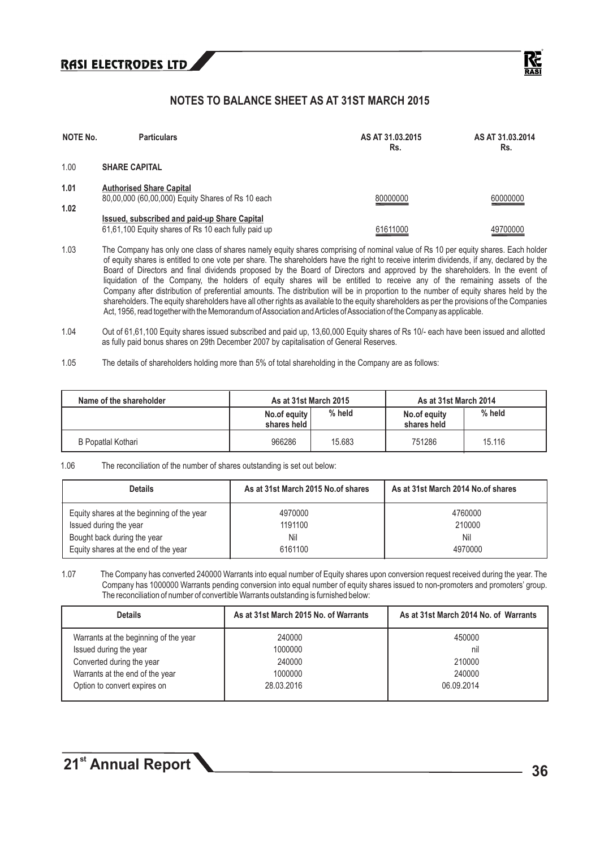

### **NOTES TO BALANCE SHEET AS AT 31ST MARCH 2015**

| <b>NOTE No.</b> | <b>Particulars</b>                                                                                  | AS AT 31.03.2015<br>Rs. | AS AT 31.03.2014<br>Rs. |
|-----------------|-----------------------------------------------------------------------------------------------------|-------------------------|-------------------------|
| 1.00            | <b>SHARE CAPITAL</b>                                                                                |                         |                         |
| 1.01<br>1.02    | <b>Authorised Share Capital</b><br>80,00,000 (60,00,000) Equity Shares of Rs 10 each                | 80000000                | 60000000                |
|                 | Issued, subscribed and paid-up Share Capital<br>61,61,100 Equity shares of Rs 10 each fully paid up | 61611000                | 49700000                |

1.03 The Company has only one class of shares namely equity shares comprising of nominal value of Rs 10 per equity shares. Each holder of equity shares is entitled to one vote per share. The shareholders have the right to receive interim dividends, if any, declared by the Board of Directors and final dividends proposed by the Board of Directors and approved by the shareholders. In the event of liquidation of the Company, the holders of equity shares will be entitled to receive any of the remaining assets of the Company after distribution of preferential amounts. The distribution will be in proportion to the number of equity shares held by the shareholders. The equity shareholders have all other rights as available to the equity shareholders as per the provisions of the Companies Act, 1956, read together with the Memorandum of Association and Articles of Association of the Company as applicable.

- 1.04 Out of 61,61,100 Equity shares issued subscribed and paid up, 13,60,000 Equity shares of Rs 10/- each have been issued and allotted as fully paid bonus shares on 29th December 2007 by capitalisation of General Reserves.
- 1.05 The details of shareholders holding more than 5% of total shareholding in the Company are as follows:

| Name of the shareholder | As at 31st March 2015         |        | As at 31st March 2014       |          |
|-------------------------|-------------------------------|--------|-----------------------------|----------|
|                         | No.of equity<br>shares held I | % held | No.of equity<br>shares held | $%$ held |
| B Popatlal Kothari      | 966286                        | 15,683 | 751286                      | 15.116   |

#### 1.06 The reconciliation of the number of shares outstanding is set out below:

| <b>Details</b>                             | As at 31st March 2015 No.of shares | As at 31st March 2014 No.of shares |
|--------------------------------------------|------------------------------------|------------------------------------|
| Equity shares at the beginning of the year | 4970000                            | 4760000                            |
| Issued during the year                     | 1191100                            | 210000                             |
| Bought back during the year                | Nil                                | Nil                                |
| Equity shares at the end of the year       | 6161100                            | 4970000                            |

1.07 The Company has converted 240000 Warrants into equal number of Equity shares upon conversion request received during the year. The Company has 1000000 Warrants pending conversion into equal number of equity shares issued to non-promoters and promoters' group. The reconciliation of number of convertible Warrants outstanding is furnished below:

| <b>Details</b>                        | As at 31st March 2015 No. of Warrants | As at 31st March 2014 No. of Warrants |
|---------------------------------------|---------------------------------------|---------------------------------------|
| Warrants at the beginning of the year | 240000                                | 450000                                |
| Issued during the year                | 1000000                               | nil                                   |
| Converted during the year             | 240000                                | 210000                                |
| Warrants at the end of the year       | 1000000                               | 240000                                |
| Option to convert expires on          | 28.03.2016                            | 06.09.2014                            |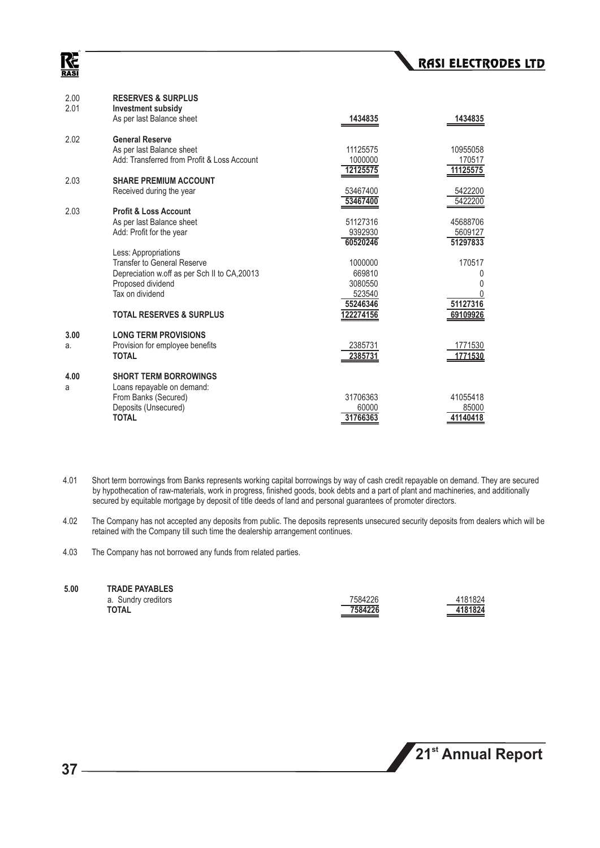### Κć **RASI**

| 2.00<br>2.01 | <b>RESERVES &amp; SURPLUS</b><br><b>Investment subsidy</b><br>As per last Balance sheet                                                             | 1434835                                | 1434835                         |
|--------------|-----------------------------------------------------------------------------------------------------------------------------------------------------|----------------------------------------|---------------------------------|
| 2.02         | <b>General Reserve</b><br>As per last Balance sheet<br>Add: Transferred from Profit & Loss Account                                                  | 11125575<br>1000000<br>12125575        | 10955058<br>170517<br>11125575  |
| 2.03         | <b>SHARE PREMIUM ACCOUNT</b><br>Received during the year                                                                                            | 53467400<br>53467400                   | 5422200<br>5422200              |
| 2.03         | <b>Profit &amp; Loss Account</b><br>As per last Balance sheet<br>Add: Profit for the year                                                           | 51127316<br>9392930<br>60520246        | 45688706<br>5609127<br>51297833 |
|              | Less: Appropriations<br><b>Transfer to General Reserve</b><br>Depreciation w.off as per Sch II to CA, 20013<br>Proposed dividend<br>Tax on dividend | 1000000<br>669810<br>3080550<br>523540 | 170517<br>0<br>0                |
|              | <b>TOTAL RESERVES &amp; SURPLUS</b>                                                                                                                 | 55246346<br>122274156                  | 51127316<br>69109926            |
| 3.00<br>a.   | <b>LONG TERM PROVISIONS</b><br>Provision for employee benefits<br><b>TOTAL</b>                                                                      | 2385731<br>2385731                     | 1771530<br>1771530              |
| 4.00<br>a    | <b>SHORT TERM BORROWINGS</b><br>Loans repayable on demand:<br>From Banks (Secured)<br>Deposits (Unsecured)<br><b>TOTAL</b>                          | 31706363<br>60000<br>31766363          | 41055418<br>85000<br>41140418   |

- 4.01 Short term borrowings from Banks represents working capital borrowings by way of cash credit repayable on demand. They are secured by hypothecation of raw-materials, work in progress, finished goods, book debts and a part of plant and machineries, and additionally secured by equitable mortgage by deposit of title deeds of land and personal guarantees of promoter directors.
- 4.02 The Company has not accepted any deposits from public. The deposits represents unsecured security deposits from dealers which will be retained with the Company till such time the dealership arrangement continues.
- 4.03 The Company has not borrowed any funds from related parties.

| 7584226 | 4181824 |
|---------|---------|
| 7584226 | 4181824 |
|         |         |

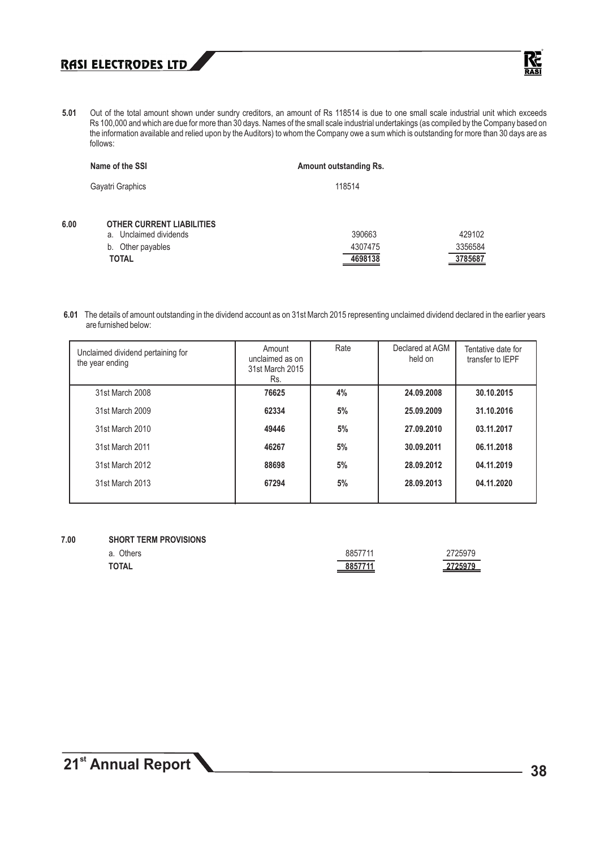

**5.01** Out of the total amount shown under sundry creditors, an amount of Rs 118514 is due to one small scale industrial unit which exceeds Rs 100,000 and which are due for more than 30 days. Names of the small scale industrial undertakings (as compiled by the Company based on the information available and relied upon by the Auditors) to whom the Company owe a sum which is outstanding for more than 30 days are as follows:

|      | Name of the SSI                                               | <b>Amount outstanding Rs.</b> |                |
|------|---------------------------------------------------------------|-------------------------------|----------------|
|      | Gayatri Graphics                                              | 118514                        |                |
| 6.00 | <b>OTHER CURRENT LIABILITIES</b><br>Unclaimed dividends<br>a. | 390663                        | 429102         |
|      | Other payables<br>b.                                          | 4307475                       | 3356584        |
|      | <b>TOTAL</b>                                                  | 4698138                       | <u>3785687</u> |

**6.01** The details of amount outstanding in the dividend account as on 31st March 2015 representing unclaimed dividend declared in the earlier years are furnished below:

| Unclaimed dividend pertaining for<br>the year ending | Amount<br>unclaimed as on<br>31st March 2015<br>Rs. | Rate | Declared at AGM<br>held on | Tentative date for<br>transfer to IEPF |
|------------------------------------------------------|-----------------------------------------------------|------|----------------------------|----------------------------------------|
| 31st March 2008                                      | 76625                                               | 4%   | 24.09.2008                 | 30.10.2015                             |
| 31st March 2009                                      | 62334                                               | 5%   | 25.09.2009                 | 31.10.2016                             |
| 31st March 2010                                      | 49446                                               | 5%   | 27.09.2010                 | 03.11.2017                             |
| 31st March 2011                                      | 46267                                               | 5%   | 30.09.2011                 | 06.11.2018                             |
| 31st March 2012                                      | 88698                                               | 5%   | 28.09.2012                 | 04.11.2019                             |
| 31st March 2013                                      | 67294                                               | 5%   | 28.09.2013                 | 04.11.2020                             |

#### **7.00 SHORT TERM PROVISIONS**

| ____ | ___<br>_______<br>Others<br>a. | 8857711 | 2725979 |
|------|--------------------------------|---------|---------|
|      | <b>TOTAL</b>                   | 8857711 | 2725979 |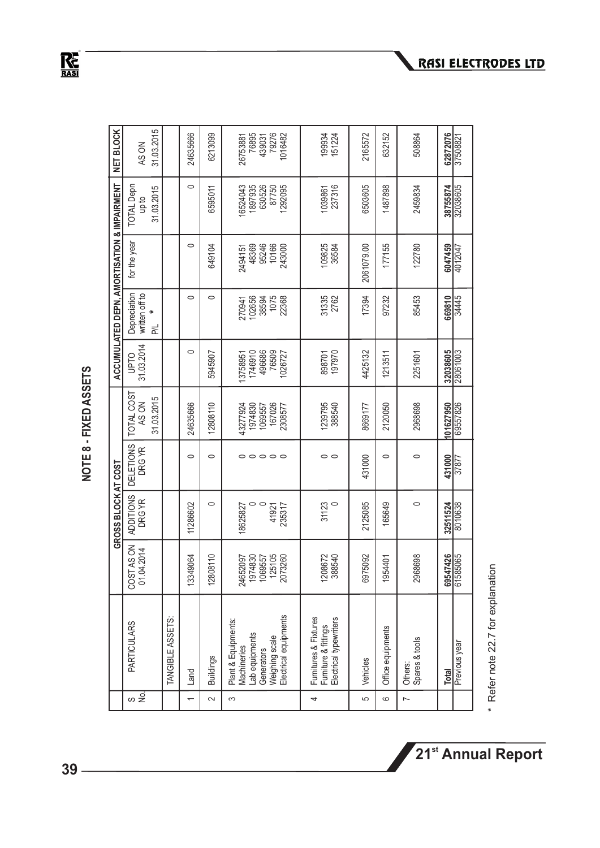NOTE 8 - FIXED ASSETS **NOTE 8 - FIXED ASSETS** 

 $R_{\text{RASI}}$ 

|                          |                                                                                                               |                                                     | GROSS BLOCK AT COST         |                            |                                                     |                                                  |                                            | ACCUMULATED DEPN, AMORTISATION & IMPAIRMENT  |                                                  | <b>NET BLOCK</b>                                |
|--------------------------|---------------------------------------------------------------------------------------------------------------|-----------------------------------------------------|-----------------------------|----------------------------|-----------------------------------------------------|--------------------------------------------------|--------------------------------------------|----------------------------------------------|--------------------------------------------------|-------------------------------------------------|
| <sub>တ</sub> ၌           | <b>PARTICULARS</b>                                                                                            | COST AS ON<br>01.04.2014                            | <b>ADDITIONS</b><br>DRG YR  | <b>DELETIONS</b><br>DRG YR | TOTAL COST<br>AS ON                                 | 31.03.2014<br>OLdn                               | Depreciation<br>written off to             | for the year                                 | <b>TOTAL Depn</b><br>op to                       | AS ON                                           |
|                          |                                                                                                               |                                                     |                             |                            | 31.03.2015                                          |                                                  | ×<br>忌                                     |                                              | 31.03.2015                                       | 31.03.2015                                      |
|                          | TANGIBLE ASSETS:                                                                                              |                                                     |                             |                            |                                                     |                                                  |                                            |                                              |                                                  |                                                 |
| $\overline{\phantom{0}}$ | Land                                                                                                          | 49064<br>1334                                       | 11286602                    | $\circ$                    | 24635666                                            | $\circ$                                          | $\circ$                                    | $\circ$                                      | $\circ$                                          | 24635666                                        |
| $\sim$                   | <b>Buildings</b>                                                                                              | 12808110                                            | 0                           | $\circ$                    | 12808110                                            | 5945907                                          | $\circ$                                    | 649104                                       | 6595011                                          | 6213099                                         |
| က                        | Weighing scale<br>Electrical equipments<br>Plant & Equipments:<br>Lab equipments<br>Machineries<br>Generators | 24652097<br>1974830<br>1069557<br>125105<br>2073260 | 18625827<br>41921<br>235317 | 00000                      | 1069557<br>167026<br>43277924<br>1974830<br>2308577 | 1746910<br>496686<br>76509<br>1026727<br>3758951 | 38594<br>1075<br>22368<br>102656<br>270941 | 48369<br>95246<br>10166<br>243000<br>2494151 | 6524043<br>1897935<br>630526<br>87750<br>1292095 | 76895<br>439031<br>79276<br>1016482<br>26753881 |
| 4                        | Furnitures & Fixtures<br>Electrical typewriters<br>Furniture & fittings                                       | 1208672<br>388540<br>88540                          | 31123                       | 00                         | 1239795<br>388540                                   | 898701<br>197970                                 | 31335<br>2762                              | 109825<br>36584                              | 237316<br>1039861                                | 199934<br>151224                                |
| 5                        | Vehicles                                                                                                      | 75092<br>697                                        | 2125085                     | 431000                     | 8669177                                             | 4425132                                          | 17394                                      | 2061079.00                                   | 6503605                                          | 2165572                                         |
| 6                        | Office equipments                                                                                             | 1954401                                             | 165649                      | $\circ$                    | 2120050                                             | 1213511                                          | 97232                                      | 177155                                       | 1487898                                          | 632152                                          |
| $\overline{a}$           | Spares & tools<br>Others:                                                                                     | 38698<br>296                                        | $\circ$                     | 0                          | 2968698                                             | 2251601                                          | 85453                                      | 122780                                       | 2459834                                          | 508864                                          |
|                          | Total                                                                                                         | 69547426                                            | 32511524                    | 431000                     | 101627950                                           | 32038605                                         | 669810                                     | 6047459                                      | 38755874                                         | 62872076                                        |
|                          | Previous year                                                                                                 | 61585065                                            | 8010638                     | 37877                      | 69557826                                            | 28061003                                         | 34445                                      | 4012047                                      | 32038605                                         | 37508821                                        |

\* Refer note 22.7 for explanation \* Refer note 22.7 for explanation

**RASI ELECTRODES LTD**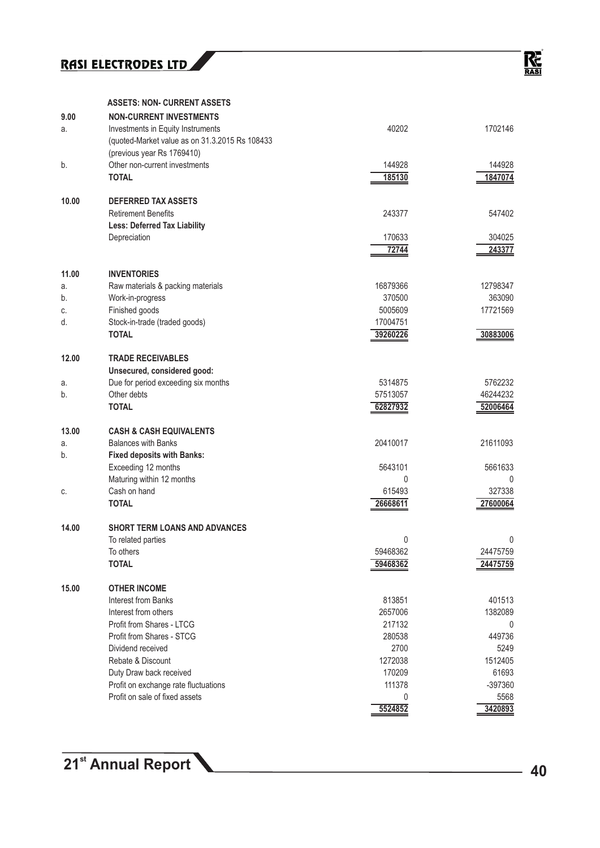#### **ASSETS: NON- CURRENT ASSETS**

| 9.00  | <b>NON-CURRENT INVESTMENTS</b>                 |             |          |
|-------|------------------------------------------------|-------------|----------|
| a.    | Investments in Equity Instruments              | 40202       | 1702146  |
|       | (quoted-Market value as on 31.3.2015 Rs 108433 |             |          |
|       | (previous year Rs 1769410)                     |             |          |
| b.    | Other non-current investments                  | 144928      | 144928   |
|       | <b>TOTAL</b>                                   | 185130      | 1847074  |
|       |                                                |             |          |
| 10.00 | <b>DEFERRED TAX ASSETS</b>                     |             |          |
|       | <b>Retirement Benefits</b>                     | 243377      | 547402   |
|       | <b>Less: Deferred Tax Liability</b>            |             |          |
|       | Depreciation                                   | 170633      | 304025   |
|       |                                                | 72744       | 243377   |
| 11.00 | <b>INVENTORIES</b>                             |             |          |
| a.    | Raw materials & packing materials              | 16879366    | 12798347 |
| b.    | Work-in-progress                               | 370500      | 363090   |
| C.    | Finished goods                                 | 5005609     | 17721569 |
| d.    | Stock-in-trade (traded goods)                  | 17004751    |          |
|       | <b>TOTAL</b>                                   | 39260226    | 30883006 |
|       |                                                |             |          |
| 12.00 | <b>TRADE RECEIVABLES</b>                       |             |          |
|       | Unsecured, considered good:                    |             |          |
| a.    | Due for period exceeding six months            | 5314875     | 5762232  |
| b.    | Other debts                                    | 57513057    | 46244232 |
|       | <b>TOTAL</b>                                   | 62827932    | 52006464 |
| 13.00 | <b>CASH &amp; CASH EQUIVALENTS</b>             |             |          |
| a.    | <b>Balances with Banks</b>                     | 20410017    | 21611093 |
| b.    | <b>Fixed deposits with Banks:</b>              |             |          |
|       | Exceeding 12 months                            | 5643101     | 5661633  |
|       | Maturing within 12 months                      | $\mathbf 0$ | 0        |
| C.    | Cash on hand                                   | 615493      | 327338   |
|       | <b>TOTAL</b>                                   | 26668611    | 27600064 |
|       |                                                |             |          |
| 14.00 | <b>SHORT TERM LOANS AND ADVANCES</b>           |             |          |
|       | To related parties                             | 0           | 0        |
|       | To others                                      | 59468362    | 24475759 |
|       | <b>TOTAL</b>                                   | 59468362    | 24475759 |
| 15.00 | <b>OTHER INCOME</b>                            |             |          |
|       | Interest from Banks                            | 813851      | 401513   |
|       | Interest from others                           | 2657006     | 1382089  |
|       | Profit from Shares - LTCG                      | 217132      | 0        |
|       | Profit from Shares - STCG                      | 280538      | 449736   |
|       | Dividend received                              | 2700        | 5249     |
|       | Rebate & Discount                              | 1272038     | 1512405  |
|       | Duty Draw back received                        | 170209      | 61693    |
|       | Profit on exchange rate fluctuations           | 111378      | -397360  |
|       | Profit on sale of fixed assets                 | $\mathbf 0$ | 5568     |
|       |                                                | 5524852     | 3420893  |
|       |                                                |             |          |

**21<sup>st</sup> Annual Report 10 40**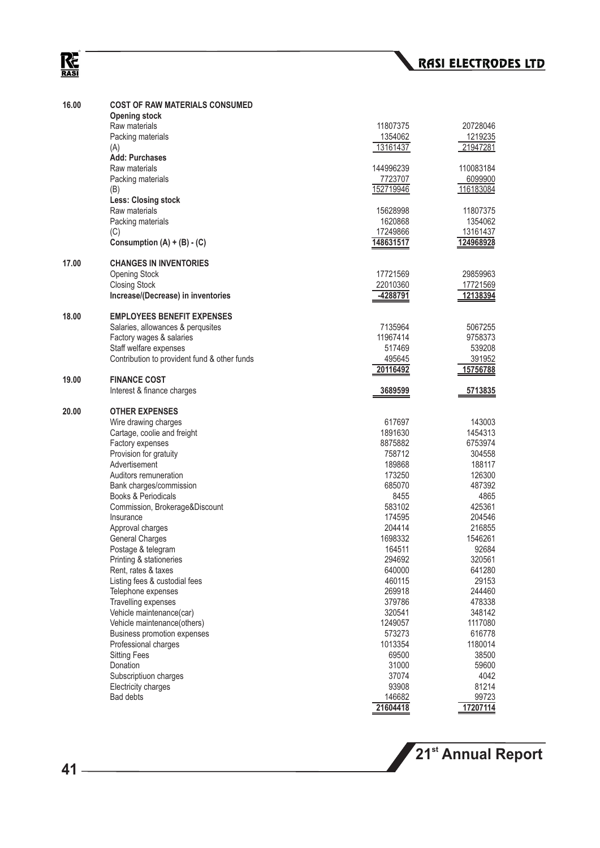# $R_{\overline{\text{RAS}}}$

| Raw materials<br>11807375<br>20728046<br>Packing materials<br>1354062<br>1219235<br>13161437<br>(A)<br>21947281<br><b>Add: Purchases</b><br>Raw materials<br>144996239<br>110083184<br>Packing materials<br>7723707<br>6099900<br>152719946<br>(B)<br>116183084<br><b>Less: Closing stock</b><br>Raw materials<br>15628998<br>11807375<br>Packing materials<br>1620868<br>1354062<br>(C)<br>17249866<br>13161437<br>Consumption (A) + (B) - (C)<br>148631517<br>124968928<br><b>CHANGES IN INVENTORIES</b><br>17721569<br>29859963<br><b>Opening Stock</b><br><b>Closing Stock</b><br>22010360<br>17721569<br>Increase/(Decrease) in inventories<br>-4288791<br><u>12138394</u><br><b>EMPLOYEES BENEFIT EXPENSES</b><br>Salaries, allowances & perqusites<br>7135964<br>5067255<br>Factory wages & salaries<br>11967414<br>9758373<br>Staff welfare expenses<br>539208<br>517469<br>Contribution to provident fund & other funds<br>495645<br>391952<br>20116492<br><u>15756788</u><br><b>FINANCE COST</b><br>19.00<br>Interest & finance charges<br>3689599<br><u>5713835</u><br><b>OTHER EXPENSES</b><br>Wire drawing charges<br>617697<br>143003<br>Cartage, coolie and freight<br>1891630<br>1454313<br>Factory expenses<br>8875882<br>6753974<br>Provision for gratuity<br>758712<br>304558<br>Advertisement<br>189868<br>188117<br>Auditors remuneration<br>173250<br>126300<br>Bank charges/commission<br>685070<br>487392<br>Books & Periodicals<br>8455<br>4865<br>Commission, Brokerage&Discount<br>583102<br>425361<br>174595<br>Insurance<br>204546<br>204414<br>216855<br>Approval charges<br><b>General Charges</b><br>1698332<br>1546261<br>Postage & telegram<br>92684<br>164511<br>Printing & stationeries<br>294692<br>320561<br>640000<br>Rent, rates & taxes<br>641280<br>Listing fees & custodial fees<br>460115<br>29153<br>Telephone expenses<br>269918<br>244460<br><b>Travelling expenses</b><br>379786<br>478338<br>Vehicle maintenance(car)<br>320541<br>348142<br>Vehicle maintenance(others)<br>1249057<br>1117080<br>Business promotion expenses<br>573273<br>616778<br>Professional charges<br>1013354<br>1180014<br><b>Sitting Fees</b><br>69500<br>38500<br>Donation<br>31000<br>59600<br>Subscriptiuon charges<br>37074<br>4042<br>Electricity charges<br>93908<br>81214<br>Bad debts<br>146682<br>99723<br>21604418<br>17207114 | 16.00 | <b>COST OF RAW MATERIALS CONSUMED</b><br><b>Opening stock</b> |  |
|--------------------------------------------------------------------------------------------------------------------------------------------------------------------------------------------------------------------------------------------------------------------------------------------------------------------------------------------------------------------------------------------------------------------------------------------------------------------------------------------------------------------------------------------------------------------------------------------------------------------------------------------------------------------------------------------------------------------------------------------------------------------------------------------------------------------------------------------------------------------------------------------------------------------------------------------------------------------------------------------------------------------------------------------------------------------------------------------------------------------------------------------------------------------------------------------------------------------------------------------------------------------------------------------------------------------------------------------------------------------------------------------------------------------------------------------------------------------------------------------------------------------------------------------------------------------------------------------------------------------------------------------------------------------------------------------------------------------------------------------------------------------------------------------------------------------------------------------------------------------------------------------------------------------------------------------------------------------------------------------------------------------------------------------------------------------------------------------------------------------------------------------------------------------------------------------------------------------------------------------------------------------------------------------------------------------------------------------------------------------|-------|---------------------------------------------------------------|--|
|                                                                                                                                                                                                                                                                                                                                                                                                                                                                                                                                                                                                                                                                                                                                                                                                                                                                                                                                                                                                                                                                                                                                                                                                                                                                                                                                                                                                                                                                                                                                                                                                                                                                                                                                                                                                                                                                                                                                                                                                                                                                                                                                                                                                                                                                                                                                                                    |       |                                                               |  |
|                                                                                                                                                                                                                                                                                                                                                                                                                                                                                                                                                                                                                                                                                                                                                                                                                                                                                                                                                                                                                                                                                                                                                                                                                                                                                                                                                                                                                                                                                                                                                                                                                                                                                                                                                                                                                                                                                                                                                                                                                                                                                                                                                                                                                                                                                                                                                                    |       |                                                               |  |
|                                                                                                                                                                                                                                                                                                                                                                                                                                                                                                                                                                                                                                                                                                                                                                                                                                                                                                                                                                                                                                                                                                                                                                                                                                                                                                                                                                                                                                                                                                                                                                                                                                                                                                                                                                                                                                                                                                                                                                                                                                                                                                                                                                                                                                                                                                                                                                    |       |                                                               |  |
|                                                                                                                                                                                                                                                                                                                                                                                                                                                                                                                                                                                                                                                                                                                                                                                                                                                                                                                                                                                                                                                                                                                                                                                                                                                                                                                                                                                                                                                                                                                                                                                                                                                                                                                                                                                                                                                                                                                                                                                                                                                                                                                                                                                                                                                                                                                                                                    |       |                                                               |  |
|                                                                                                                                                                                                                                                                                                                                                                                                                                                                                                                                                                                                                                                                                                                                                                                                                                                                                                                                                                                                                                                                                                                                                                                                                                                                                                                                                                                                                                                                                                                                                                                                                                                                                                                                                                                                                                                                                                                                                                                                                                                                                                                                                                                                                                                                                                                                                                    |       |                                                               |  |
|                                                                                                                                                                                                                                                                                                                                                                                                                                                                                                                                                                                                                                                                                                                                                                                                                                                                                                                                                                                                                                                                                                                                                                                                                                                                                                                                                                                                                                                                                                                                                                                                                                                                                                                                                                                                                                                                                                                                                                                                                                                                                                                                                                                                                                                                                                                                                                    |       |                                                               |  |
|                                                                                                                                                                                                                                                                                                                                                                                                                                                                                                                                                                                                                                                                                                                                                                                                                                                                                                                                                                                                                                                                                                                                                                                                                                                                                                                                                                                                                                                                                                                                                                                                                                                                                                                                                                                                                                                                                                                                                                                                                                                                                                                                                                                                                                                                                                                                                                    |       |                                                               |  |
|                                                                                                                                                                                                                                                                                                                                                                                                                                                                                                                                                                                                                                                                                                                                                                                                                                                                                                                                                                                                                                                                                                                                                                                                                                                                                                                                                                                                                                                                                                                                                                                                                                                                                                                                                                                                                                                                                                                                                                                                                                                                                                                                                                                                                                                                                                                                                                    |       |                                                               |  |
|                                                                                                                                                                                                                                                                                                                                                                                                                                                                                                                                                                                                                                                                                                                                                                                                                                                                                                                                                                                                                                                                                                                                                                                                                                                                                                                                                                                                                                                                                                                                                                                                                                                                                                                                                                                                                                                                                                                                                                                                                                                                                                                                                                                                                                                                                                                                                                    |       |                                                               |  |
|                                                                                                                                                                                                                                                                                                                                                                                                                                                                                                                                                                                                                                                                                                                                                                                                                                                                                                                                                                                                                                                                                                                                                                                                                                                                                                                                                                                                                                                                                                                                                                                                                                                                                                                                                                                                                                                                                                                                                                                                                                                                                                                                                                                                                                                                                                                                                                    |       |                                                               |  |
|                                                                                                                                                                                                                                                                                                                                                                                                                                                                                                                                                                                                                                                                                                                                                                                                                                                                                                                                                                                                                                                                                                                                                                                                                                                                                                                                                                                                                                                                                                                                                                                                                                                                                                                                                                                                                                                                                                                                                                                                                                                                                                                                                                                                                                                                                                                                                                    |       |                                                               |  |
|                                                                                                                                                                                                                                                                                                                                                                                                                                                                                                                                                                                                                                                                                                                                                                                                                                                                                                                                                                                                                                                                                                                                                                                                                                                                                                                                                                                                                                                                                                                                                                                                                                                                                                                                                                                                                                                                                                                                                                                                                                                                                                                                                                                                                                                                                                                                                                    |       |                                                               |  |
|                                                                                                                                                                                                                                                                                                                                                                                                                                                                                                                                                                                                                                                                                                                                                                                                                                                                                                                                                                                                                                                                                                                                                                                                                                                                                                                                                                                                                                                                                                                                                                                                                                                                                                                                                                                                                                                                                                                                                                                                                                                                                                                                                                                                                                                                                                                                                                    | 17.00 |                                                               |  |
|                                                                                                                                                                                                                                                                                                                                                                                                                                                                                                                                                                                                                                                                                                                                                                                                                                                                                                                                                                                                                                                                                                                                                                                                                                                                                                                                                                                                                                                                                                                                                                                                                                                                                                                                                                                                                                                                                                                                                                                                                                                                                                                                                                                                                                                                                                                                                                    |       |                                                               |  |
|                                                                                                                                                                                                                                                                                                                                                                                                                                                                                                                                                                                                                                                                                                                                                                                                                                                                                                                                                                                                                                                                                                                                                                                                                                                                                                                                                                                                                                                                                                                                                                                                                                                                                                                                                                                                                                                                                                                                                                                                                                                                                                                                                                                                                                                                                                                                                                    |       |                                                               |  |
|                                                                                                                                                                                                                                                                                                                                                                                                                                                                                                                                                                                                                                                                                                                                                                                                                                                                                                                                                                                                                                                                                                                                                                                                                                                                                                                                                                                                                                                                                                                                                                                                                                                                                                                                                                                                                                                                                                                                                                                                                                                                                                                                                                                                                                                                                                                                                                    |       |                                                               |  |
|                                                                                                                                                                                                                                                                                                                                                                                                                                                                                                                                                                                                                                                                                                                                                                                                                                                                                                                                                                                                                                                                                                                                                                                                                                                                                                                                                                                                                                                                                                                                                                                                                                                                                                                                                                                                                                                                                                                                                                                                                                                                                                                                                                                                                                                                                                                                                                    | 18.00 |                                                               |  |
|                                                                                                                                                                                                                                                                                                                                                                                                                                                                                                                                                                                                                                                                                                                                                                                                                                                                                                                                                                                                                                                                                                                                                                                                                                                                                                                                                                                                                                                                                                                                                                                                                                                                                                                                                                                                                                                                                                                                                                                                                                                                                                                                                                                                                                                                                                                                                                    |       |                                                               |  |
|                                                                                                                                                                                                                                                                                                                                                                                                                                                                                                                                                                                                                                                                                                                                                                                                                                                                                                                                                                                                                                                                                                                                                                                                                                                                                                                                                                                                                                                                                                                                                                                                                                                                                                                                                                                                                                                                                                                                                                                                                                                                                                                                                                                                                                                                                                                                                                    |       |                                                               |  |
|                                                                                                                                                                                                                                                                                                                                                                                                                                                                                                                                                                                                                                                                                                                                                                                                                                                                                                                                                                                                                                                                                                                                                                                                                                                                                                                                                                                                                                                                                                                                                                                                                                                                                                                                                                                                                                                                                                                                                                                                                                                                                                                                                                                                                                                                                                                                                                    |       |                                                               |  |
|                                                                                                                                                                                                                                                                                                                                                                                                                                                                                                                                                                                                                                                                                                                                                                                                                                                                                                                                                                                                                                                                                                                                                                                                                                                                                                                                                                                                                                                                                                                                                                                                                                                                                                                                                                                                                                                                                                                                                                                                                                                                                                                                                                                                                                                                                                                                                                    |       |                                                               |  |
|                                                                                                                                                                                                                                                                                                                                                                                                                                                                                                                                                                                                                                                                                                                                                                                                                                                                                                                                                                                                                                                                                                                                                                                                                                                                                                                                                                                                                                                                                                                                                                                                                                                                                                                                                                                                                                                                                                                                                                                                                                                                                                                                                                                                                                                                                                                                                                    |       |                                                               |  |
|                                                                                                                                                                                                                                                                                                                                                                                                                                                                                                                                                                                                                                                                                                                                                                                                                                                                                                                                                                                                                                                                                                                                                                                                                                                                                                                                                                                                                                                                                                                                                                                                                                                                                                                                                                                                                                                                                                                                                                                                                                                                                                                                                                                                                                                                                                                                                                    |       |                                                               |  |
|                                                                                                                                                                                                                                                                                                                                                                                                                                                                                                                                                                                                                                                                                                                                                                                                                                                                                                                                                                                                                                                                                                                                                                                                                                                                                                                                                                                                                                                                                                                                                                                                                                                                                                                                                                                                                                                                                                                                                                                                                                                                                                                                                                                                                                                                                                                                                                    |       |                                                               |  |
|                                                                                                                                                                                                                                                                                                                                                                                                                                                                                                                                                                                                                                                                                                                                                                                                                                                                                                                                                                                                                                                                                                                                                                                                                                                                                                                                                                                                                                                                                                                                                                                                                                                                                                                                                                                                                                                                                                                                                                                                                                                                                                                                                                                                                                                                                                                                                                    | 20.00 |                                                               |  |
|                                                                                                                                                                                                                                                                                                                                                                                                                                                                                                                                                                                                                                                                                                                                                                                                                                                                                                                                                                                                                                                                                                                                                                                                                                                                                                                                                                                                                                                                                                                                                                                                                                                                                                                                                                                                                                                                                                                                                                                                                                                                                                                                                                                                                                                                                                                                                                    |       |                                                               |  |
|                                                                                                                                                                                                                                                                                                                                                                                                                                                                                                                                                                                                                                                                                                                                                                                                                                                                                                                                                                                                                                                                                                                                                                                                                                                                                                                                                                                                                                                                                                                                                                                                                                                                                                                                                                                                                                                                                                                                                                                                                                                                                                                                                                                                                                                                                                                                                                    |       |                                                               |  |
|                                                                                                                                                                                                                                                                                                                                                                                                                                                                                                                                                                                                                                                                                                                                                                                                                                                                                                                                                                                                                                                                                                                                                                                                                                                                                                                                                                                                                                                                                                                                                                                                                                                                                                                                                                                                                                                                                                                                                                                                                                                                                                                                                                                                                                                                                                                                                                    |       |                                                               |  |
|                                                                                                                                                                                                                                                                                                                                                                                                                                                                                                                                                                                                                                                                                                                                                                                                                                                                                                                                                                                                                                                                                                                                                                                                                                                                                                                                                                                                                                                                                                                                                                                                                                                                                                                                                                                                                                                                                                                                                                                                                                                                                                                                                                                                                                                                                                                                                                    |       |                                                               |  |
|                                                                                                                                                                                                                                                                                                                                                                                                                                                                                                                                                                                                                                                                                                                                                                                                                                                                                                                                                                                                                                                                                                                                                                                                                                                                                                                                                                                                                                                                                                                                                                                                                                                                                                                                                                                                                                                                                                                                                                                                                                                                                                                                                                                                                                                                                                                                                                    |       |                                                               |  |
|                                                                                                                                                                                                                                                                                                                                                                                                                                                                                                                                                                                                                                                                                                                                                                                                                                                                                                                                                                                                                                                                                                                                                                                                                                                                                                                                                                                                                                                                                                                                                                                                                                                                                                                                                                                                                                                                                                                                                                                                                                                                                                                                                                                                                                                                                                                                                                    |       |                                                               |  |
|                                                                                                                                                                                                                                                                                                                                                                                                                                                                                                                                                                                                                                                                                                                                                                                                                                                                                                                                                                                                                                                                                                                                                                                                                                                                                                                                                                                                                                                                                                                                                                                                                                                                                                                                                                                                                                                                                                                                                                                                                                                                                                                                                                                                                                                                                                                                                                    |       |                                                               |  |
|                                                                                                                                                                                                                                                                                                                                                                                                                                                                                                                                                                                                                                                                                                                                                                                                                                                                                                                                                                                                                                                                                                                                                                                                                                                                                                                                                                                                                                                                                                                                                                                                                                                                                                                                                                                                                                                                                                                                                                                                                                                                                                                                                                                                                                                                                                                                                                    |       |                                                               |  |
|                                                                                                                                                                                                                                                                                                                                                                                                                                                                                                                                                                                                                                                                                                                                                                                                                                                                                                                                                                                                                                                                                                                                                                                                                                                                                                                                                                                                                                                                                                                                                                                                                                                                                                                                                                                                                                                                                                                                                                                                                                                                                                                                                                                                                                                                                                                                                                    |       |                                                               |  |
|                                                                                                                                                                                                                                                                                                                                                                                                                                                                                                                                                                                                                                                                                                                                                                                                                                                                                                                                                                                                                                                                                                                                                                                                                                                                                                                                                                                                                                                                                                                                                                                                                                                                                                                                                                                                                                                                                                                                                                                                                                                                                                                                                                                                                                                                                                                                                                    |       |                                                               |  |
|                                                                                                                                                                                                                                                                                                                                                                                                                                                                                                                                                                                                                                                                                                                                                                                                                                                                                                                                                                                                                                                                                                                                                                                                                                                                                                                                                                                                                                                                                                                                                                                                                                                                                                                                                                                                                                                                                                                                                                                                                                                                                                                                                                                                                                                                                                                                                                    |       |                                                               |  |
|                                                                                                                                                                                                                                                                                                                                                                                                                                                                                                                                                                                                                                                                                                                                                                                                                                                                                                                                                                                                                                                                                                                                                                                                                                                                                                                                                                                                                                                                                                                                                                                                                                                                                                                                                                                                                                                                                                                                                                                                                                                                                                                                                                                                                                                                                                                                                                    |       |                                                               |  |
|                                                                                                                                                                                                                                                                                                                                                                                                                                                                                                                                                                                                                                                                                                                                                                                                                                                                                                                                                                                                                                                                                                                                                                                                                                                                                                                                                                                                                                                                                                                                                                                                                                                                                                                                                                                                                                                                                                                                                                                                                                                                                                                                                                                                                                                                                                                                                                    |       |                                                               |  |
|                                                                                                                                                                                                                                                                                                                                                                                                                                                                                                                                                                                                                                                                                                                                                                                                                                                                                                                                                                                                                                                                                                                                                                                                                                                                                                                                                                                                                                                                                                                                                                                                                                                                                                                                                                                                                                                                                                                                                                                                                                                                                                                                                                                                                                                                                                                                                                    |       |                                                               |  |
|                                                                                                                                                                                                                                                                                                                                                                                                                                                                                                                                                                                                                                                                                                                                                                                                                                                                                                                                                                                                                                                                                                                                                                                                                                                                                                                                                                                                                                                                                                                                                                                                                                                                                                                                                                                                                                                                                                                                                                                                                                                                                                                                                                                                                                                                                                                                                                    |       |                                                               |  |
|                                                                                                                                                                                                                                                                                                                                                                                                                                                                                                                                                                                                                                                                                                                                                                                                                                                                                                                                                                                                                                                                                                                                                                                                                                                                                                                                                                                                                                                                                                                                                                                                                                                                                                                                                                                                                                                                                                                                                                                                                                                                                                                                                                                                                                                                                                                                                                    |       |                                                               |  |
|                                                                                                                                                                                                                                                                                                                                                                                                                                                                                                                                                                                                                                                                                                                                                                                                                                                                                                                                                                                                                                                                                                                                                                                                                                                                                                                                                                                                                                                                                                                                                                                                                                                                                                                                                                                                                                                                                                                                                                                                                                                                                                                                                                                                                                                                                                                                                                    |       |                                                               |  |
|                                                                                                                                                                                                                                                                                                                                                                                                                                                                                                                                                                                                                                                                                                                                                                                                                                                                                                                                                                                                                                                                                                                                                                                                                                                                                                                                                                                                                                                                                                                                                                                                                                                                                                                                                                                                                                                                                                                                                                                                                                                                                                                                                                                                                                                                                                                                                                    |       |                                                               |  |
|                                                                                                                                                                                                                                                                                                                                                                                                                                                                                                                                                                                                                                                                                                                                                                                                                                                                                                                                                                                                                                                                                                                                                                                                                                                                                                                                                                                                                                                                                                                                                                                                                                                                                                                                                                                                                                                                                                                                                                                                                                                                                                                                                                                                                                                                                                                                                                    |       |                                                               |  |
|                                                                                                                                                                                                                                                                                                                                                                                                                                                                                                                                                                                                                                                                                                                                                                                                                                                                                                                                                                                                                                                                                                                                                                                                                                                                                                                                                                                                                                                                                                                                                                                                                                                                                                                                                                                                                                                                                                                                                                                                                                                                                                                                                                                                                                                                                                                                                                    |       |                                                               |  |
|                                                                                                                                                                                                                                                                                                                                                                                                                                                                                                                                                                                                                                                                                                                                                                                                                                                                                                                                                                                                                                                                                                                                                                                                                                                                                                                                                                                                                                                                                                                                                                                                                                                                                                                                                                                                                                                                                                                                                                                                                                                                                                                                                                                                                                                                                                                                                                    |       |                                                               |  |
|                                                                                                                                                                                                                                                                                                                                                                                                                                                                                                                                                                                                                                                                                                                                                                                                                                                                                                                                                                                                                                                                                                                                                                                                                                                                                                                                                                                                                                                                                                                                                                                                                                                                                                                                                                                                                                                                                                                                                                                                                                                                                                                                                                                                                                                                                                                                                                    |       |                                                               |  |
|                                                                                                                                                                                                                                                                                                                                                                                                                                                                                                                                                                                                                                                                                                                                                                                                                                                                                                                                                                                                                                                                                                                                                                                                                                                                                                                                                                                                                                                                                                                                                                                                                                                                                                                                                                                                                                                                                                                                                                                                                                                                                                                                                                                                                                                                                                                                                                    |       |                                                               |  |
|                                                                                                                                                                                                                                                                                                                                                                                                                                                                                                                                                                                                                                                                                                                                                                                                                                                                                                                                                                                                                                                                                                                                                                                                                                                                                                                                                                                                                                                                                                                                                                                                                                                                                                                                                                                                                                                                                                                                                                                                                                                                                                                                                                                                                                                                                                                                                                    |       |                                                               |  |
|                                                                                                                                                                                                                                                                                                                                                                                                                                                                                                                                                                                                                                                                                                                                                                                                                                                                                                                                                                                                                                                                                                                                                                                                                                                                                                                                                                                                                                                                                                                                                                                                                                                                                                                                                                                                                                                                                                                                                                                                                                                                                                                                                                                                                                                                                                                                                                    |       |                                                               |  |
|                                                                                                                                                                                                                                                                                                                                                                                                                                                                                                                                                                                                                                                                                                                                                                                                                                                                                                                                                                                                                                                                                                                                                                                                                                                                                                                                                                                                                                                                                                                                                                                                                                                                                                                                                                                                                                                                                                                                                                                                                                                                                                                                                                                                                                                                                                                                                                    |       |                                                               |  |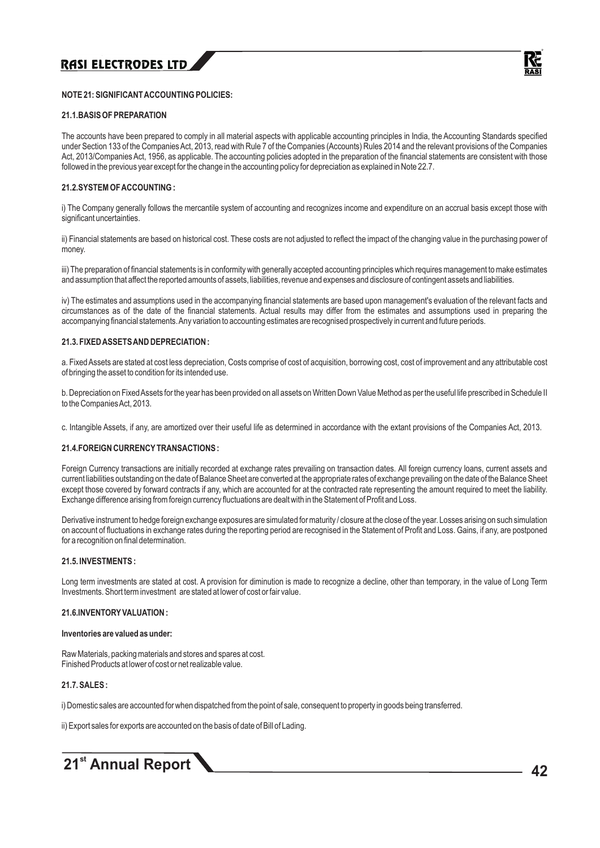

#### **NOTE 21: SIGNIFICANT ACCOUNTING POLICIES:**

#### **21.1.BASIS OF PREPARATION**

The accounts have been prepared to comply in all material aspects with applicable accounting principles in India, the Accounting Standards specified under Section 133 of the Companies Act, 2013, read with Rule 7 of the Companies (Accounts) Rules 2014 and the relevant provisions of the Companies Act, 2013/Companies Act, 1956, as applicable. The accounting policies adopted in the preparation of the financial statements are consistent with those followed in the previous year except for the change in the accounting policy for depreciation as explained in Note 22.7.

#### **21.2.SYSTEM OF ACCOUNTING :**

i) The Company generally follows the mercantile system of accounting and recognizes income and expenditure on an accrual basis except those with significant uncertainties.

ii) Financial statements are based on historical cost. These costs are not adjusted to reflect the impact of the changing value in the purchasing power of money.

iii) The preparation of financial statements is in conformity with generally accepted accounting principles which requires management to make estimates and assumption that affect the reported amounts of assets, liabilities, revenue and expenses and disclosure of contingent assets and liabilities.

iv) The estimates and assumptions used in the accompanying financial statements are based upon management's evaluation of the relevant facts and circumstances as of the date of the financial statements. Actual results may differ from the estimates and assumptions used in preparing the accompanying financial statements. Any variation to accounting estimates are recognised prospectively in current and future periods.

#### **21.3. FIXED ASSETS AND DEPRECIATION :**

a. Fixed Assets are stated at cost less depreciation, Costs comprise of cost of acquisition, borrowing cost, cost of improvement and any attributable cost of bringing the asset to condition for its intended use.

b. Depreciation on Fixed Assets for the year has been provided on all assets on Written Down Value Method as per the useful life prescribed in Schedule II to the Companies Act, 2013.

c. Intangible Assets, if any, are amortized over their useful life as determined in accordance with the extant provisions of the Companies Act, 2013.

#### **21.4.FOREIGN CURRENCYTRANSACTIONS :**

Foreign Currency transactions are initially recorded at exchange rates prevailing on transaction dates. All foreign currency loans, current assets and current liabilities outstanding on the date of Balance Sheet are converted at the appropriate rates of exchange prevailing on the date of the Balance Sheet except those covered by forward contracts if any, which are accounted for at the contracted rate representing the amount required to meet the liability. Exchange difference arising from foreign currency fluctuations are dealt with in the Statement of Profit and Loss.

Derivative instrument to hedge foreign exchange exposures are simulated for maturity / closure at the close of the year. Losses arising on such simulation on account of fluctuations in exchange rates during the reporting period are recognised in the Statement of Profit and Loss. Gains, if any, are postponed for a recognition on final determination.

#### **21.5. INVESTMENTS :**

Long term investments are stated at cost. A provision for diminution is made to recognize a decline, other than temporary, in the value of Long Term Investments. Short term investment are stated at lower of cost or fair value.

#### **21.6.INVENTORYVALUATION :**

#### **Inventories are valued as under:**

Raw Materials, packing materials and stores and spares at cost. Finished Products at lower of cost or net realizable value.

#### **21.7. SALES :**

i) Domestic sales are accounted for when dispatched from the point of sale, consequent to property in goods being transferred.

ii) Export sales for exports are accounted on the basis of date of Bill of Lading.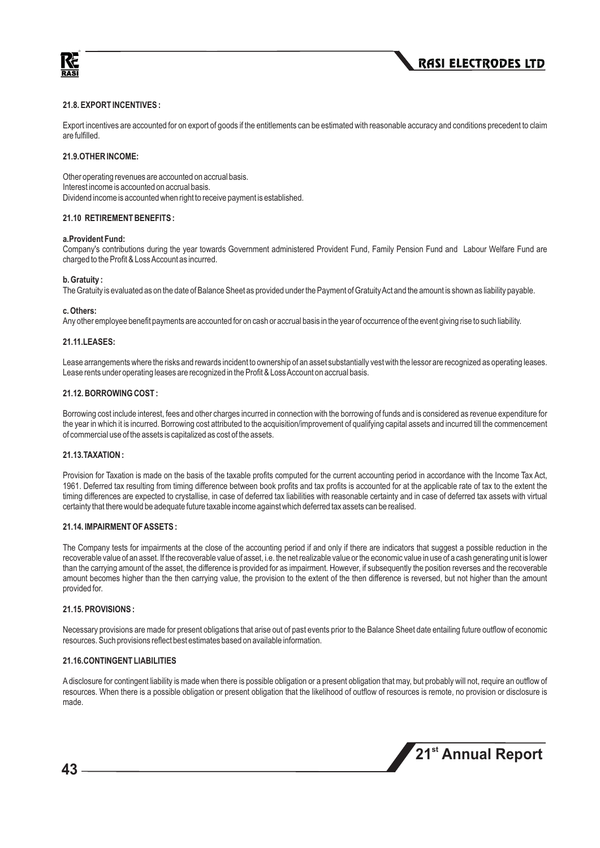



#### **21.8. EXPORT INCENTIVES :**

Export incentives are accounted for on export of goods if the entitlements can be estimated with reasonable accuracy and conditions precedent to claim are fulfilled.

#### **21.9.OTHER INCOME:**

Other operating revenues are accounted on accrual basis. Interest income is accounted on accrual basis. Dividend income is accounted when right to receive payment is established.

#### **21.10 RETIREMENT BENEFITS :**

#### **a.Provident Fund:**

Company's contributions during the year towards Government administered Provident Fund, Family Pension Fund and Labour Welfare Fund are charged to the Profit & Loss Account as incurred.

#### **b. Gratuity :**

The Gratuity is evaluated as on the date of Balance Sheet as provided under the Payment of Gratuity Act and the amount is shown as liability payable.

#### **c. Others:**

Any other employee benefit payments are accounted for on cash or accrual basis in the year of occurrence of the event giving rise to such liability.

#### **21.11.LEASES:**

Lease arrangements where the risks and rewards incident to ownership of an asset substantially vest with the lessor are recognized as operating leases. Lease rents under operating leases are recognized in the Profit & Loss Account on accrual basis.

#### **21.12. BORROWING COST :**

Borrowing cost include interest, fees and other charges incurred in connection with the borrowing of funds and is considered as revenue expenditure for the year in which it is incurred. Borrowing cost attributed to the acquisition/improvement of qualifying capital assets and incurred till the commencement of commercial use of the assets is capitalized as cost of the assets.

#### **21.13.TAXATION :**

Provision for Taxation is made on the basis of the taxable profits computed for the current accounting period in accordance with the Income Tax Act, 1961. Deferred tax resulting from timing difference between book profits and tax profits is accounted for at the applicable rate of tax to the extent the timing differences are expected to crystallise, in case of deferred tax liabilities with reasonable certainty and in case of deferred tax assets with virtual certainty that there would be adequate future taxable income against which deferred tax assets can be realised.

#### **21.14. IMPAIRMENT OF ASSETS :**

The Company tests for impairments at the close of the accounting period if and only if there are indicators that suggest a possible reduction in the recoverable value of an asset. If the recoverable value of asset, i.e. the net realizable value or the economic value in use of a cash generating unit is lower than the carrying amount of the asset, the difference is provided for as impairment. However, if subsequently the position reverses and the recoverable amount becomes higher than the then carrying value, the provision to the extent of the then difference is reversed, but not higher than the amount provided for.

#### **21.15. PROVISIONS :**

Necessary provisions are made for present obligations that arise out of past events prior to the Balance Sheet date entailing future outflow of economic resources. Such provisions reflect best estimates based on available information.

#### **21.16.CONTINGENT LIABILITIES**

Adisclosure for contingent liability is made when there is possible obligation or a present obligation that may, but probably will not, require an outflow of resources. When there is a possible obligation or present obligation that the likelihood of outflow of resources is remote, no provision or disclosure is made.

**st 21 Annual Report**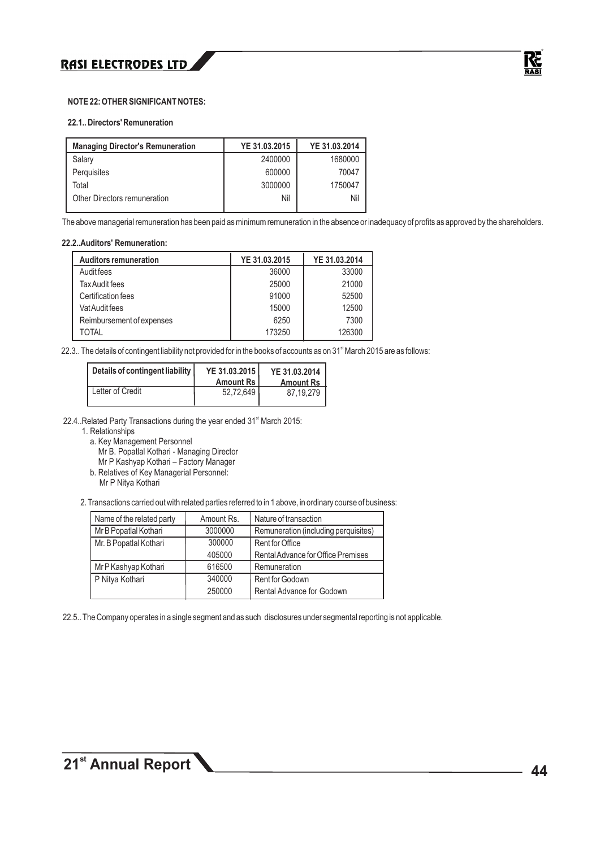#### **NOTE 22: OTHER SIGNIFICANT NOTES:**

#### **22.1.. Directors' Remuneration**

| <b>Managing Director's Remuneration</b> | YE 31.03.2015 | YE 31.03.2014 |
|-----------------------------------------|---------------|---------------|
| Salary                                  | 2400000       | 1680000       |
| Perquisites                             | 600000        | 70047         |
| Total                                   | 3000000       | 1750047       |
| Other Directors remuneration            | Nil           | Nil           |
|                                         |               |               |

The above managerial remuneration has been paid as minimum remuneration in the absence or inadequacy of profits as approved by the shareholders.

#### **22.2..Auditors' Remuneration:**

| <b>Auditors remuneration</b> | YE 31.03.2015 | YE 31.03.2014 |
|------------------------------|---------------|---------------|
| Audit fees                   | 36000         | 33000         |
| Tax Audit fees               | 25000         | 21000         |
| Certification fees           | 91000         | 52500         |
| Vat Audit fees               | 15000         | 12500         |
| Reimbursement of expenses    | 6250          | 7300          |
| TOTAL                        | 173250        | 126300        |

22.3.. The details of contingent liability not provided for in the books of accounts as on 31<sup>st</sup> March 2015 are as follows:

| Details of contingent liability | YE 31.03.2015<br><b>Amount Rs I</b> | YE 31.03.2014<br><b>Amount Rs</b> |
|---------------------------------|-------------------------------------|-----------------------------------|
| Letter of Credit                | 52,72,649                           | 87.19.279                         |

22.4..Related Party Transactions during the year ended 31<sup>st</sup> March 2015:

1. Relationships

a. Key Management Personnel

Mr B. Popatlal Kothari - Managing Director

Mr P Kashyap Kothari – Factory Manager

b. Relatives of Key Managerial Personnel:

Mr P Nitya Kothari

2. Transactions carried out with related parties referred to in 1 above, in ordinary course of business:

| Name of the related party | Amount Rs. | Nature of transaction                |
|---------------------------|------------|--------------------------------------|
| Mr B Popatlal Kothari     | 3000000    | Remuneration (including perquisites) |
| Mr. B Popatlal Kothari    | 300000     | Rent for Office                      |
|                           | 405000     | Rental Advance for Office Premises   |
| Mr P Kashyap Kothari      | 616500     | Remuneration                         |
| P Nitya Kothari           | 340000     | Rent for Godown                      |
|                           | 250000     | Rental Advance for Godown            |

22.5.. The Company operates in a single segment and as such disclosures under segmental reporting is not applicable.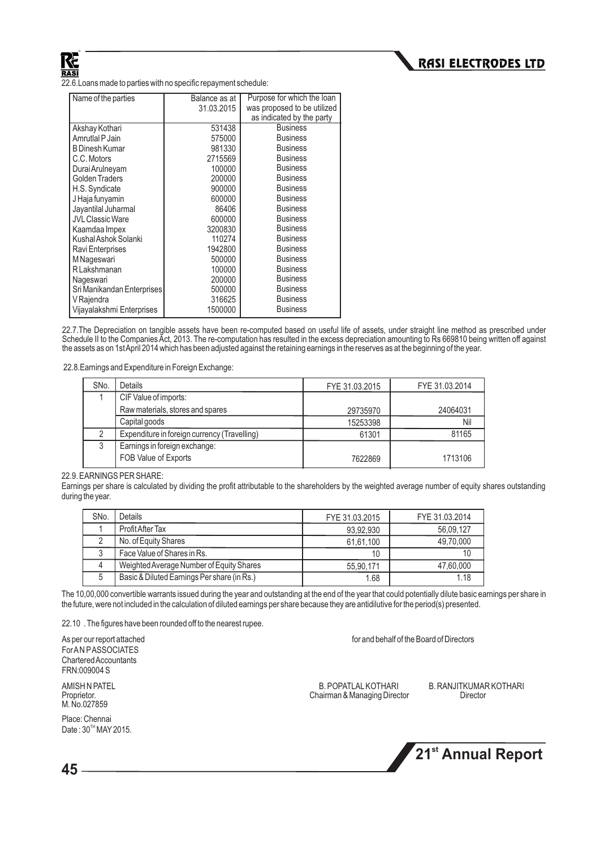22.6.Loans made to parties with no specific repayment schedule:

| Name of the parties        | Balance as at | Purpose for which the loan  |
|----------------------------|---------------|-----------------------------|
|                            | 31.03.2015    | was proposed to be utilized |
|                            |               | as indicated by the party   |
| Akshay Kothari             | 531438        | <b>Business</b>             |
| Amrutlal P Jain            | 575000        | <b>Business</b>             |
| <b>B Dinesh Kumar</b>      | 981330        | <b>Business</b>             |
| C.C. Motors                | 2715569       | <b>Business</b>             |
| Durai Arulneyam            | 100000        | <b>Business</b>             |
| <b>Golden Traders</b>      | 200000        | <b>Business</b>             |
| H.S. Syndicate             | 900000        | <b>Business</b>             |
| J Haja funyamin            | 600000        | <b>Business</b>             |
| Jayantilal Juharmal        | 86406         | <b>Business</b>             |
| <b>JVL Classic Ware</b>    | 600000        | <b>Business</b>             |
| Kaamdaa Impex              | 3200830       | <b>Business</b>             |
| Kushal Ashok Solanki       | 110274        | <b>Business</b>             |
| Ravi Enterprises           | 1942800       | <b>Business</b>             |
| M Nageswari                | 500000        | <b>Business</b>             |
| <b>R</b> Lakshmanan        | 100000        | <b>Business</b>             |
| Nageswari                  | 200000        | <b>Business</b>             |
| Sri Manikandan Enterprises | 500000        | <b>Business</b>             |
| V Rajendra                 | 316625        | <b>Business</b>             |
| Vijavalakshmi Enterprises  | 1500000       | <b>Business</b>             |

22.7.The Depreciation on tangible assets have been re-computed based on useful life of assets, under straight line method as prescribed under Schedule II to the Companies Act, 2013. The re-computation has resulted in the excess depreciation amounting to Rs 669810 being written off against the assets as on 1st April 2014 which has been adjusted against the retaining earnings in the reserves as at the beginning of the year.

22.8.Earnings and Expenditure in Foreign Exchange:

| SN <sub>o</sub> | <b>Details</b>                               | FYE 31.03.2015 | FYE 31.03.2014 |
|-----------------|----------------------------------------------|----------------|----------------|
|                 | CIF Value of imports:                        |                |                |
|                 | Raw materials, stores and spares             | 29735970       | 24064031       |
|                 | Capital goods                                | 15253398       | Nil            |
| റ               | Expenditure in foreign currency (Travelling) | 61301          | 81165          |
| 3               | Earnings in foreign exchange:                |                |                |
|                 | FOB Value of Exports                         | 7622869        | 1713106        |

22.9. EARNINGS PER SHARE:

Earnings per share is calculated by dividing the profit attributable to the shareholders by the weighted average number of equity shares outstanding during the year.

| SN <sub>o</sub> . | Details                                     | FYE 31.03.2015 | FYE 31.03.2014 |
|-------------------|---------------------------------------------|----------------|----------------|
|                   | Profit After Tax                            | 93.92.930      | 56,09,127      |
|                   | No. of Equity Shares                        | 61,61,100      | 49,70,000      |
| J                 | Face Value of Shares in Rs.                 | 10             |                |
|                   | Weighted Average Number of Equity Shares    | 55,90,171      | 47,60,000      |
| 5                 | Basic & Diluted Earnings Per share (in Rs.) | 1.68           | 1.18           |

The 10,00,000 convertible warrants issued during the year and outstanding at the end of the year that could potentially dilute basic earnings per share in the future, were not included in the calculation of diluted earnings per share because they are antidilutive for the period(s) presented.

22.10 . The figures have been rounded off to the nearest rupee.

As per our report attached for and behalf of the Board of Directors **For AN PASSOCIATES** Chartered Accountants FRN:009004 S

M. No.027859

Place: Chennai Date:  $30<sup>TH</sup>$  MAY 2015.

Chairman & Managing Director

AMISH N PATEL B. POPATLALKOTHARI B. RANJITKUMAR KOTHARI

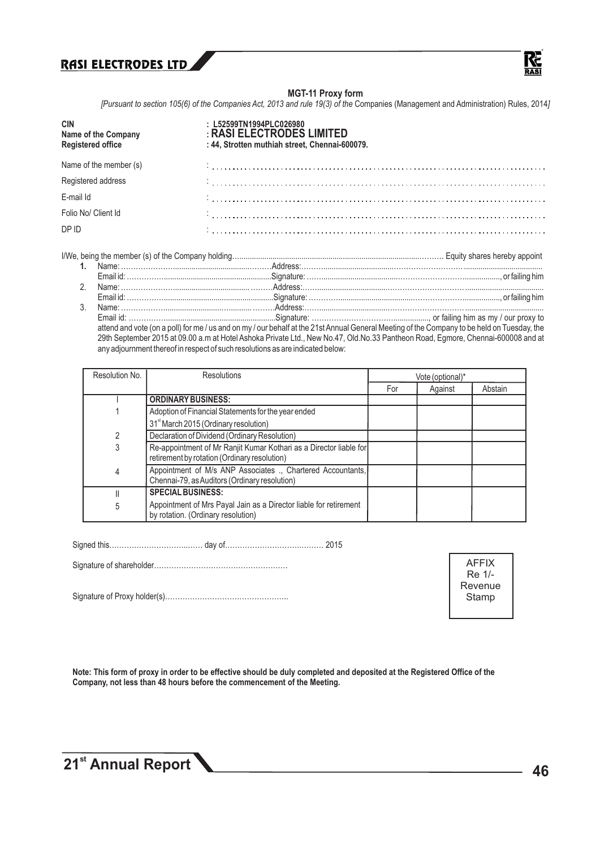

#### **MGT-11 Proxy form**

*[Pursuant to section 105(6) of the Companies Act, 2013 and rule 19(3) of the Companies (Management and Administration) Rules, 2014]* 

| <b>CIN</b><br>Name of the Company<br><b>Registered office</b> | : L52599TN1994PLC026980<br>: RASI ELECTRODES LIMITED<br>: 44, Strotten muthiah street, Chennai-600079. |
|---------------------------------------------------------------|--------------------------------------------------------------------------------------------------------|
| Name of the member (s)                                        |                                                                                                        |
| Registered address                                            |                                                                                                        |
| E-mail Id                                                     |                                                                                                        |
| Folio No/ Client Id                                           |                                                                                                        |
| DP ID                                                         |                                                                                                        |

I/We, being the member (s) of the Company holding….......................................................................................………. Equity shares hereby appoint

Email id: …………….....................................................Signature: ……………………………................., or failing him as my / our proxy to attend and vote (on a poll) for me / us and on my / our behalf at the 21st Annual General Meeting of the Company to be held on Tuesday, the 29th September 2015 at 09.00 a.m at Hotel Ashoka Private Ltd., New No.47, Old.No.33 Pantheon Road, Egmore, Chennai-600008 and at any adjournment thereof in respect of such resolutions as are indicated below:

| Resolution No. | <b>Resolutions</b>                                                                                                 | Vote (optional)* |         |         |
|----------------|--------------------------------------------------------------------------------------------------------------------|------------------|---------|---------|
|                |                                                                                                                    | For              | Against | Abstain |
|                | <b>ORDINARY BUSINESS:</b>                                                                                          |                  |         |         |
|                | Adoption of Financial Statements for the year ended                                                                |                  |         |         |
|                | 31 <sup>st</sup> March 2015 (Ordinary resolution)                                                                  |                  |         |         |
|                | Declaration of Dividend (Ordinary Resolution)                                                                      |                  |         |         |
| 3              | Re-appointment of Mr Ranjit Kumar Kothari as a Director liable for<br>retirement by rotation (Ordinary resolution) |                  |         |         |
| 4              | Appointment of M/s ANP Associates ., Chartered Accountants,<br>Chennai-79, as Auditors (Ordinary resolution)       |                  |         |         |
|                | <b>SPECIAL BUSINESS:</b>                                                                                           |                  |         |         |
| 5              | Appointment of Mrs Payal Jain as a Director liable for retirement<br>by rotation. (Ordinary resolution)            |                  |         |         |

Signed this…………………………..…… day of………………………….……… 2015

Signature of shareholder………………………………………………

Signature of Proxy holder(s)…………………………………………..

AFFIX Re 1/- Revenue Stamp

**Note: This form of proxy in order to be effective should be duly completed and deposited at the Registered Office of the Company, not less than 48 hours before the commencement of the Meeting.**